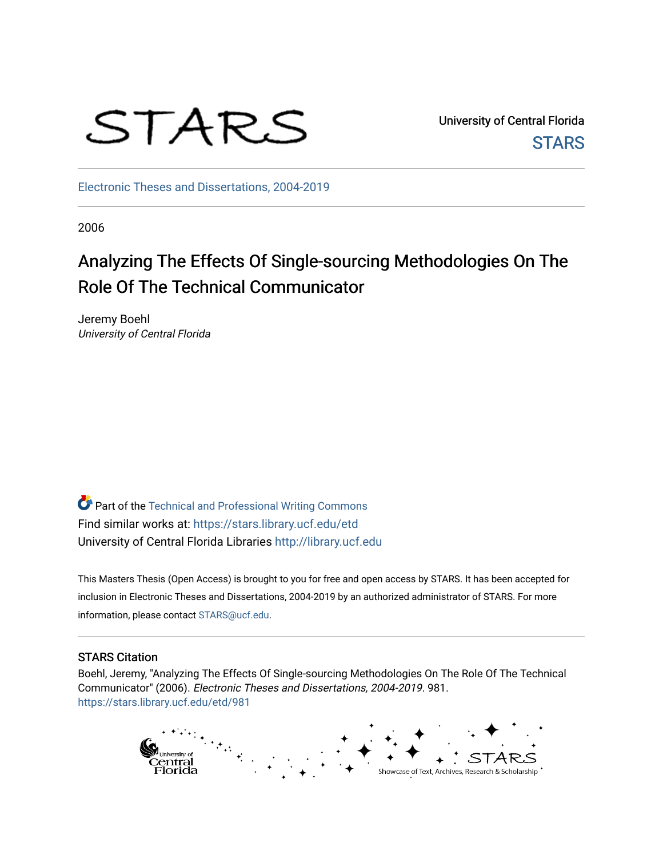

University of Central Florida **STARS** 

[Electronic Theses and Dissertations, 2004-2019](https://stars.library.ucf.edu/etd) 

2006

# Analyzing The Effects Of Single-sourcing Methodologies On The Role Of The Technical Communicator

Jeremy Boehl University of Central Florida

**P** Part of the Technical and Professional Writing Commons Find similar works at: <https://stars.library.ucf.edu/etd> University of Central Florida Libraries [http://library.ucf.edu](http://library.ucf.edu/) 

This Masters Thesis (Open Access) is brought to you for free and open access by STARS. It has been accepted for inclusion in Electronic Theses and Dissertations, 2004-2019 by an authorized administrator of STARS. For more information, please contact [STARS@ucf.edu.](mailto:STARS@ucf.edu)

#### STARS Citation

Boehl, Jeremy, "Analyzing The Effects Of Single-sourcing Methodologies On The Role Of The Technical Communicator" (2006). Electronic Theses and Dissertations, 2004-2019. 981. [https://stars.library.ucf.edu/etd/981](https://stars.library.ucf.edu/etd/981?utm_source=stars.library.ucf.edu%2Fetd%2F981&utm_medium=PDF&utm_campaign=PDFCoverPages)

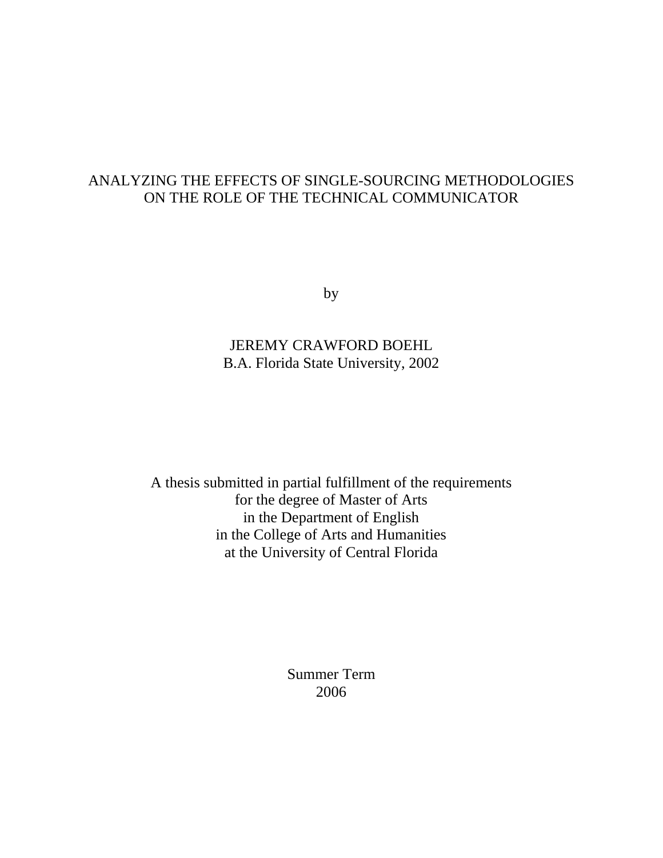# ANALYZING THE EFFECTS OF SINGLE-SOURCING METHODOLOGIES ON THE ROLE OF THE TECHNICAL COMMUNICATOR

by

JEREMY CRAWFORD BOEHL B.A. Florida State University, 2002

A thesis submitted in partial fulfillment of the requirements for the degree of Master of Arts in the Department of English in the College of Arts and Humanities at the University of Central Florida

> Summer Term 2006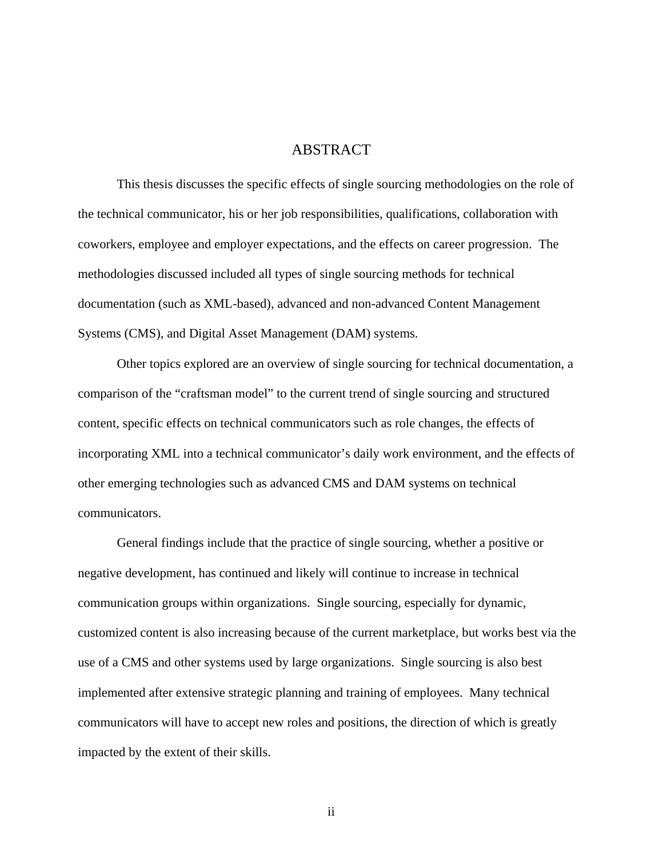### ABSTRACT

This thesis discusses the specific effects of single sourcing methodologies on the role of the technical communicator, his or her job responsibilities, qualifications, collaboration with coworkers, employee and employer expectations, and the effects on career progression. The methodologies discussed included all types of single sourcing methods for technical documentation (such as XML-based), advanced and non-advanced Content Management Systems (CMS), and Digital Asset Management (DAM) systems.

Other topics explored are an overview of single sourcing for technical documentation, a comparison of the "craftsman model" to the current trend of single sourcing and structured content, specific effects on technical communicators such as role changes, the effects of incorporating XML into a technical communicator's daily work environment, and the effects of other emerging technologies such as advanced CMS and DAM systems on technical communicators.

General findings include that the practice of single sourcing, whether a positive or negative development, has continued and likely will continue to increase in technical communication groups within organizations. Single sourcing, especially for dynamic, customized content is also increasing because of the current marketplace, but works best via the use of a CMS and other systems used by large organizations. Single sourcing is also best implemented after extensive strategic planning and training of employees. Many technical communicators will have to accept new roles and positions, the direction of which is greatly impacted by the extent of their skills.

ii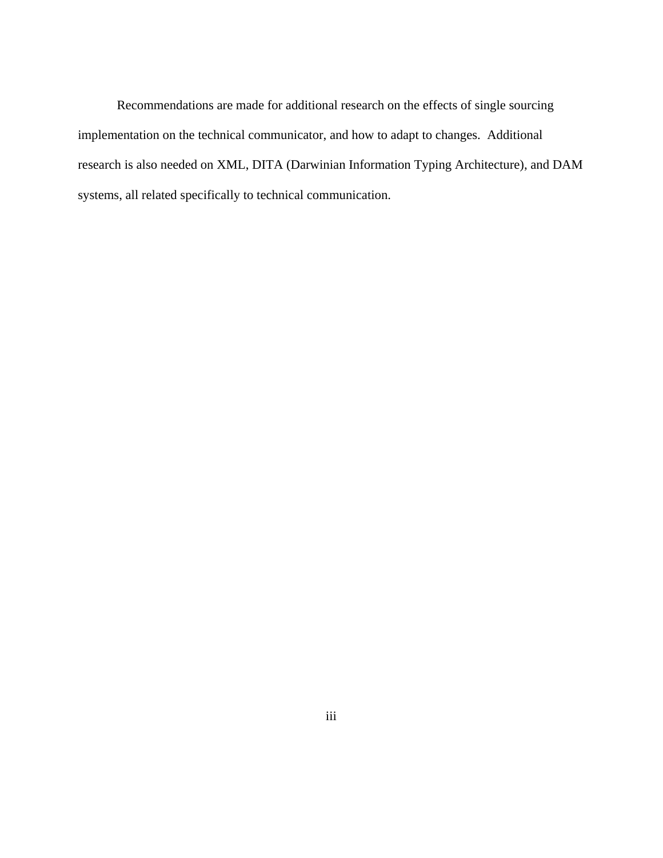Recommendations are made for additional research on the effects of single sourcing implementation on the technical communicator, and how to adapt to changes. Additional research is also needed on XML, DITA (Darwinian Information Typing Architecture), and DAM systems, all related specifically to technical communication.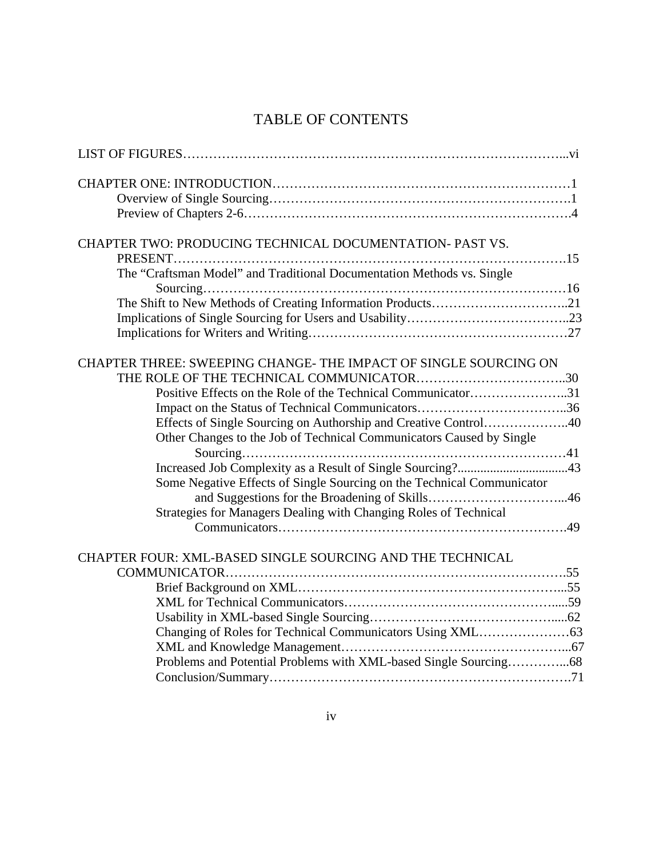# TABLE OF CONTENTS

| CHAPTER TWO: PRODUCING TECHNICAL DOCUMENTATION- PAST VS.               |
|------------------------------------------------------------------------|
|                                                                        |
| The "Craftsman Model" and Traditional Documentation Methods vs. Single |
| The Shift to New Methods of Creating Information Products21            |
|                                                                        |
|                                                                        |
|                                                                        |
| CHAPTER THREE: SWEEPING CHANGE-THE IMPACT OF SINGLE SOURCING ON        |
|                                                                        |
| Positive Effects on the Role of the Technical Communicator31           |
|                                                                        |
| Effects of Single Sourcing on Authorship and Creative Control40        |
| Other Changes to the Job of Technical Communicators Caused by Single   |
|                                                                        |
|                                                                        |
| Some Negative Effects of Single Sourcing on the Technical Communicator |
|                                                                        |
| Strategies for Managers Dealing with Changing Roles of Technical       |
|                                                                        |
|                                                                        |
| CHAPTER FOUR: XML-BASED SINGLE SOURCING AND THE TECHNICAL              |
|                                                                        |
|                                                                        |
|                                                                        |
|                                                                        |
|                                                                        |
|                                                                        |
|                                                                        |
|                                                                        |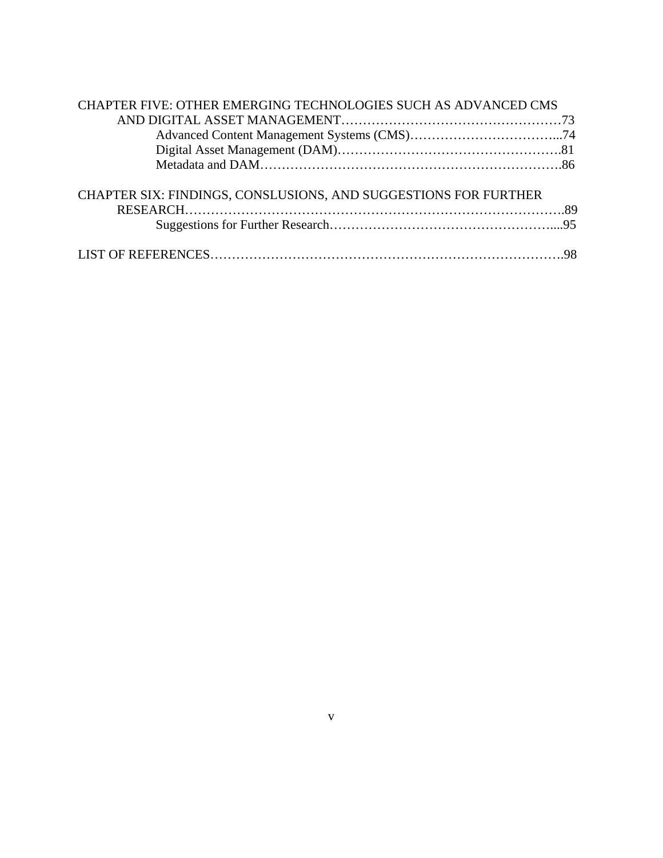| CHAPTER FIVE: OTHER EMERGING TECHNOLOGIES SUCH AS ADVANCED CMS  |  |
|-----------------------------------------------------------------|--|
|                                                                 |  |
|                                                                 |  |
|                                                                 |  |
|                                                                 |  |
| CHAPTER SIX: FINDINGS, CONSLUSIONS, AND SUGGESTIONS FOR FURTHER |  |
|                                                                 |  |
|                                                                 |  |
|                                                                 |  |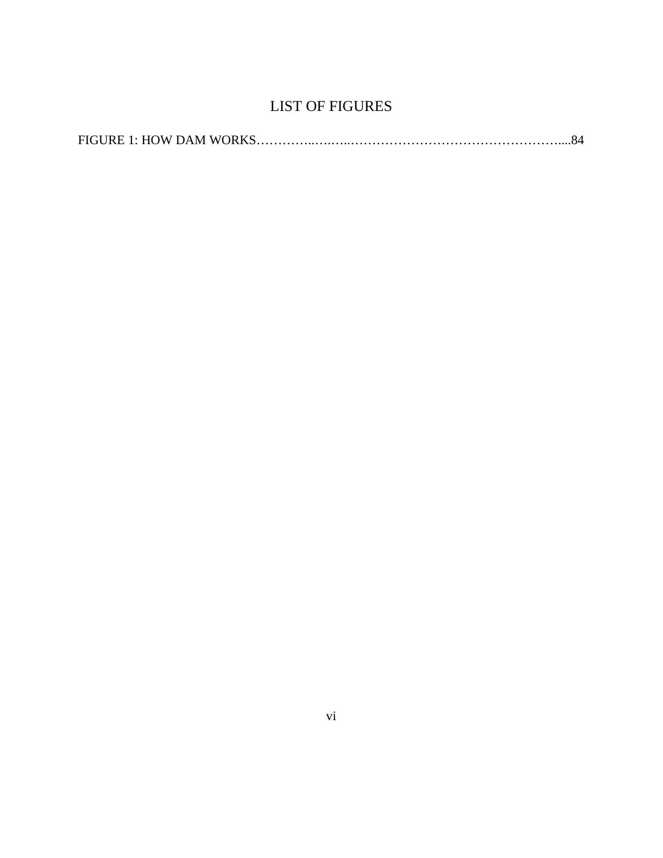# LIST OF FIGURES

<span id="page-6-0"></span>

|--|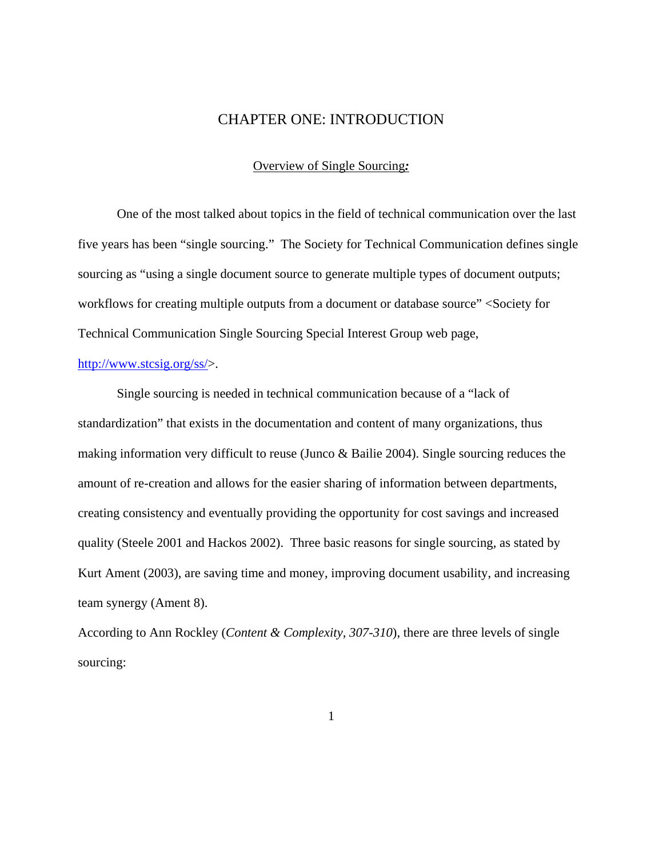### CHAPTER ONE: INTRODUCTION

#### Overview of Single Sourcing*:*

<span id="page-7-0"></span> One of the most talked about topics in the field of technical communication over the last five years has been "single sourcing." The Society for Technical Communication defines single sourcing as "using a single document source to generate multiple types of document outputs; workflows for creating multiple outputs from a document or database source" <Society for Technical Communication Single Sourcing Special Interest Group web page,

### <http://www.stcsig.org/ss/>>.

Single sourcing is needed in technical communication because of a "lack of standardization" that exists in the documentation and content of many organizations, thus making information very difficult to reuse (Junco & Bailie 2004). Single sourcing reduces the amount of re-creation and allows for the easier sharing of information between departments, creating consistency and eventually providing the opportunity for cost savings and increased quality (Steele 2001 and Hackos 2002). Three basic reasons for single sourcing, as stated by Kurt Ament (2003), are saving time and money, improving document usability, and increasing team synergy (Ament 8).

According to Ann Rockley (*Content & Complexity, 307-310*), there are three levels of single sourcing: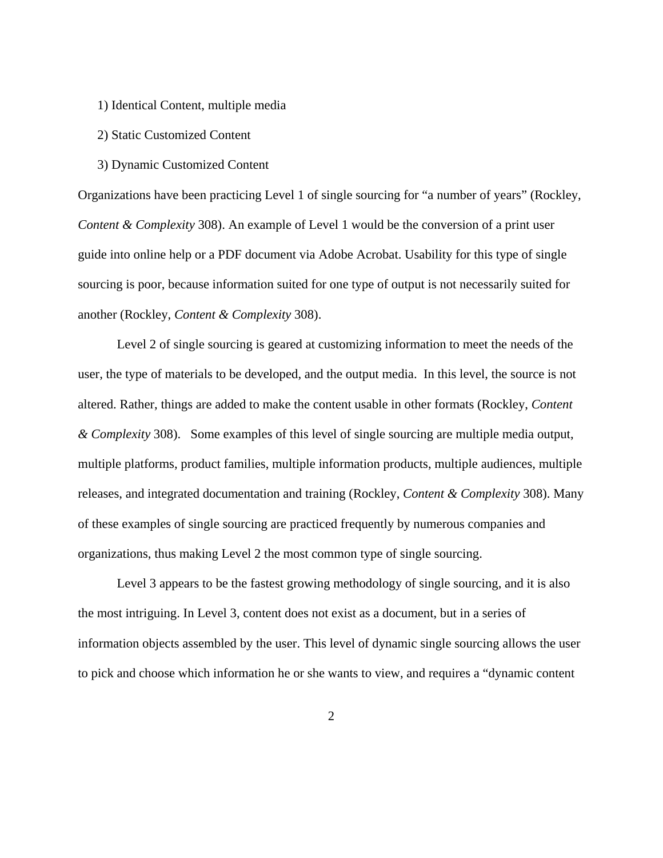- 1) Identical Content, multiple media
- 2) Static Customized Content
- 3) Dynamic Customized Content

Organizations have been practicing Level 1 of single sourcing for "a number of years" (Rockley, *Content & Complexity* 308). An example of Level 1 would be the conversion of a print user guide into online help or a PDF document via Adobe Acrobat. Usability for this type of single sourcing is poor, because information suited for one type of output is not necessarily suited for another (Rockley, *Content & Complexity* 308).

 Level 2 of single sourcing is geared at customizing information to meet the needs of the user, the type of materials to be developed, and the output media. In this level, the source is not altered. Rather, things are added to make the content usable in other formats (Rockley, *Content & Complexity* 308). Some examples of this level of single sourcing are multiple media output, multiple platforms, product families, multiple information products, multiple audiences, multiple releases, and integrated documentation and training (Rockley, *Content & Complexity* 308). Many of these examples of single sourcing are practiced frequently by numerous companies and organizations, thus making Level 2 the most common type of single sourcing.

 Level 3 appears to be the fastest growing methodology of single sourcing, and it is also the most intriguing. In Level 3, content does not exist as a document, but in a series of information objects assembled by the user. This level of dynamic single sourcing allows the user to pick and choose which information he or she wants to view, and requires a "dynamic content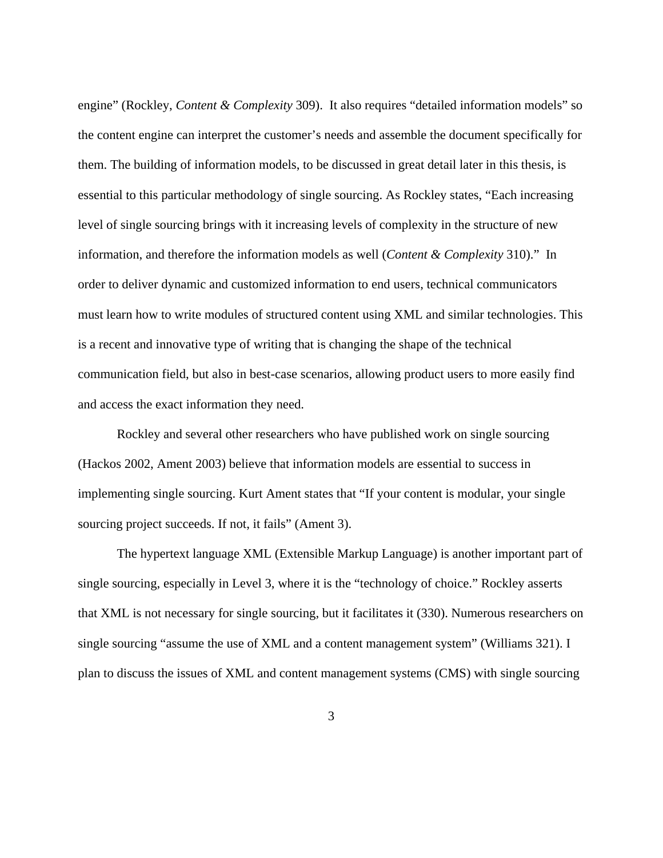engine" (Rockley, *Content & Complexity* 309). It also requires "detailed information models" so the content engine can interpret the customer's needs and assemble the document specifically for them. The building of information models, to be discussed in great detail later in this thesis, is essential to this particular methodology of single sourcing. As Rockley states, "Each increasing level of single sourcing brings with it increasing levels of complexity in the structure of new information, and therefore the information models as well (*Content & Complexity* 310)." In order to deliver dynamic and customized information to end users, technical communicators must learn how to write modules of structured content using XML and similar technologies. This is a recent and innovative type of writing that is changing the shape of the technical communication field, but also in best-case scenarios, allowing product users to more easily find and access the exact information they need.

 Rockley and several other researchers who have published work on single sourcing (Hackos 2002, Ament 2003) believe that information models are essential to success in implementing single sourcing. Kurt Ament states that "If your content is modular, your single sourcing project succeeds. If not, it fails" (Ament 3).

The hypertext language XML (Extensible Markup Language) is another important part of single sourcing, especially in Level 3, where it is the "technology of choice." Rockley asserts that XML is not necessary for single sourcing, but it facilitates it (330). Numerous researchers on single sourcing "assume the use of XML and a content management system" (Williams 321). I plan to discuss the issues of XML and content management systems (CMS) with single sourcing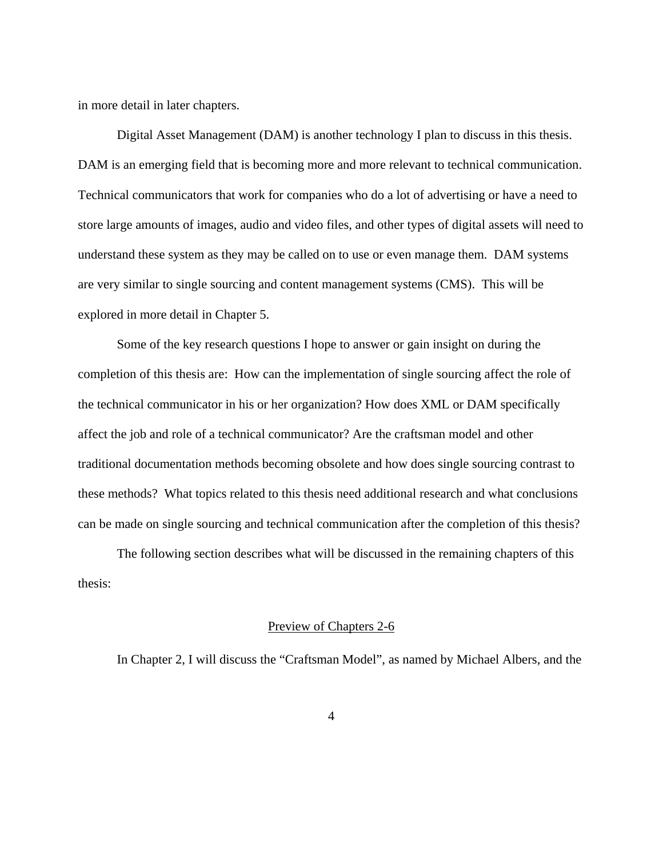<span id="page-10-0"></span>in more detail in later chapters.

Digital Asset Management (DAM) is another technology I plan to discuss in this thesis. DAM is an emerging field that is becoming more and more relevant to technical communication. Technical communicators that work for companies who do a lot of advertising or have a need to store large amounts of images, audio and video files, and other types of digital assets will need to understand these system as they may be called on to use or even manage them. DAM systems are very similar to single sourcing and content management systems (CMS). This will be explored in more detail in Chapter 5.

Some of the key research questions I hope to answer or gain insight on during the completion of this thesis are: How can the implementation of single sourcing affect the role of the technical communicator in his or her organization? How does XML or DAM specifically affect the job and role of a technical communicator? Are the craftsman model and other traditional documentation methods becoming obsolete and how does single sourcing contrast to these methods? What topics related to this thesis need additional research and what conclusions can be made on single sourcing and technical communication after the completion of this thesis?

The following section describes what will be discussed in the remaining chapters of this thesis:

#### Preview of Chapters 2-6

In Chapter 2, I will discuss the "Craftsman Model", as named by Michael Albers, and the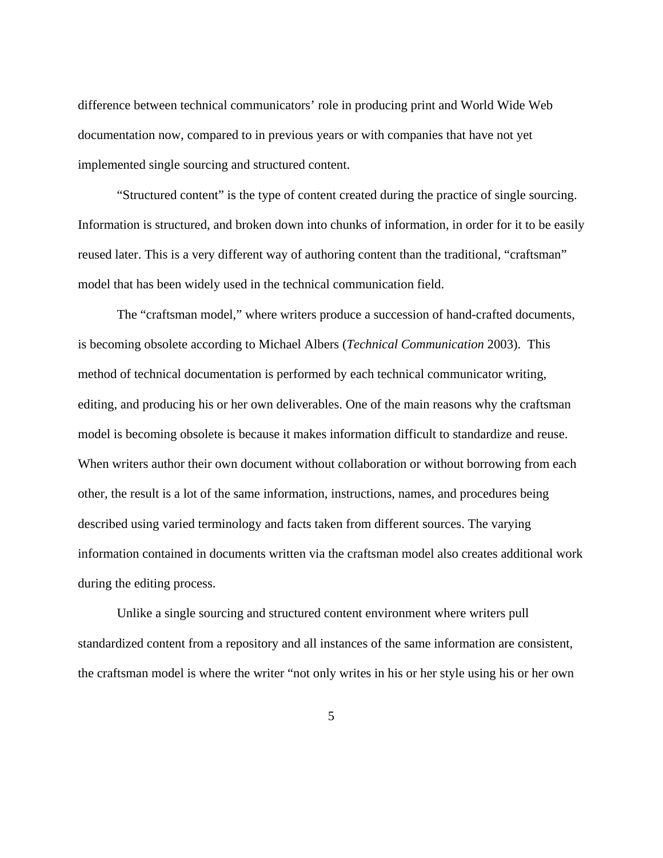difference between technical communicators' role in producing print and World Wide Web documentation now, compared to in previous years or with companies that have not yet implemented single sourcing and structured content.

 "Structured content" is the type of content created during the practice of single sourcing. Information is structured, and broken down into chunks of information, in order for it to be easily reused later. This is a very different way of authoring content than the traditional, "craftsman" model that has been widely used in the technical communication field.

 The "craftsman model," where writers produce a succession of hand-crafted documents, is becoming obsolete according to Michael Albers (*Technical Communication* 2003). This method of technical documentation is performed by each technical communicator writing, editing, and producing his or her own deliverables. One of the main reasons why the craftsman model is becoming obsolete is because it makes information difficult to standardize and reuse. When writers author their own document without collaboration or without borrowing from each other, the result is a lot of the same information, instructions, names, and procedures being described using varied terminology and facts taken from different sources. The varying information contained in documents written via the craftsman model also creates additional work during the editing process.

Unlike a single sourcing and structured content environment where writers pull standardized content from a repository and all instances of the same information are consistent, the craftsman model is where the writer "not only writes in his or her style using his or her own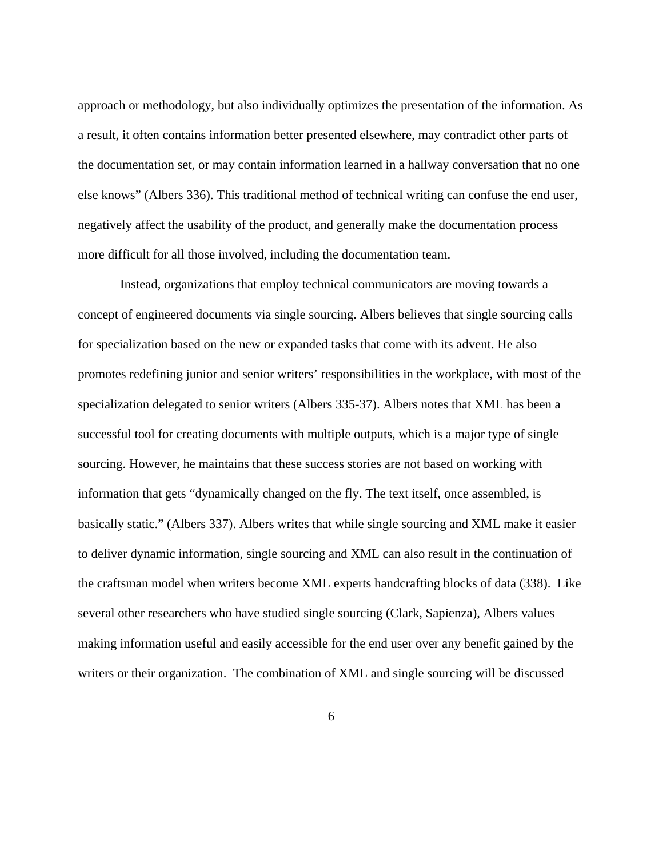approach or methodology, but also individually optimizes the presentation of the information. As a result, it often contains information better presented elsewhere, may contradict other parts of the documentation set, or may contain information learned in a hallway conversation that no one else knows" (Albers 336). This traditional method of technical writing can confuse the end user, negatively affect the usability of the product, and generally make the documentation process more difficult for all those involved, including the documentation team.

 Instead, organizations that employ technical communicators are moving towards a concept of engineered documents via single sourcing. Albers believes that single sourcing calls for specialization based on the new or expanded tasks that come with its advent. He also promotes redefining junior and senior writers' responsibilities in the workplace, with most of the specialization delegated to senior writers (Albers 335-37). Albers notes that XML has been a successful tool for creating documents with multiple outputs, which is a major type of single sourcing. However, he maintains that these success stories are not based on working with information that gets "dynamically changed on the fly. The text itself, once assembled, is basically static." (Albers 337). Albers writes that while single sourcing and XML make it easier to deliver dynamic information, single sourcing and XML can also result in the continuation of the craftsman model when writers become XML experts handcrafting blocks of data (338). Like several other researchers who have studied single sourcing (Clark, Sapienza), Albers values making information useful and easily accessible for the end user over any benefit gained by the writers or their organization. The combination of XML and single sourcing will be discussed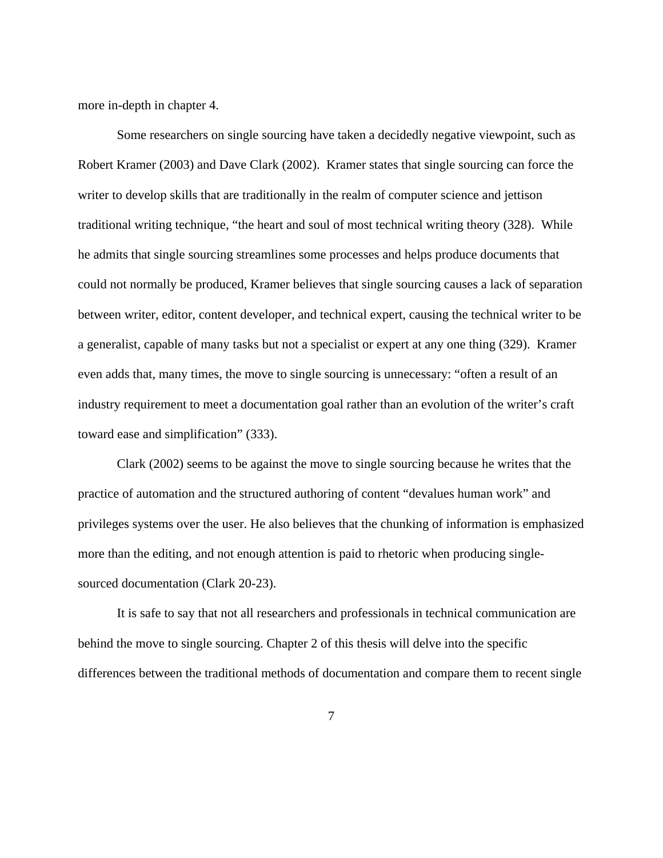more in-depth in chapter 4.

Some researchers on single sourcing have taken a decidedly negative viewpoint, such as Robert Kramer (2003) and Dave Clark (2002). Kramer states that single sourcing can force the writer to develop skills that are traditionally in the realm of computer science and jettison traditional writing technique, "the heart and soul of most technical writing theory (328). While he admits that single sourcing streamlines some processes and helps produce documents that could not normally be produced, Kramer believes that single sourcing causes a lack of separation between writer, editor, content developer, and technical expert, causing the technical writer to be a generalist, capable of many tasks but not a specialist or expert at any one thing (329). Kramer even adds that, many times, the move to single sourcing is unnecessary: "often a result of an industry requirement to meet a documentation goal rather than an evolution of the writer's craft toward ease and simplification" (333).

Clark (2002) seems to be against the move to single sourcing because he writes that the practice of automation and the structured authoring of content "devalues human work" and privileges systems over the user. He also believes that the chunking of information is emphasized more than the editing, and not enough attention is paid to rhetoric when producing singlesourced documentation (Clark 20-23).

It is safe to say that not all researchers and professionals in technical communication are behind the move to single sourcing. Chapter 2 of this thesis will delve into the specific differences between the traditional methods of documentation and compare them to recent single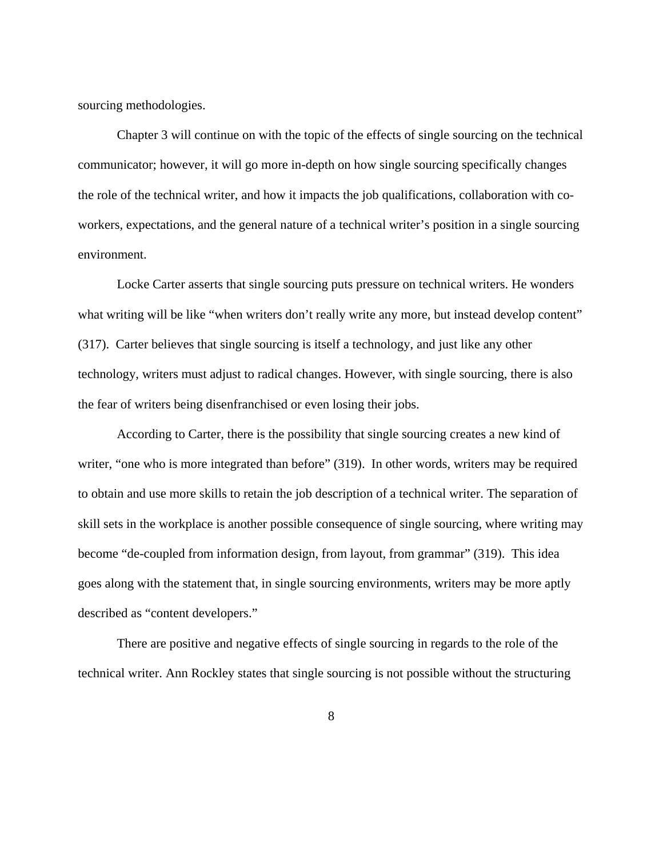sourcing methodologies.

Chapter 3 will continue on with the topic of the effects of single sourcing on the technical communicator; however, it will go more in-depth on how single sourcing specifically changes the role of the technical writer, and how it impacts the job qualifications, collaboration with coworkers, expectations, and the general nature of a technical writer's position in a single sourcing environment.

Locke Carter asserts that single sourcing puts pressure on technical writers. He wonders what writing will be like "when writers don't really write any more, but instead develop content" (317). Carter believes that single sourcing is itself a technology, and just like any other technology, writers must adjust to radical changes. However, with single sourcing, there is also the fear of writers being disenfranchised or even losing their jobs.

According to Carter, there is the possibility that single sourcing creates a new kind of writer, "one who is more integrated than before" (319). In other words, writers may be required to obtain and use more skills to retain the job description of a technical writer. The separation of skill sets in the workplace is another possible consequence of single sourcing, where writing may become "de-coupled from information design, from layout, from grammar" (319). This idea goes along with the statement that, in single sourcing environments, writers may be more aptly described as "content developers."

There are positive and negative effects of single sourcing in regards to the role of the technical writer. Ann Rockley states that single sourcing is not possible without the structuring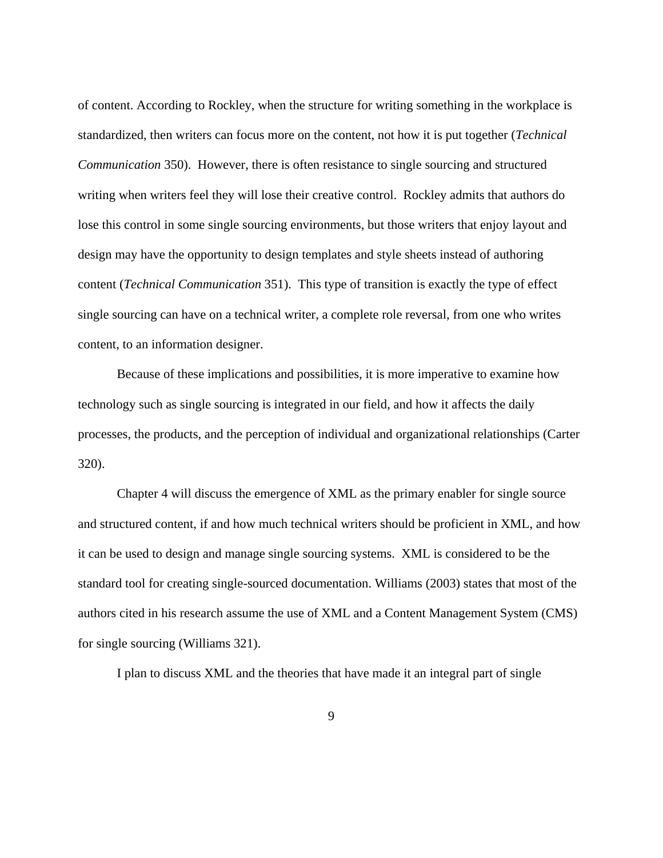of content. According to Rockley, when the structure for writing something in the workplace is standardized, then writers can focus more on the content, not how it is put together (*Technical Communication* 350). However, there is often resistance to single sourcing and structured writing when writers feel they will lose their creative control. Rockley admits that authors do lose this control in some single sourcing environments, but those writers that enjoy layout and design may have the opportunity to design templates and style sheets instead of authoring content (*Technical Communication* 351). This type of transition is exactly the type of effect single sourcing can have on a technical writer, a complete role reversal, from one who writes content, to an information designer.

Because of these implications and possibilities, it is more imperative to examine how technology such as single sourcing is integrated in our field, and how it affects the daily processes, the products, and the perception of individual and organizational relationships (Carter 320).

Chapter 4 will discuss the emergence of XML as the primary enabler for single source and structured content, if and how much technical writers should be proficient in XML, and how it can be used to design and manage single sourcing systems. XML is considered to be the standard tool for creating single-sourced documentation. Williams (2003) states that most of the authors cited in his research assume the use of XML and a Content Management System (CMS) for single sourcing (Williams 321).

I plan to discuss XML and the theories that have made it an integral part of single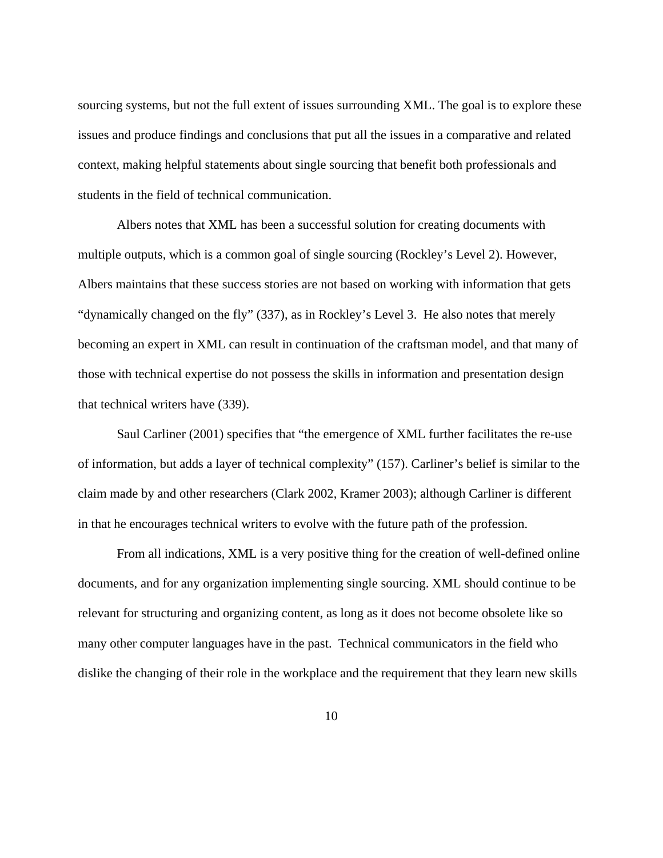sourcing systems, but not the full extent of issues surrounding XML. The goal is to explore these issues and produce findings and conclusions that put all the issues in a comparative and related context, making helpful statements about single sourcing that benefit both professionals and students in the field of technical communication.

Albers notes that XML has been a successful solution for creating documents with multiple outputs, which is a common goal of single sourcing (Rockley's Level 2). However, Albers maintains that these success stories are not based on working with information that gets "dynamically changed on the fly" (337), as in Rockley's Level 3. He also notes that merely becoming an expert in XML can result in continuation of the craftsman model, and that many of those with technical expertise do not possess the skills in information and presentation design that technical writers have (339).

Saul Carliner (2001) specifies that "the emergence of XML further facilitates the re-use of information, but adds a layer of technical complexity" (157). Carliner's belief is similar to the claim made by and other researchers (Clark 2002, Kramer 2003); although Carliner is different in that he encourages technical writers to evolve with the future path of the profession.

From all indications, XML is a very positive thing for the creation of well-defined online documents, and for any organization implementing single sourcing. XML should continue to be relevant for structuring and organizing content, as long as it does not become obsolete like so many other computer languages have in the past. Technical communicators in the field who dislike the changing of their role in the workplace and the requirement that they learn new skills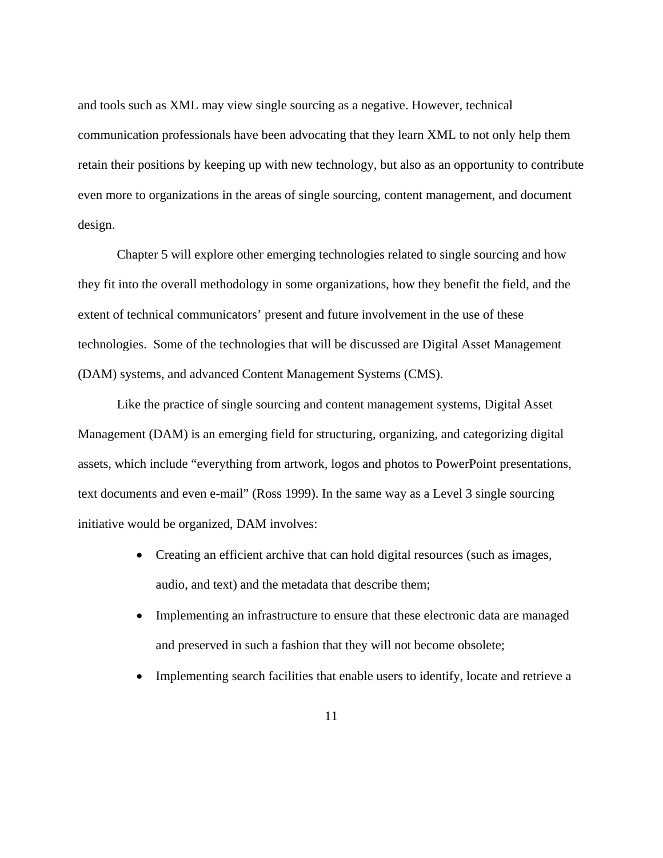and tools such as XML may view single sourcing as a negative. However, technical communication professionals have been advocating that they learn XML to not only help them retain their positions by keeping up with new technology, but also as an opportunity to contribute even more to organizations in the areas of single sourcing, content management, and document design.

Chapter 5 will explore other emerging technologies related to single sourcing and how they fit into the overall methodology in some organizations, how they benefit the field, and the extent of technical communicators' present and future involvement in the use of these technologies. Some of the technologies that will be discussed are Digital Asset Management (DAM) systems, and advanced Content Management Systems (CMS).

Like the practice of single sourcing and content management systems, Digital Asset Management (DAM) is an emerging field for structuring, organizing, and categorizing digital assets, which include "everything from artwork, logos and photos to PowerPoint presentations, text documents and even e-mail" (Ross 1999). In the same way as a Level 3 single sourcing initiative would be organized, DAM involves:

- Creating an efficient archive that can hold digital resources (such as images, audio, and text) and the metadata that describe them;
- Implementing an infrastructure to ensure that these electronic data are managed and preserved in such a fashion that they will not become obsolete;
- Implementing search facilities that enable users to identify, locate and retrieve a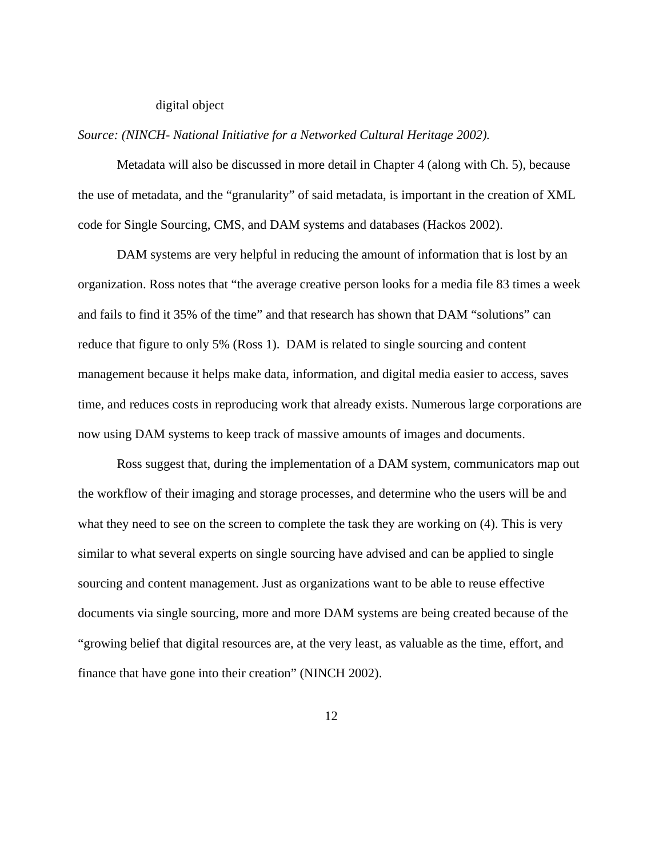#### digital object

#### *Source: (NINCH- National Initiative for a Networked Cultural Heritage 2002).*

Metadata will also be discussed in more detail in Chapter 4 (along with Ch. 5), because the use of metadata, and the "granularity" of said metadata, is important in the creation of XML code for Single Sourcing, CMS, and DAM systems and databases (Hackos 2002).

DAM systems are very helpful in reducing the amount of information that is lost by an organization. Ross notes that "the average creative person looks for a media file 83 times a week and fails to find it 35% of the time" and that research has shown that DAM "solutions" can reduce that figure to only 5% (Ross 1). DAM is related to single sourcing and content management because it helps make data, information, and digital media easier to access, saves time, and reduces costs in reproducing work that already exists. Numerous large corporations are now using DAM systems to keep track of massive amounts of images and documents.

Ross suggest that, during the implementation of a DAM system, communicators map out the workflow of their imaging and storage processes, and determine who the users will be and what they need to see on the screen to complete the task they are working on  $(4)$ . This is very similar to what several experts on single sourcing have advised and can be applied to single sourcing and content management. Just as organizations want to be able to reuse effective documents via single sourcing, more and more DAM systems are being created because of the "growing belief that digital resources are, at the very least, as valuable as the time, effort, and finance that have gone into their creation" (NINCH 2002).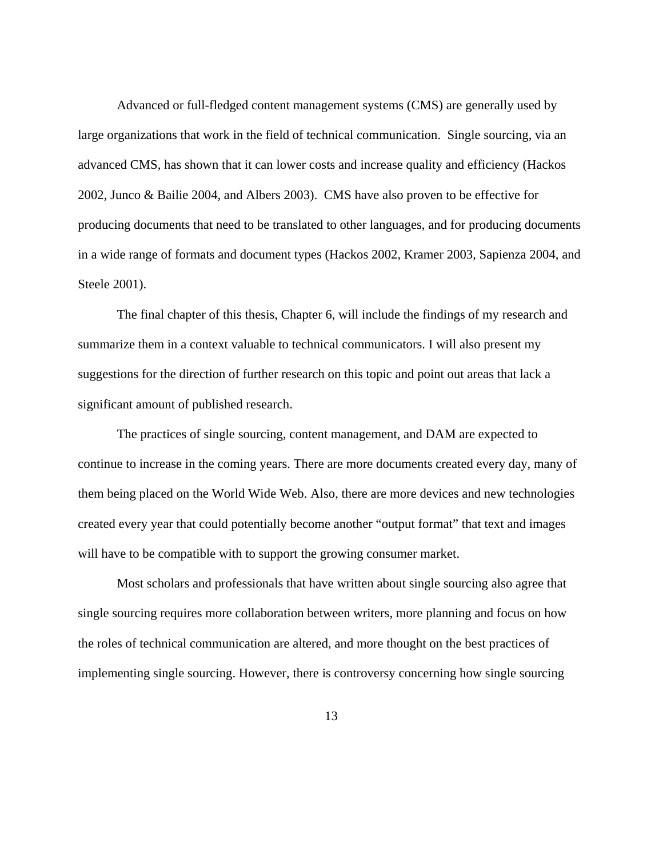Advanced or full-fledged content management systems (CMS) are generally used by large organizations that work in the field of technical communication. Single sourcing, via an advanced CMS, has shown that it can lower costs and increase quality and efficiency (Hackos 2002, Junco & Bailie 2004, and Albers 2003). CMS have also proven to be effective for producing documents that need to be translated to other languages, and for producing documents in a wide range of formats and document types (Hackos 2002, Kramer 2003, Sapienza 2004, and Steele 2001).

The final chapter of this thesis, Chapter 6, will include the findings of my research and summarize them in a context valuable to technical communicators. I will also present my suggestions for the direction of further research on this topic and point out areas that lack a significant amount of published research.

The practices of single sourcing, content management, and DAM are expected to continue to increase in the coming years. There are more documents created every day, many of them being placed on the World Wide Web. Also, there are more devices and new technologies created every year that could potentially become another "output format" that text and images will have to be compatible with to support the growing consumer market.

Most scholars and professionals that have written about single sourcing also agree that single sourcing requires more collaboration between writers, more planning and focus on how the roles of technical communication are altered, and more thought on the best practices of implementing single sourcing. However, there is controversy concerning how single sourcing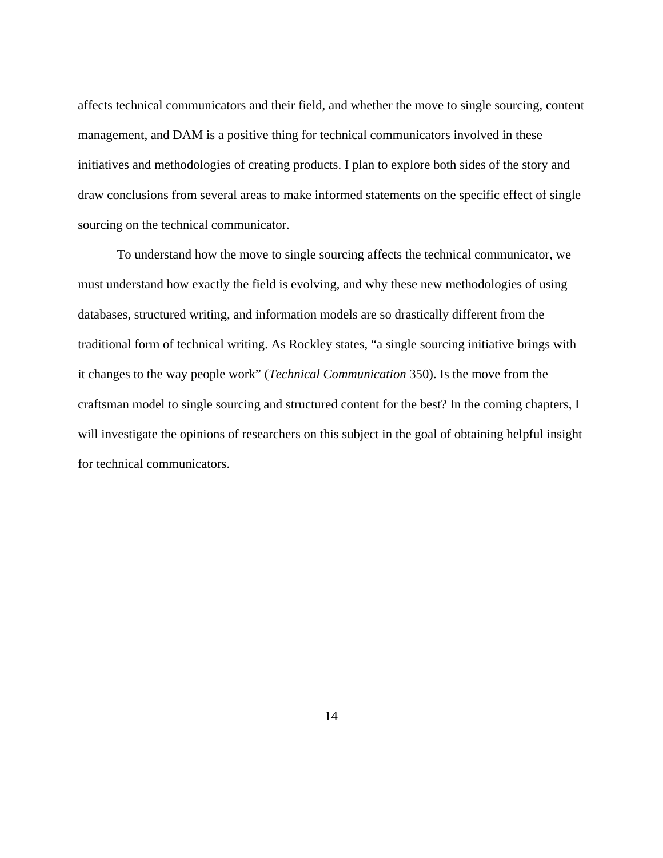affects technical communicators and their field, and whether the move to single sourcing, content management, and DAM is a positive thing for technical communicators involved in these initiatives and methodologies of creating products. I plan to explore both sides of the story and draw conclusions from several areas to make informed statements on the specific effect of single sourcing on the technical communicator.

To understand how the move to single sourcing affects the technical communicator, we must understand how exactly the field is evolving, and why these new methodologies of using databases, structured writing, and information models are so drastically different from the traditional form of technical writing. As Rockley states, "a single sourcing initiative brings with it changes to the way people work" (*Technical Communication* 350). Is the move from the craftsman model to single sourcing and structured content for the best? In the coming chapters, I will investigate the opinions of researchers on this subject in the goal of obtaining helpful insight for technical communicators.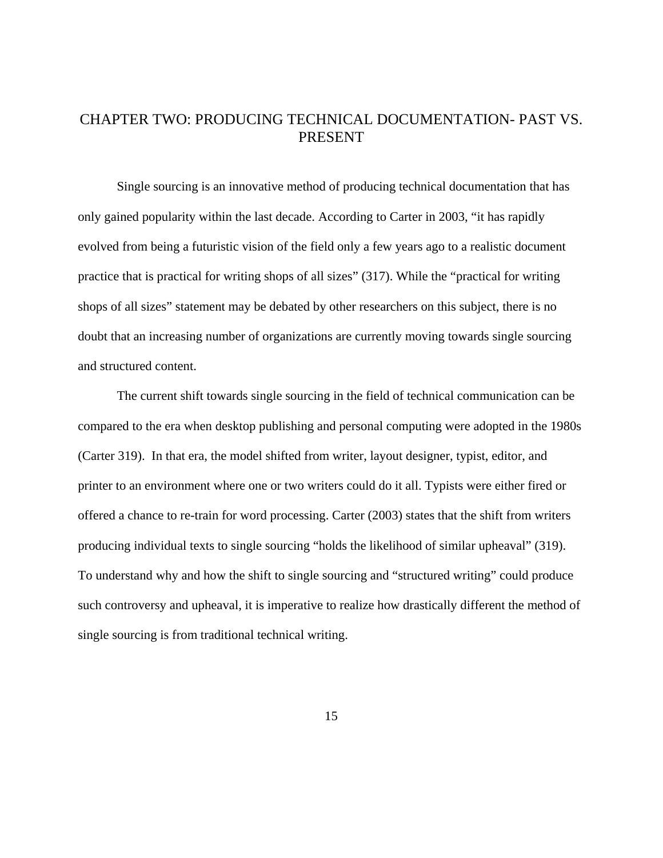## <span id="page-21-0"></span>CHAPTER TWO: PRODUCING TECHNICAL DOCUMENTATION- PAST VS. PRESENT

 Single sourcing is an innovative method of producing technical documentation that has only gained popularity within the last decade. According to Carter in 2003, "it has rapidly evolved from being a futuristic vision of the field only a few years ago to a realistic document practice that is practical for writing shops of all sizes" (317). While the "practical for writing shops of all sizes" statement may be debated by other researchers on this subject, there is no doubt that an increasing number of organizations are currently moving towards single sourcing and structured content.

The current shift towards single sourcing in the field of technical communication can be compared to the era when desktop publishing and personal computing were adopted in the 1980s (Carter 319). In that era, the model shifted from writer, layout designer, typist, editor, and printer to an environment where one or two writers could do it all. Typists were either fired or offered a chance to re-train for word processing. Carter (2003) states that the shift from writers producing individual texts to single sourcing "holds the likelihood of similar upheaval" (319). To understand why and how the shift to single sourcing and "structured writing" could produce such controversy and upheaval, it is imperative to realize how drastically different the method of single sourcing is from traditional technical writing.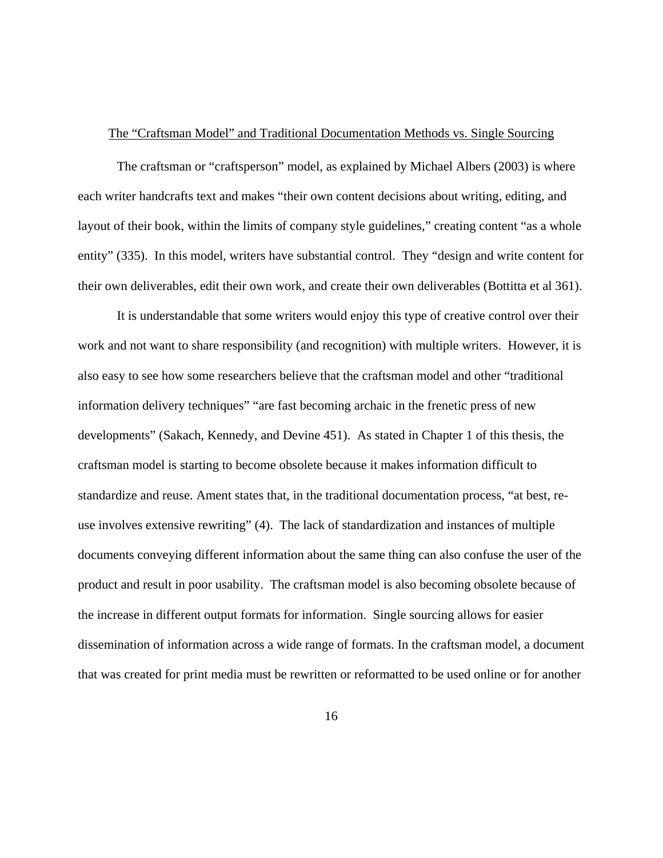#### <span id="page-22-0"></span>The "Craftsman Model" and Traditional Documentation Methods vs. Single Sourcing

 The craftsman or "craftsperson" model, as explained by Michael Albers (2003) is where each writer handcrafts text and makes "their own content decisions about writing, editing, and layout of their book, within the limits of company style guidelines," creating content "as a whole entity" (335). In this model, writers have substantial control. They "design and write content for their own deliverables, edit their own work, and create their own deliverables (Bottitta et al 361).

It is understandable that some writers would enjoy this type of creative control over their work and not want to share responsibility (and recognition) with multiple writers. However, it is also easy to see how some researchers believe that the craftsman model and other "traditional information delivery techniques" "are fast becoming archaic in the frenetic press of new developments" (Sakach, Kennedy, and Devine 451). As stated in Chapter 1 of this thesis, the craftsman model is starting to become obsolete because it makes information difficult to standardize and reuse. Ament states that, in the traditional documentation process, "at best, reuse involves extensive rewriting" (4). The lack of standardization and instances of multiple documents conveying different information about the same thing can also confuse the user of the product and result in poor usability. The craftsman model is also becoming obsolete because of the increase in different output formats for information. Single sourcing allows for easier dissemination of information across a wide range of formats. In the craftsman model, a document that was created for print media must be rewritten or reformatted to be used online or for another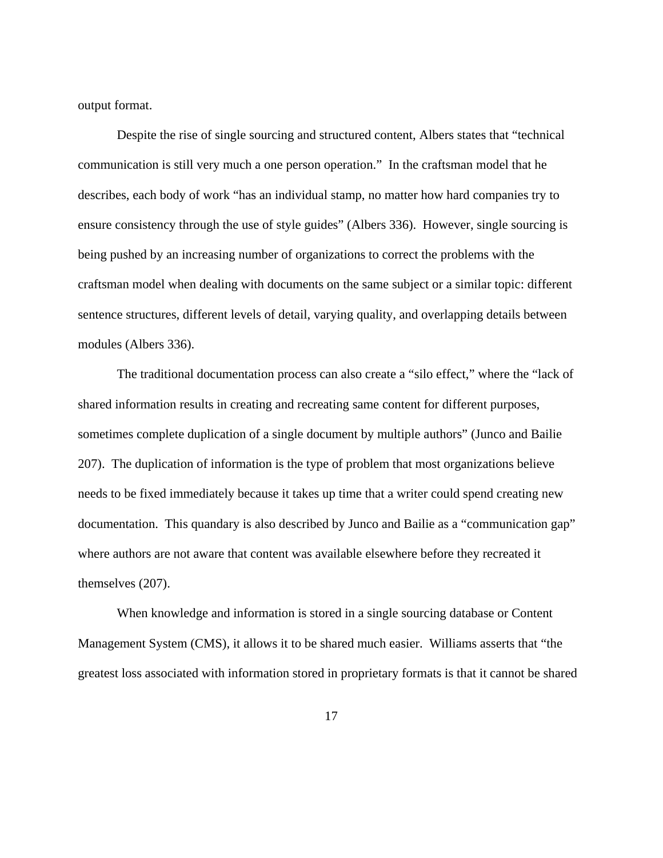output format.

 Despite the rise of single sourcing and structured content, Albers states that "technical communication is still very much a one person operation." In the craftsman model that he describes, each body of work "has an individual stamp, no matter how hard companies try to ensure consistency through the use of style guides" (Albers 336). However, single sourcing is being pushed by an increasing number of organizations to correct the problems with the craftsman model when dealing with documents on the same subject or a similar topic: different sentence structures, different levels of detail, varying quality, and overlapping details between modules (Albers 336).

The traditional documentation process can also create a "silo effect," where the "lack of shared information results in creating and recreating same content for different purposes, sometimes complete duplication of a single document by multiple authors" (Junco and Bailie 207). The duplication of information is the type of problem that most organizations believe needs to be fixed immediately because it takes up time that a writer could spend creating new documentation. This quandary is also described by Junco and Bailie as a "communication gap" where authors are not aware that content was available elsewhere before they recreated it themselves (207).

When knowledge and information is stored in a single sourcing database or Content Management System (CMS), it allows it to be shared much easier. Williams asserts that "the greatest loss associated with information stored in proprietary formats is that it cannot be shared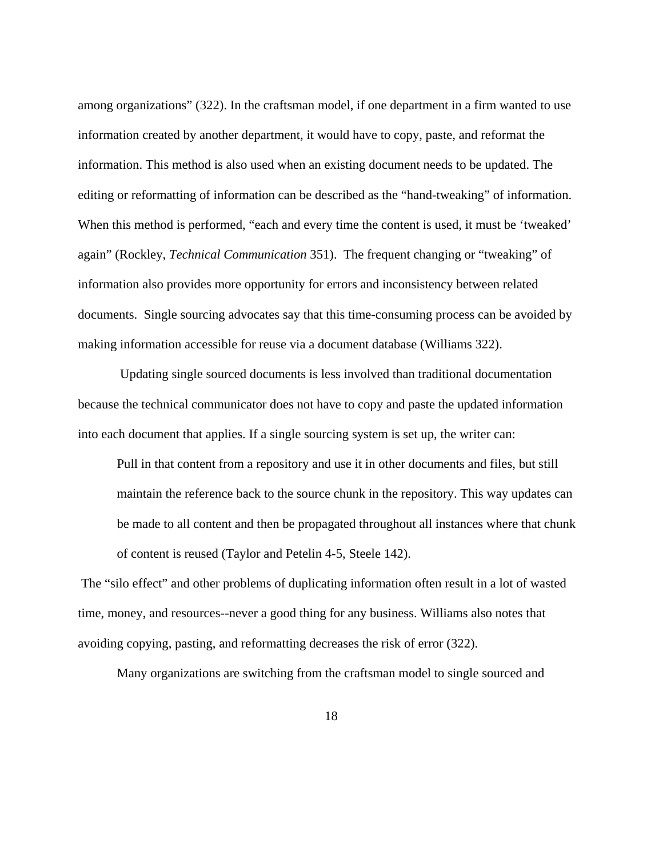among organizations" (322). In the craftsman model, if one department in a firm wanted to use information created by another department, it would have to copy, paste, and reformat the information. This method is also used when an existing document needs to be updated. The editing or reformatting of information can be described as the "hand-tweaking" of information. When this method is performed, "each and every time the content is used, it must be 'tweaked' again" (Rockley, *Technical Communication* 351). The frequent changing or "tweaking" of information also provides more opportunity for errors and inconsistency between related documents. Single sourcing advocates say that this time-consuming process can be avoided by making information accessible for reuse via a document database (Williams 322).

 Updating single sourced documents is less involved than traditional documentation because the technical communicator does not have to copy and paste the updated information into each document that applies. If a single sourcing system is set up, the writer can:

Pull in that content from a repository and use it in other documents and files, but still maintain the reference back to the source chunk in the repository. This way updates can be made to all content and then be propagated throughout all instances where that chunk of content is reused (Taylor and Petelin 4-5, Steele 142).

 The "silo effect" and other problems of duplicating information often result in a lot of wasted time, money, and resources--never a good thing for any business. Williams also notes that avoiding copying, pasting, and reformatting decreases the risk of error (322).

Many organizations are switching from the craftsman model to single sourced and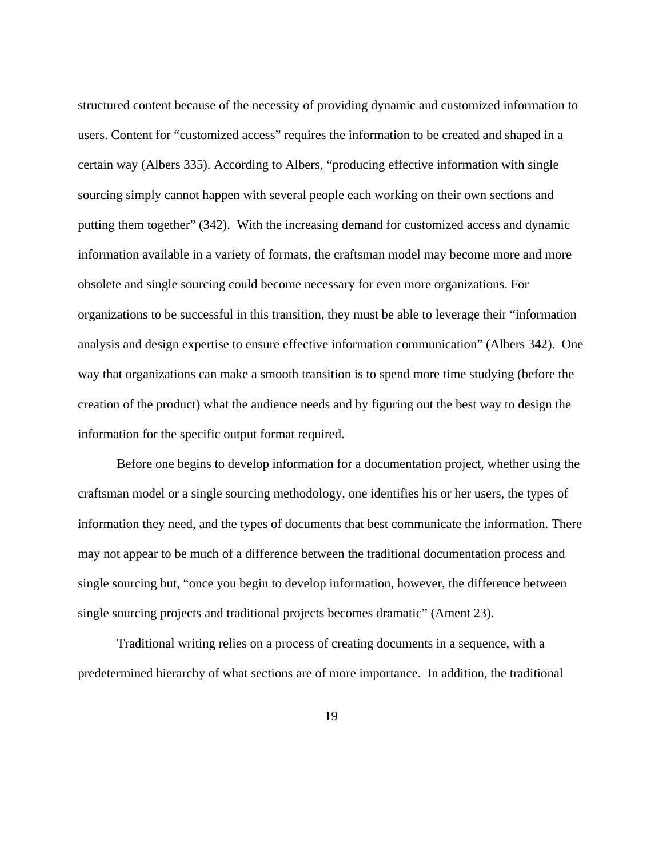structured content because of the necessity of providing dynamic and customized information to users. Content for "customized access" requires the information to be created and shaped in a certain way (Albers 335). According to Albers, "producing effective information with single sourcing simply cannot happen with several people each working on their own sections and putting them together" (342). With the increasing demand for customized access and dynamic information available in a variety of formats, the craftsman model may become more and more obsolete and single sourcing could become necessary for even more organizations. For organizations to be successful in this transition, they must be able to leverage their "information analysis and design expertise to ensure effective information communication" (Albers 342). One way that organizations can make a smooth transition is to spend more time studying (before the creation of the product) what the audience needs and by figuring out the best way to design the information for the specific output format required.

 Before one begins to develop information for a documentation project, whether using the craftsman model or a single sourcing methodology, one identifies his or her users, the types of information they need, and the types of documents that best communicate the information. There may not appear to be much of a difference between the traditional documentation process and single sourcing but, "once you begin to develop information, however, the difference between single sourcing projects and traditional projects becomes dramatic" (Ament 23).

Traditional writing relies on a process of creating documents in a sequence, with a predetermined hierarchy of what sections are of more importance. In addition, the traditional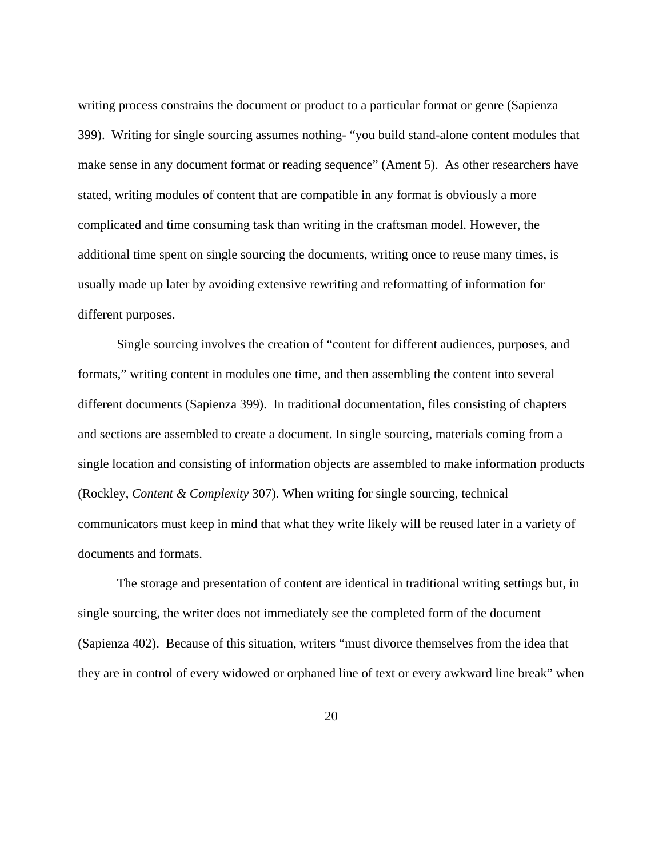writing process constrains the document or product to a particular format or genre (Sapienza 399). Writing for single sourcing assumes nothing- "you build stand-alone content modules that make sense in any document format or reading sequence" (Ament 5). As other researchers have stated, writing modules of content that are compatible in any format is obviously a more complicated and time consuming task than writing in the craftsman model. However, the additional time spent on single sourcing the documents, writing once to reuse many times, is usually made up later by avoiding extensive rewriting and reformatting of information for different purposes.

Single sourcing involves the creation of "content for different audiences, purposes, and formats," writing content in modules one time, and then assembling the content into several different documents (Sapienza 399). In traditional documentation, files consisting of chapters and sections are assembled to create a document. In single sourcing, materials coming from a single location and consisting of information objects are assembled to make information products (Rockley, *Content & Complexity* 307). When writing for single sourcing, technical communicators must keep in mind that what they write likely will be reused later in a variety of documents and formats.

The storage and presentation of content are identical in traditional writing settings but, in single sourcing, the writer does not immediately see the completed form of the document (Sapienza 402). Because of this situation, writers "must divorce themselves from the idea that they are in control of every widowed or orphaned line of text or every awkward line break" when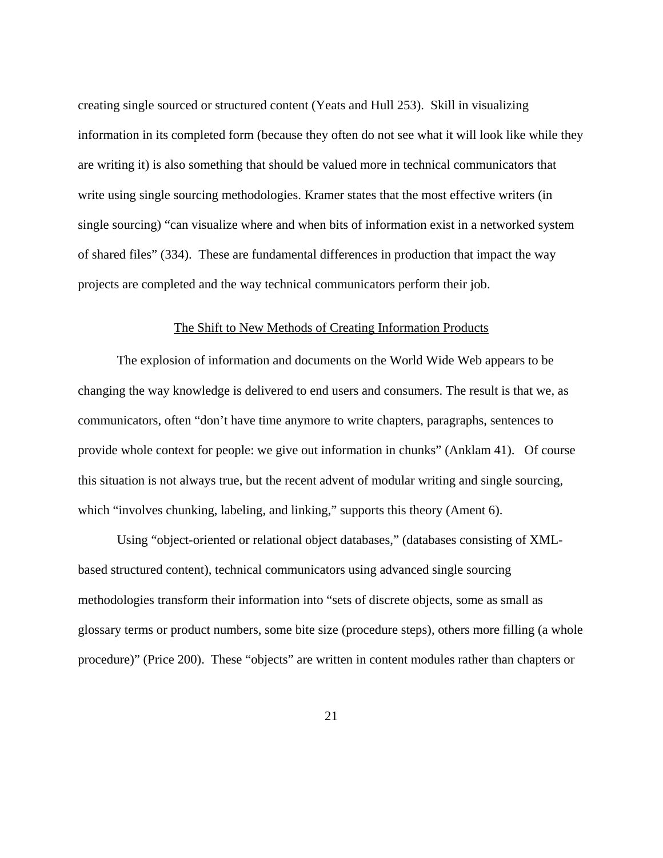<span id="page-27-0"></span>creating single sourced or structured content (Yeats and Hull 253). Skill in visualizing information in its completed form (because they often do not see what it will look like while they are writing it) is also something that should be valued more in technical communicators that write using single sourcing methodologies. Kramer states that the most effective writers (in single sourcing) "can visualize where and when bits of information exist in a networked system of shared files" (334). These are fundamental differences in production that impact the way projects are completed and the way technical communicators perform their job.

#### The Shift to New Methods of Creating Information Products

The explosion of information and documents on the World Wide Web appears to be changing the way knowledge is delivered to end users and consumers. The result is that we, as communicators, often "don't have time anymore to write chapters, paragraphs, sentences to provide whole context for people: we give out information in chunks" (Anklam 41). Of course this situation is not always true, but the recent advent of modular writing and single sourcing, which "involves chunking, labeling, and linking," supports this theory (Ament 6).

Using "object-oriented or relational object databases," (databases consisting of XMLbased structured content), technical communicators using advanced single sourcing methodologies transform their information into "sets of discrete objects, some as small as glossary terms or product numbers, some bite size (procedure steps), others more filling (a whole procedure)" (Price 200). These "objects" are written in content modules rather than chapters or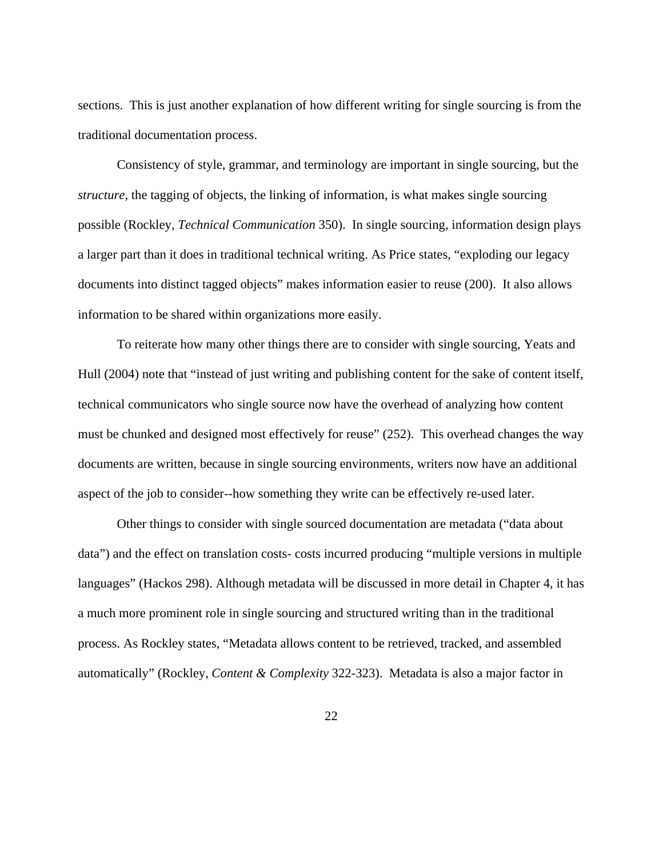sections. This is just another explanation of how different writing for single sourcing is from the traditional documentation process.

Consistency of style, grammar, and terminology are important in single sourcing, but the *structure*, the tagging of objects, the linking of information, is what makes single sourcing possible (Rockley, *Technical Communication* 350). In single sourcing, information design plays a larger part than it does in traditional technical writing. As Price states, "exploding our legacy documents into distinct tagged objects" makes information easier to reuse (200). It also allows information to be shared within organizations more easily.

To reiterate how many other things there are to consider with single sourcing, Yeats and Hull (2004) note that "instead of just writing and publishing content for the sake of content itself, technical communicators who single source now have the overhead of analyzing how content must be chunked and designed most effectively for reuse" (252). This overhead changes the way documents are written, because in single sourcing environments, writers now have an additional aspect of the job to consider--how something they write can be effectively re-used later.

Other things to consider with single sourced documentation are metadata ("data about data") and the effect on translation costs- costs incurred producing "multiple versions in multiple languages" (Hackos 298). Although metadata will be discussed in more detail in Chapter 4, it has a much more prominent role in single sourcing and structured writing than in the traditional process. As Rockley states, "Metadata allows content to be retrieved, tracked, and assembled automatically" (Rockley, *Content & Complexity* 322-323). Metadata is also a major factor in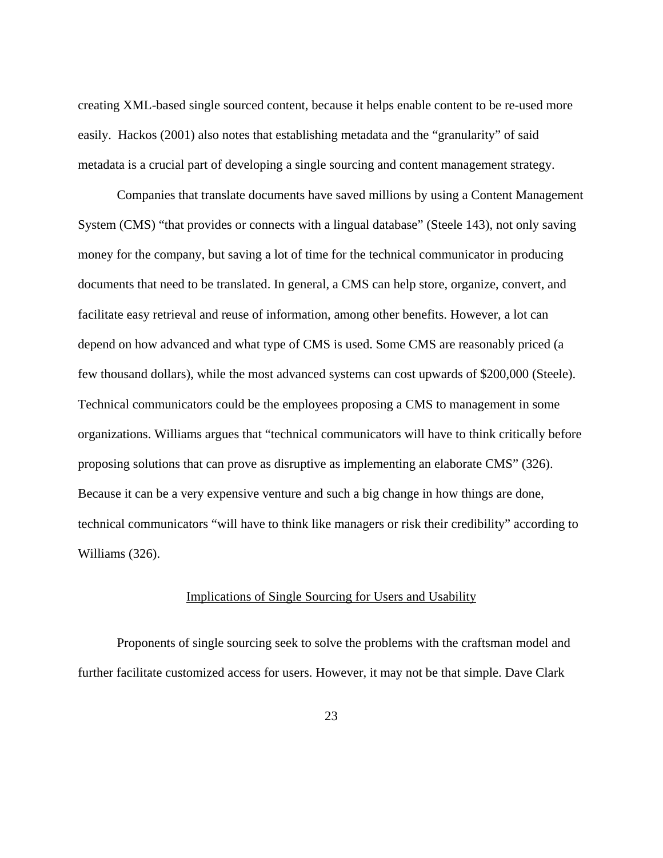<span id="page-29-0"></span>creating XML-based single sourced content, because it helps enable content to be re-used more easily. Hackos (2001) also notes that establishing metadata and the "granularity" of said metadata is a crucial part of developing a single sourcing and content management strategy.

Companies that translate documents have saved millions by using a Content Management System (CMS) "that provides or connects with a lingual database" (Steele 143), not only saving money for the company, but saving a lot of time for the technical communicator in producing documents that need to be translated. In general, a CMS can help store, organize, convert, and facilitate easy retrieval and reuse of information, among other benefits. However, a lot can depend on how advanced and what type of CMS is used. Some CMS are reasonably priced (a few thousand dollars), while the most advanced systems can cost upwards of \$200,000 (Steele). Technical communicators could be the employees proposing a CMS to management in some organizations. Williams argues that "technical communicators will have to think critically before proposing solutions that can prove as disruptive as implementing an elaborate CMS" (326). Because it can be a very expensive venture and such a big change in how things are done, technical communicators "will have to think like managers or risk their credibility" according to Williams (326).

### Implications of Single Sourcing for Users and Usability

Proponents of single sourcing seek to solve the problems with the craftsman model and further facilitate customized access for users. However, it may not be that simple. Dave Clark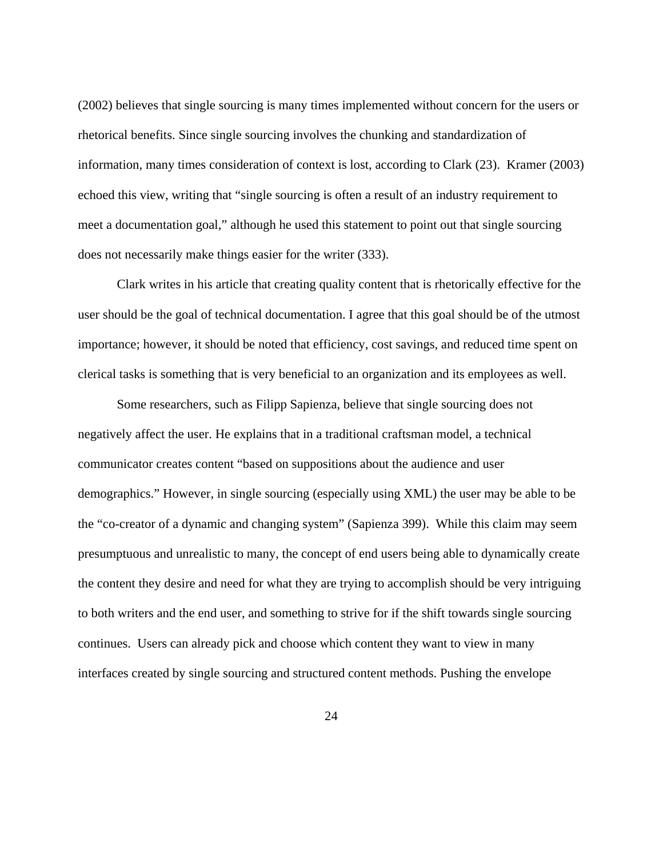(2002) believes that single sourcing is many times implemented without concern for the users or rhetorical benefits. Since single sourcing involves the chunking and standardization of information, many times consideration of context is lost, according to Clark (23). Kramer (2003) echoed this view, writing that "single sourcing is often a result of an industry requirement to meet a documentation goal," although he used this statement to point out that single sourcing does not necessarily make things easier for the writer (333).

Clark writes in his article that creating quality content that is rhetorically effective for the user should be the goal of technical documentation. I agree that this goal should be of the utmost importance; however, it should be noted that efficiency, cost savings, and reduced time spent on clerical tasks is something that is very beneficial to an organization and its employees as well.

Some researchers, such as Filipp Sapienza, believe that single sourcing does not negatively affect the user. He explains that in a traditional craftsman model, a technical communicator creates content "based on suppositions about the audience and user demographics." However, in single sourcing (especially using XML) the user may be able to be the "co-creator of a dynamic and changing system" (Sapienza 399). While this claim may seem presumptuous and unrealistic to many, the concept of end users being able to dynamically create the content they desire and need for what they are trying to accomplish should be very intriguing to both writers and the end user, and something to strive for if the shift towards single sourcing continues. Users can already pick and choose which content they want to view in many interfaces created by single sourcing and structured content methods. Pushing the envelope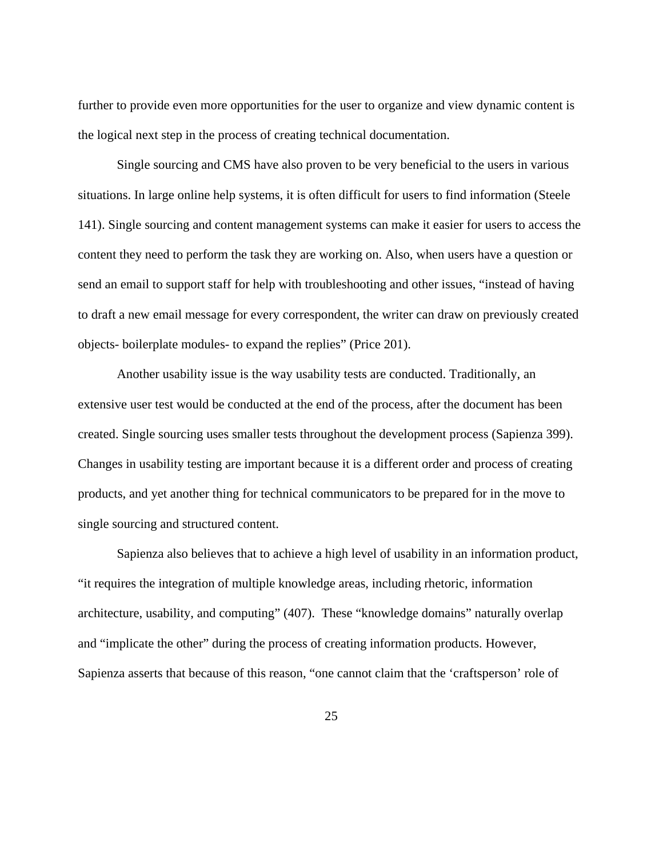further to provide even more opportunities for the user to organize and view dynamic content is the logical next step in the process of creating technical documentation.

Single sourcing and CMS have also proven to be very beneficial to the users in various situations. In large online help systems, it is often difficult for users to find information (Steele 141). Single sourcing and content management systems can make it easier for users to access the content they need to perform the task they are working on. Also, when users have a question or send an email to support staff for help with troubleshooting and other issues, "instead of having to draft a new email message for every correspondent, the writer can draw on previously created objects- boilerplate modules- to expand the replies" (Price 201).

Another usability issue is the way usability tests are conducted. Traditionally, an extensive user test would be conducted at the end of the process, after the document has been created. Single sourcing uses smaller tests throughout the development process (Sapienza 399). Changes in usability testing are important because it is a different order and process of creating products, and yet another thing for technical communicators to be prepared for in the move to single sourcing and structured content.

Sapienza also believes that to achieve a high level of usability in an information product, "it requires the integration of multiple knowledge areas, including rhetoric, information architecture, usability, and computing" (407). These "knowledge domains" naturally overlap and "implicate the other" during the process of creating information products. However, Sapienza asserts that because of this reason, "one cannot claim that the 'craftsperson' role of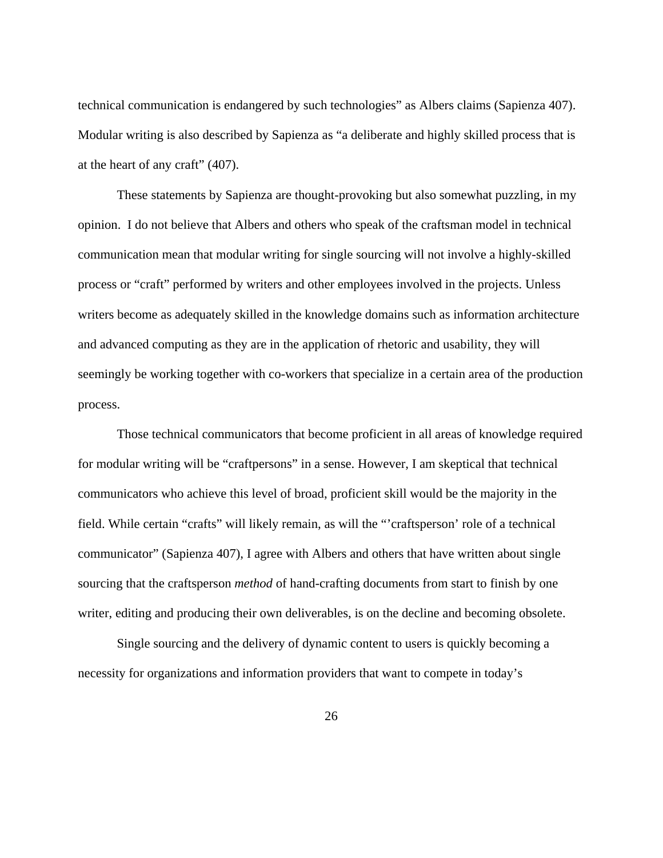technical communication is endangered by such technologies" as Albers claims (Sapienza 407). Modular writing is also described by Sapienza as "a deliberate and highly skilled process that is at the heart of any craft" (407).

These statements by Sapienza are thought-provoking but also somewhat puzzling, in my opinion. I do not believe that Albers and others who speak of the craftsman model in technical communication mean that modular writing for single sourcing will not involve a highly-skilled process or "craft" performed by writers and other employees involved in the projects. Unless writers become as adequately skilled in the knowledge domains such as information architecture and advanced computing as they are in the application of rhetoric and usability, they will seemingly be working together with co-workers that specialize in a certain area of the production process.

Those technical communicators that become proficient in all areas of knowledge required for modular writing will be "craftpersons" in a sense. However, I am skeptical that technical communicators who achieve this level of broad, proficient skill would be the majority in the field. While certain "crafts" will likely remain, as will the "'craftsperson' role of a technical communicator" (Sapienza 407), I agree with Albers and others that have written about single sourcing that the craftsperson *method* of hand-crafting documents from start to finish by one writer, editing and producing their own deliverables, is on the decline and becoming obsolete.

Single sourcing and the delivery of dynamic content to users is quickly becoming a necessity for organizations and information providers that want to compete in today's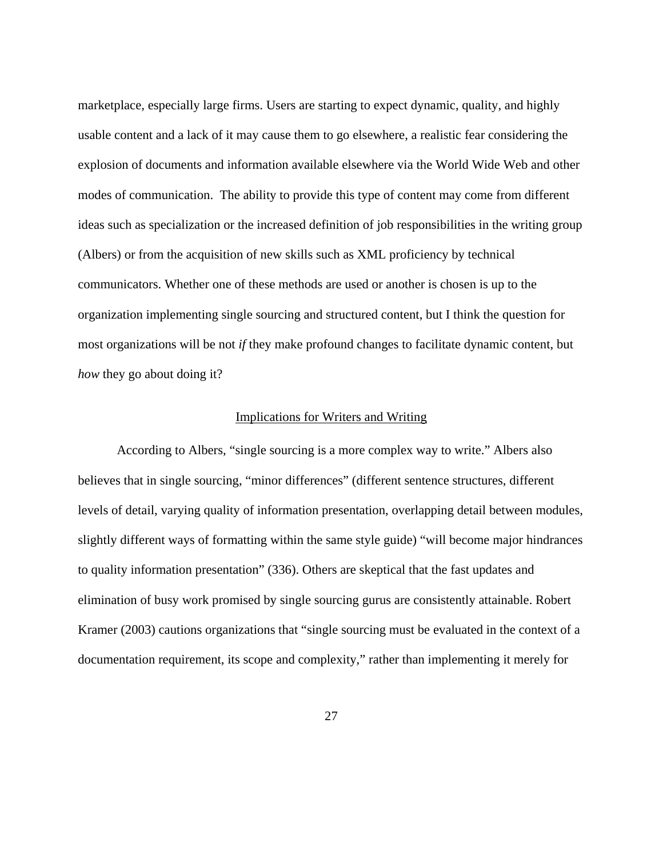<span id="page-33-0"></span>marketplace, especially large firms. Users are starting to expect dynamic, quality, and highly usable content and a lack of it may cause them to go elsewhere, a realistic fear considering the explosion of documents and information available elsewhere via the World Wide Web and other modes of communication. The ability to provide this type of content may come from different ideas such as specialization or the increased definition of job responsibilities in the writing group (Albers) or from the acquisition of new skills such as XML proficiency by technical communicators. Whether one of these methods are used or another is chosen is up to the organization implementing single sourcing and structured content, but I think the question for most organizations will be not *if* they make profound changes to facilitate dynamic content, but *how* they go about doing it?

#### Implications for Writers and Writing

According to Albers, "single sourcing is a more complex way to write." Albers also believes that in single sourcing, "minor differences" (different sentence structures, different levels of detail, varying quality of information presentation, overlapping detail between modules, slightly different ways of formatting within the same style guide) "will become major hindrances to quality information presentation" (336). Others are skeptical that the fast updates and elimination of busy work promised by single sourcing gurus are consistently attainable. Robert Kramer (2003) cautions organizations that "single sourcing must be evaluated in the context of a documentation requirement, its scope and complexity," rather than implementing it merely for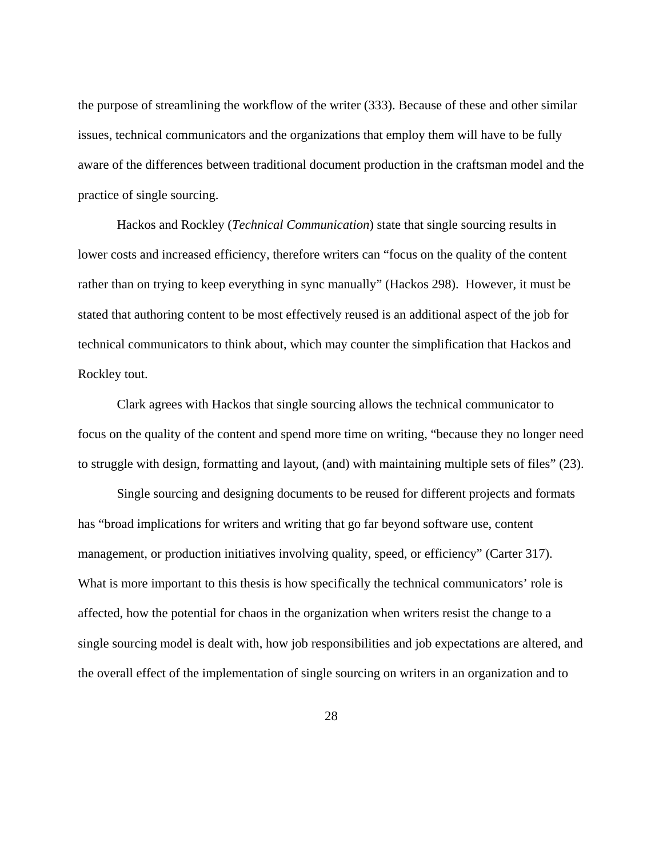the purpose of streamlining the workflow of the writer (333). Because of these and other similar issues, technical communicators and the organizations that employ them will have to be fully aware of the differences between traditional document production in the craftsman model and the practice of single sourcing.

 Hackos and Rockley (*Technical Communication*) state that single sourcing results in lower costs and increased efficiency, therefore writers can "focus on the quality of the content rather than on trying to keep everything in sync manually" (Hackos 298). However, it must be stated that authoring content to be most effectively reused is an additional aspect of the job for technical communicators to think about, which may counter the simplification that Hackos and Rockley tout.

Clark agrees with Hackos that single sourcing allows the technical communicator to focus on the quality of the content and spend more time on writing, "because they no longer need to struggle with design, formatting and layout, (and) with maintaining multiple sets of files" (23).

Single sourcing and designing documents to be reused for different projects and formats has "broad implications for writers and writing that go far beyond software use, content management, or production initiatives involving quality, speed, or efficiency" (Carter 317). What is more important to this thesis is how specifically the technical communicators' role is affected, how the potential for chaos in the organization when writers resist the change to a single sourcing model is dealt with, how job responsibilities and job expectations are altered, and the overall effect of the implementation of single sourcing on writers in an organization and to

28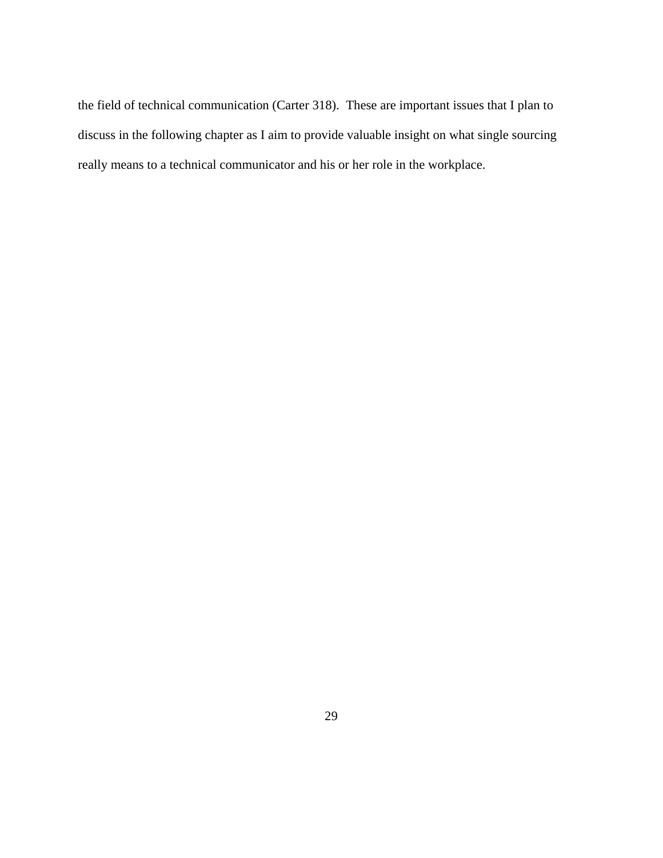the field of technical communication (Carter 318). These are important issues that I plan to discuss in the following chapter as I aim to provide valuable insight on what single sourcing really means to a technical communicator and his or her role in the workplace.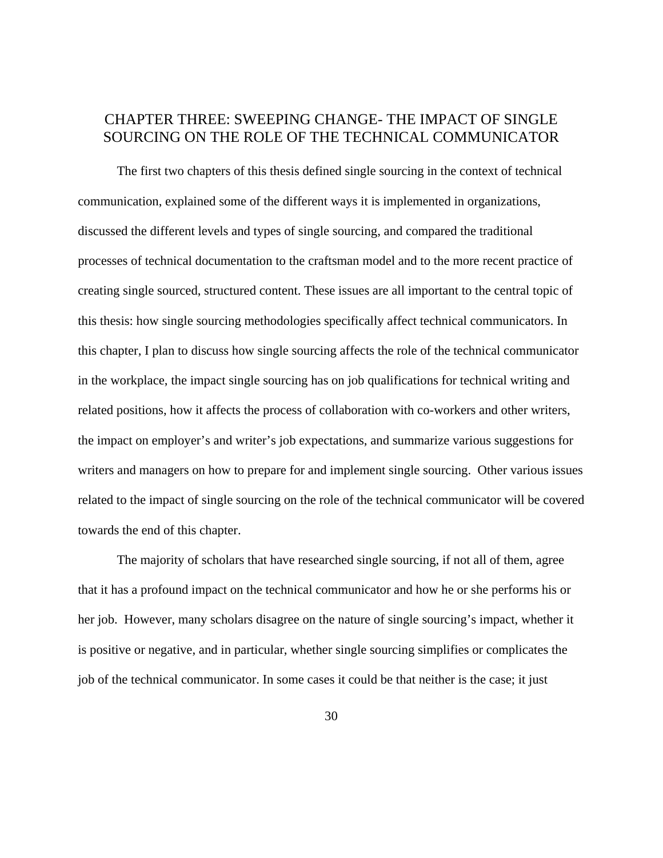# CHAPTER THREE: SWEEPING CHANGE- THE IMPACT OF SINGLE SOURCING ON THE ROLE OF THE TECHNICAL COMMUNICATOR

The first two chapters of this thesis defined single sourcing in the context of technical communication, explained some of the different ways it is implemented in organizations, discussed the different levels and types of single sourcing, and compared the traditional processes of technical documentation to the craftsman model and to the more recent practice of creating single sourced, structured content. These issues are all important to the central topic of this thesis: how single sourcing methodologies specifically affect technical communicators. In this chapter, I plan to discuss how single sourcing affects the role of the technical communicator in the workplace, the impact single sourcing has on job qualifications for technical writing and related positions, how it affects the process of collaboration with co-workers and other writers, the impact on employer's and writer's job expectations, and summarize various suggestions for writers and managers on how to prepare for and implement single sourcing. Other various issues related to the impact of single sourcing on the role of the technical communicator will be covered towards the end of this chapter.

The majority of scholars that have researched single sourcing, if not all of them, agree that it has a profound impact on the technical communicator and how he or she performs his or her job. However, many scholars disagree on the nature of single sourcing's impact, whether it is positive or negative, and in particular, whether single sourcing simplifies or complicates the job of the technical communicator. In some cases it could be that neither is the case; it just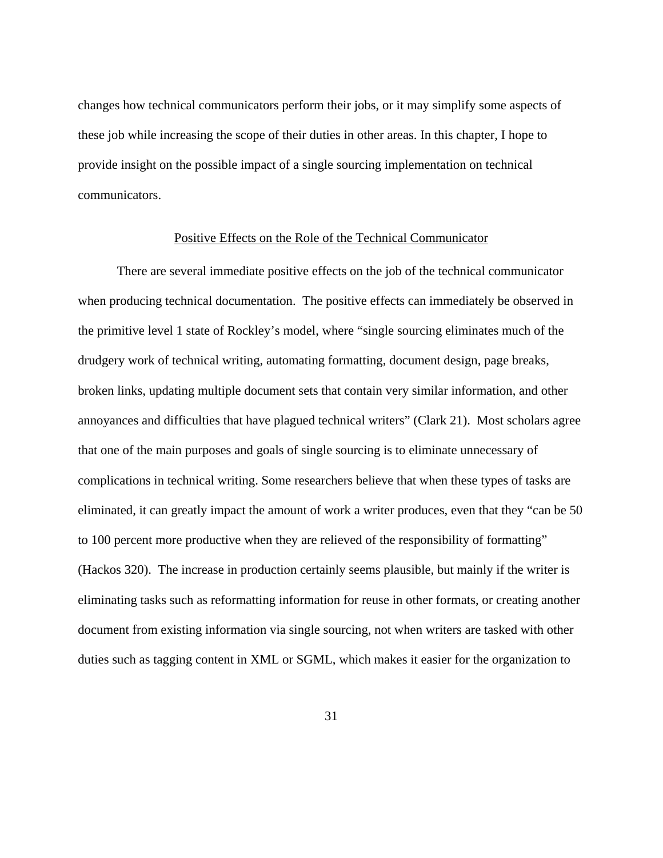changes how technical communicators perform their jobs, or it may simplify some aspects of these job while increasing the scope of their duties in other areas. In this chapter, I hope to provide insight on the possible impact of a single sourcing implementation on technical communicators.

#### Positive Effects on the Role of the Technical Communicator

There are several immediate positive effects on the job of the technical communicator when producing technical documentation. The positive effects can immediately be observed in the primitive level 1 state of Rockley's model, where "single sourcing eliminates much of the drudgery work of technical writing, automating formatting, document design, page breaks, broken links, updating multiple document sets that contain very similar information, and other annoyances and difficulties that have plagued technical writers" (Clark 21). Most scholars agree that one of the main purposes and goals of single sourcing is to eliminate unnecessary of complications in technical writing. Some researchers believe that when these types of tasks are eliminated, it can greatly impact the amount of work a writer produces, even that they "can be 50 to 100 percent more productive when they are relieved of the responsibility of formatting" (Hackos 320). The increase in production certainly seems plausible, but mainly if the writer is eliminating tasks such as reformatting information for reuse in other formats, or creating another document from existing information via single sourcing, not when writers are tasked with other duties such as tagging content in XML or SGML, which makes it easier for the organization to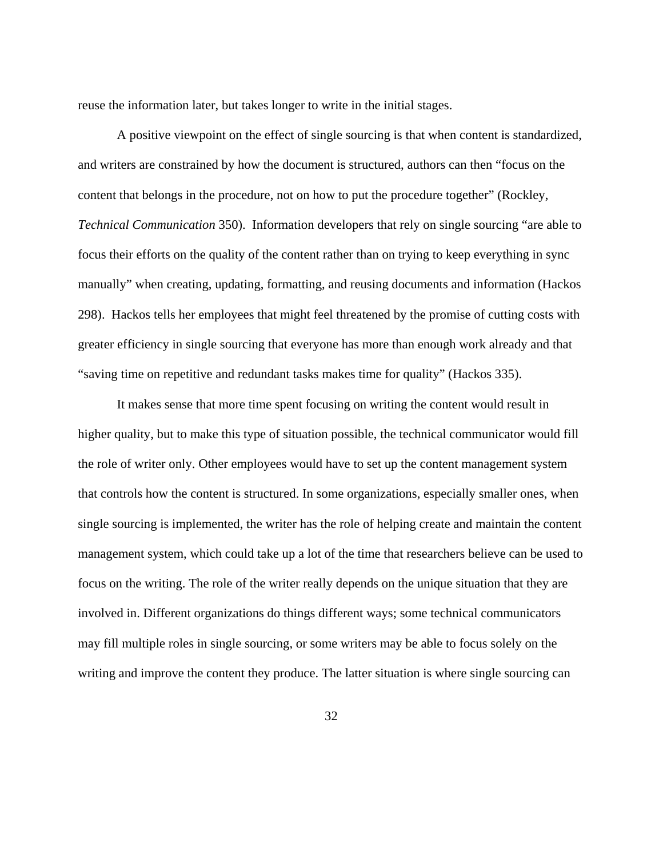reuse the information later, but takes longer to write in the initial stages.

A positive viewpoint on the effect of single sourcing is that when content is standardized, and writers are constrained by how the document is structured, authors can then "focus on the content that belongs in the procedure, not on how to put the procedure together" (Rockley, *Technical Communication* 350). Information developers that rely on single sourcing "are able to focus their efforts on the quality of the content rather than on trying to keep everything in sync manually" when creating, updating, formatting, and reusing documents and information (Hackos 298). Hackos tells her employees that might feel threatened by the promise of cutting costs with greater efficiency in single sourcing that everyone has more than enough work already and that "saving time on repetitive and redundant tasks makes time for quality" (Hackos 335).

It makes sense that more time spent focusing on writing the content would result in higher quality, but to make this type of situation possible, the technical communicator would fill the role of writer only. Other employees would have to set up the content management system that controls how the content is structured. In some organizations, especially smaller ones, when single sourcing is implemented, the writer has the role of helping create and maintain the content management system, which could take up a lot of the time that researchers believe can be used to focus on the writing. The role of the writer really depends on the unique situation that they are involved in. Different organizations do things different ways; some technical communicators may fill multiple roles in single sourcing, or some writers may be able to focus solely on the writing and improve the content they produce. The latter situation is where single sourcing can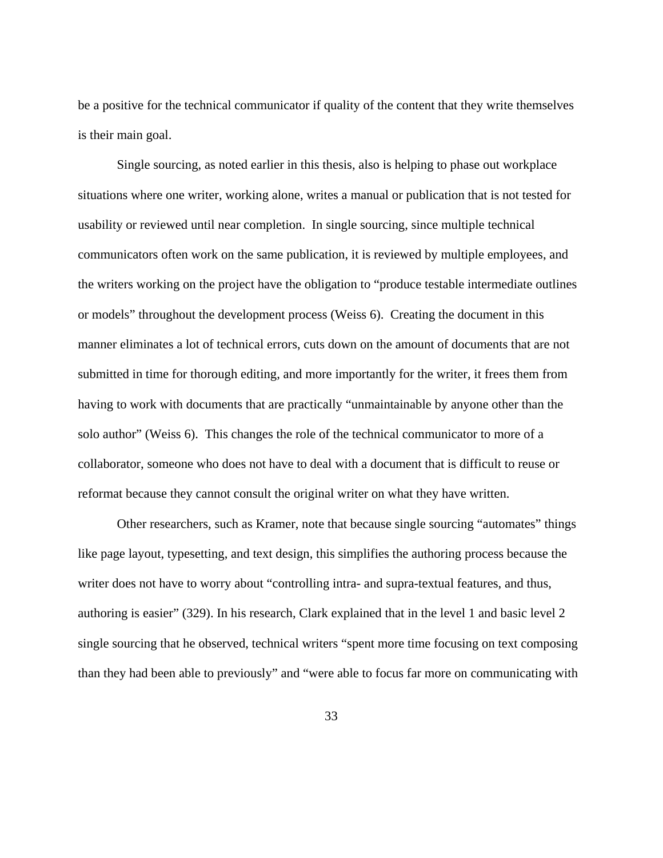be a positive for the technical communicator if quality of the content that they write themselves is their main goal.

Single sourcing, as noted earlier in this thesis, also is helping to phase out workplace situations where one writer, working alone, writes a manual or publication that is not tested for usability or reviewed until near completion. In single sourcing, since multiple technical communicators often work on the same publication, it is reviewed by multiple employees, and the writers working on the project have the obligation to "produce testable intermediate outlines or models" throughout the development process (Weiss 6). Creating the document in this manner eliminates a lot of technical errors, cuts down on the amount of documents that are not submitted in time for thorough editing, and more importantly for the writer, it frees them from having to work with documents that are practically "unmaintainable by anyone other than the solo author" (Weiss 6). This changes the role of the technical communicator to more of a collaborator, someone who does not have to deal with a document that is difficult to reuse or reformat because they cannot consult the original writer on what they have written.

Other researchers, such as Kramer, note that because single sourcing "automates" things like page layout, typesetting, and text design, this simplifies the authoring process because the writer does not have to worry about "controlling intra- and supra-textual features, and thus, authoring is easier" (329). In his research, Clark explained that in the level 1 and basic level 2 single sourcing that he observed, technical writers "spent more time focusing on text composing than they had been able to previously" and "were able to focus far more on communicating with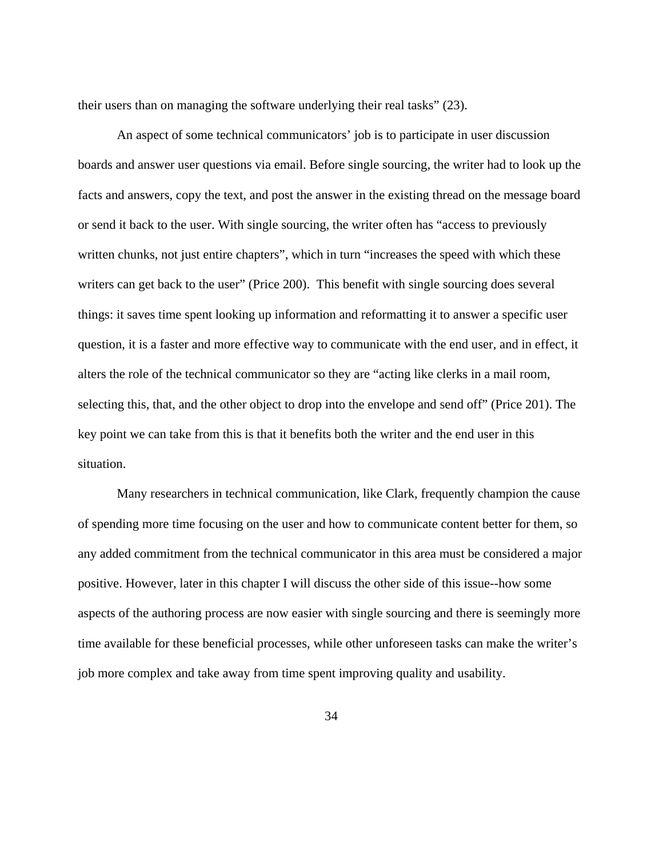their users than on managing the software underlying their real tasks" (23).

An aspect of some technical communicators' job is to participate in user discussion boards and answer user questions via email. Before single sourcing, the writer had to look up the facts and answers, copy the text, and post the answer in the existing thread on the message board or send it back to the user. With single sourcing, the writer often has "access to previously written chunks, not just entire chapters", which in turn "increases the speed with which these writers can get back to the user" (Price 200). This benefit with single sourcing does several things: it saves time spent looking up information and reformatting it to answer a specific user question, it is a faster and more effective way to communicate with the end user, and in effect, it alters the role of the technical communicator so they are "acting like clerks in a mail room, selecting this, that, and the other object to drop into the envelope and send off" (Price 201). The key point we can take from this is that it benefits both the writer and the end user in this situation.

Many researchers in technical communication, like Clark, frequently champion the cause of spending more time focusing on the user and how to communicate content better for them, so any added commitment from the technical communicator in this area must be considered a major positive. However, later in this chapter I will discuss the other side of this issue--how some aspects of the authoring process are now easier with single sourcing and there is seemingly more time available for these beneficial processes, while other unforeseen tasks can make the writer's job more complex and take away from time spent improving quality and usability.

34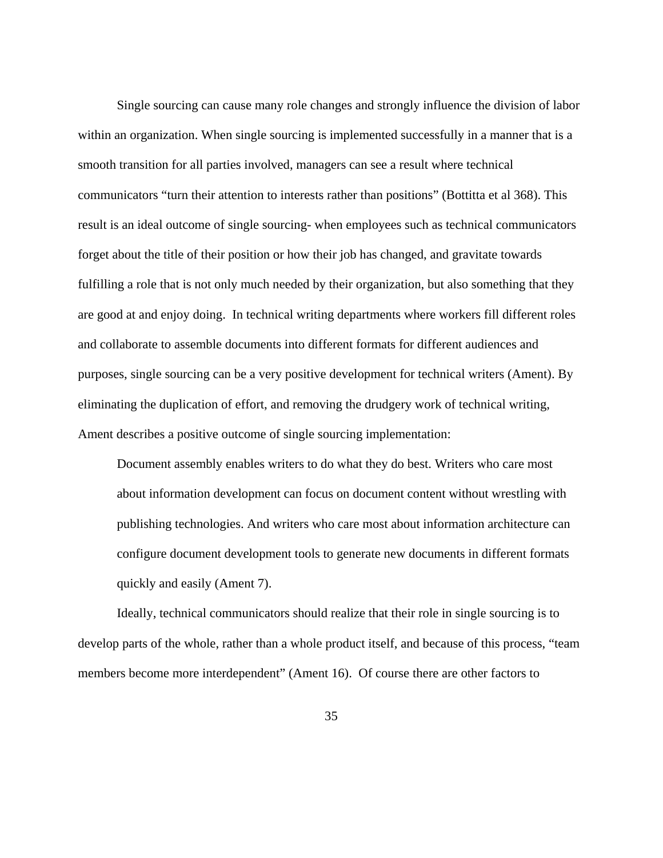Single sourcing can cause many role changes and strongly influence the division of labor within an organization. When single sourcing is implemented successfully in a manner that is a smooth transition for all parties involved, managers can see a result where technical communicators "turn their attention to interests rather than positions" (Bottitta et al 368). This result is an ideal outcome of single sourcing- when employees such as technical communicators forget about the title of their position or how their job has changed, and gravitate towards fulfilling a role that is not only much needed by their organization, but also something that they are good at and enjoy doing. In technical writing departments where workers fill different roles and collaborate to assemble documents into different formats for different audiences and purposes, single sourcing can be a very positive development for technical writers (Ament). By eliminating the duplication of effort, and removing the drudgery work of technical writing, Ament describes a positive outcome of single sourcing implementation:

Document assembly enables writers to do what they do best. Writers who care most about information development can focus on document content without wrestling with publishing technologies. And writers who care most about information architecture can configure document development tools to generate new documents in different formats quickly and easily (Ament 7).

Ideally, technical communicators should realize that their role in single sourcing is to develop parts of the whole, rather than a whole product itself, and because of this process, "team members become more interdependent" (Ament 16). Of course there are other factors to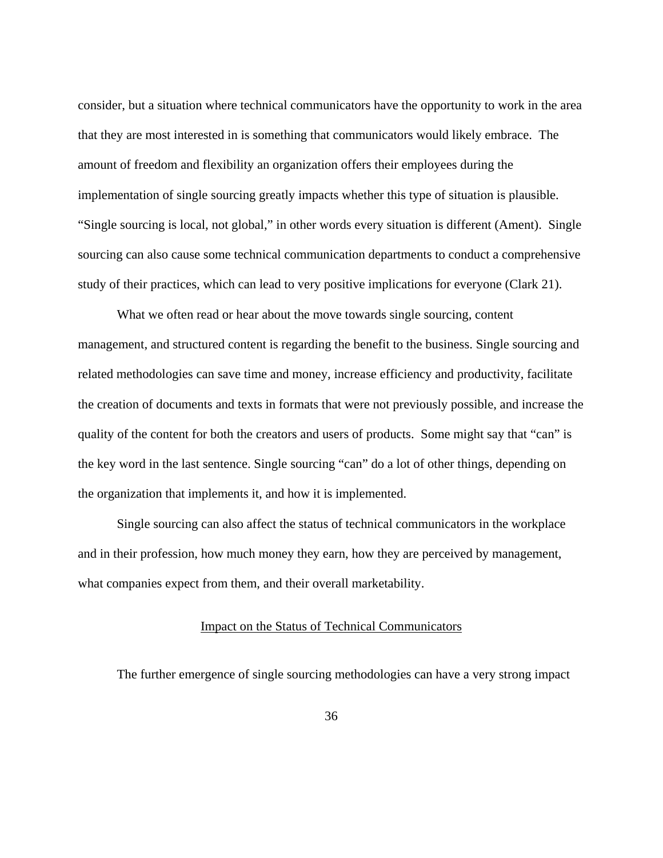consider, but a situation where technical communicators have the opportunity to work in the area that they are most interested in is something that communicators would likely embrace. The amount of freedom and flexibility an organization offers their employees during the implementation of single sourcing greatly impacts whether this type of situation is plausible. "Single sourcing is local, not global," in other words every situation is different (Ament). Single sourcing can also cause some technical communication departments to conduct a comprehensive study of their practices, which can lead to very positive implications for everyone (Clark 21).

 What we often read or hear about the move towards single sourcing, content management, and structured content is regarding the benefit to the business. Single sourcing and related methodologies can save time and money, increase efficiency and productivity, facilitate the creation of documents and texts in formats that were not previously possible, and increase the quality of the content for both the creators and users of products. Some might say that "can" is the key word in the last sentence. Single sourcing "can" do a lot of other things, depending on the organization that implements it, and how it is implemented.

Single sourcing can also affect the status of technical communicators in the workplace and in their profession, how much money they earn, how they are perceived by management, what companies expect from them, and their overall marketability.

#### Impact on the Status of Technical Communicators

The further emergence of single sourcing methodologies can have a very strong impact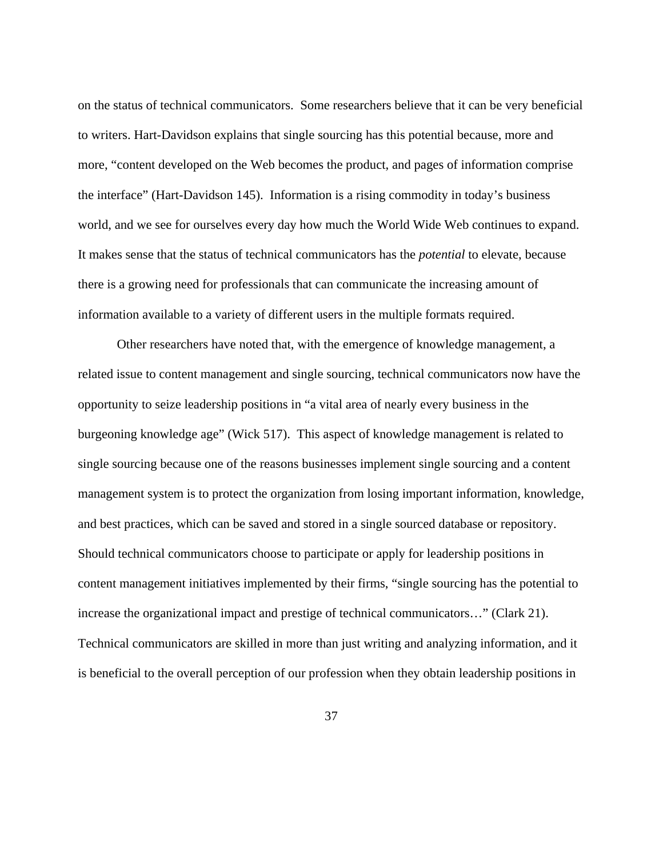on the status of technical communicators. Some researchers believe that it can be very beneficial to writers. Hart-Davidson explains that single sourcing has this potential because, more and more, "content developed on the Web becomes the product, and pages of information comprise the interface" (Hart-Davidson 145). Information is a rising commodity in today's business world, and we see for ourselves every day how much the World Wide Web continues to expand. It makes sense that the status of technical communicators has the *potential* to elevate, because there is a growing need for professionals that can communicate the increasing amount of information available to a variety of different users in the multiple formats required.

Other researchers have noted that, with the emergence of knowledge management, a related issue to content management and single sourcing, technical communicators now have the opportunity to seize leadership positions in "a vital area of nearly every business in the burgeoning knowledge age" (Wick 517). This aspect of knowledge management is related to single sourcing because one of the reasons businesses implement single sourcing and a content management system is to protect the organization from losing important information, knowledge, and best practices, which can be saved and stored in a single sourced database or repository. Should technical communicators choose to participate or apply for leadership positions in content management initiatives implemented by their firms, "single sourcing has the potential to increase the organizational impact and prestige of technical communicators…" (Clark 21). Technical communicators are skilled in more than just writing and analyzing information, and it is beneficial to the overall perception of our profession when they obtain leadership positions in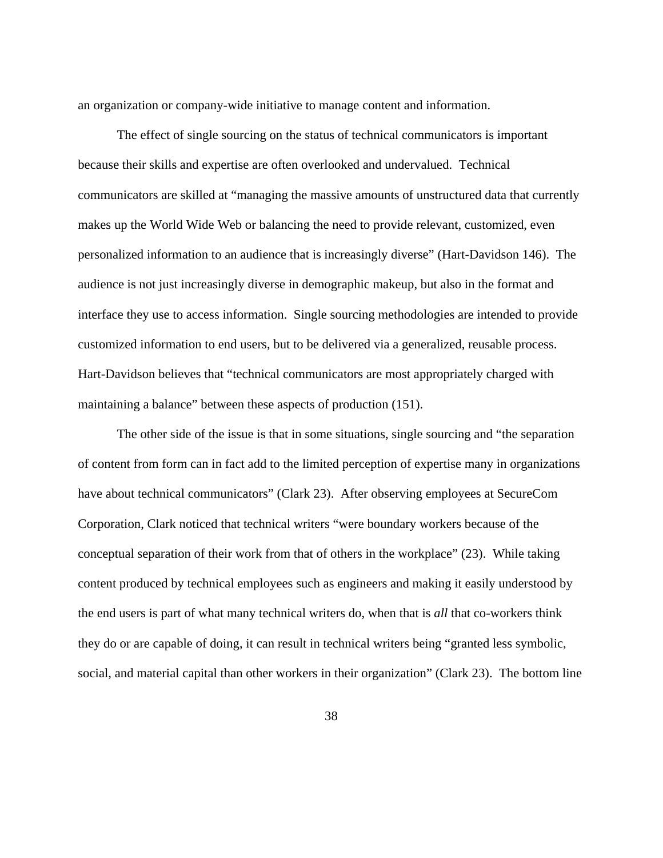an organization or company-wide initiative to manage content and information.

The effect of single sourcing on the status of technical communicators is important because their skills and expertise are often overlooked and undervalued. Technical communicators are skilled at "managing the massive amounts of unstructured data that currently makes up the World Wide Web or balancing the need to provide relevant, customized, even personalized information to an audience that is increasingly diverse" (Hart-Davidson 146). The audience is not just increasingly diverse in demographic makeup, but also in the format and interface they use to access information. Single sourcing methodologies are intended to provide customized information to end users, but to be delivered via a generalized, reusable process. Hart-Davidson believes that "technical communicators are most appropriately charged with maintaining a balance" between these aspects of production (151).

 The other side of the issue is that in some situations, single sourcing and "the separation of content from form can in fact add to the limited perception of expertise many in organizations have about technical communicators" (Clark 23). After observing employees at SecureCom Corporation, Clark noticed that technical writers "were boundary workers because of the conceptual separation of their work from that of others in the workplace" (23). While taking content produced by technical employees such as engineers and making it easily understood by the end users is part of what many technical writers do, when that is *all* that co-workers think they do or are capable of doing, it can result in technical writers being "granted less symbolic, social, and material capital than other workers in their organization" (Clark 23). The bottom line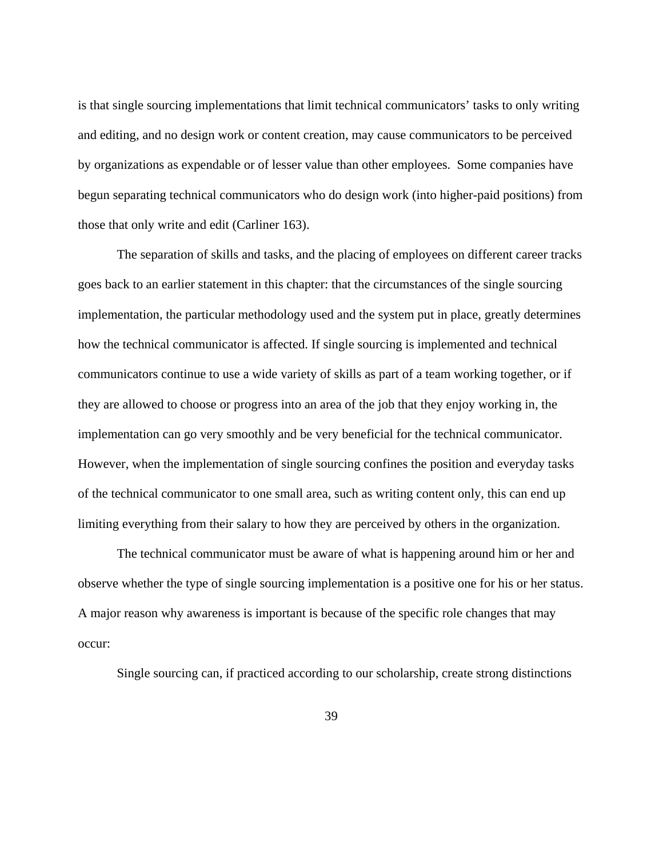is that single sourcing implementations that limit technical communicators' tasks to only writing and editing, and no design work or content creation, may cause communicators to be perceived by organizations as expendable or of lesser value than other employees. Some companies have begun separating technical communicators who do design work (into higher-paid positions) from those that only write and edit (Carliner 163).

The separation of skills and tasks, and the placing of employees on different career tracks goes back to an earlier statement in this chapter: that the circumstances of the single sourcing implementation, the particular methodology used and the system put in place, greatly determines how the technical communicator is affected. If single sourcing is implemented and technical communicators continue to use a wide variety of skills as part of a team working together, or if they are allowed to choose or progress into an area of the job that they enjoy working in, the implementation can go very smoothly and be very beneficial for the technical communicator. However, when the implementation of single sourcing confines the position and everyday tasks of the technical communicator to one small area, such as writing content only, this can end up limiting everything from their salary to how they are perceived by others in the organization.

The technical communicator must be aware of what is happening around him or her and observe whether the type of single sourcing implementation is a positive one for his or her status. A major reason why awareness is important is because of the specific role changes that may occur:

Single sourcing can, if practiced according to our scholarship, create strong distinctions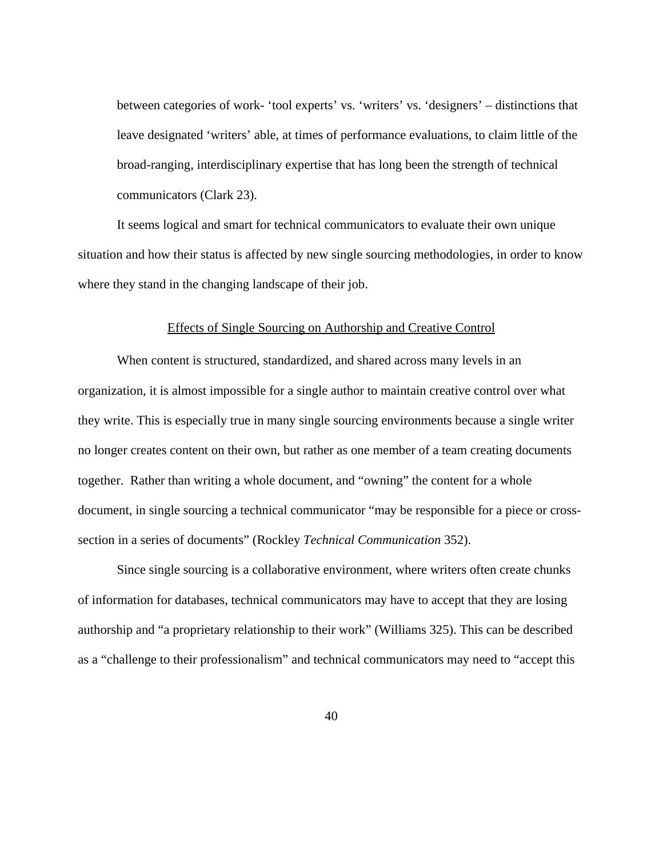between categories of work- 'tool experts' vs. 'writers' vs. 'designers' – distinctions that leave designated 'writers' able, at times of performance evaluations, to claim little of the broad-ranging, interdisciplinary expertise that has long been the strength of technical communicators (Clark 23).

It seems logical and smart for technical communicators to evaluate their own unique situation and how their status is affected by new single sourcing methodologies, in order to know where they stand in the changing landscape of their job.

#### Effects of Single Sourcing on Authorship and Creative Control

 When content is structured, standardized, and shared across many levels in an organization, it is almost impossible for a single author to maintain creative control over what they write. This is especially true in many single sourcing environments because a single writer no longer creates content on their own, but rather as one member of a team creating documents together. Rather than writing a whole document, and "owning" the content for a whole document, in single sourcing a technical communicator "may be responsible for a piece or crosssection in a series of documents" (Rockley *Technical Communication* 352).

 Since single sourcing is a collaborative environment, where writers often create chunks of information for databases, technical communicators may have to accept that they are losing authorship and "a proprietary relationship to their work" (Williams 325). This can be described as a "challenge to their professionalism" and technical communicators may need to "accept this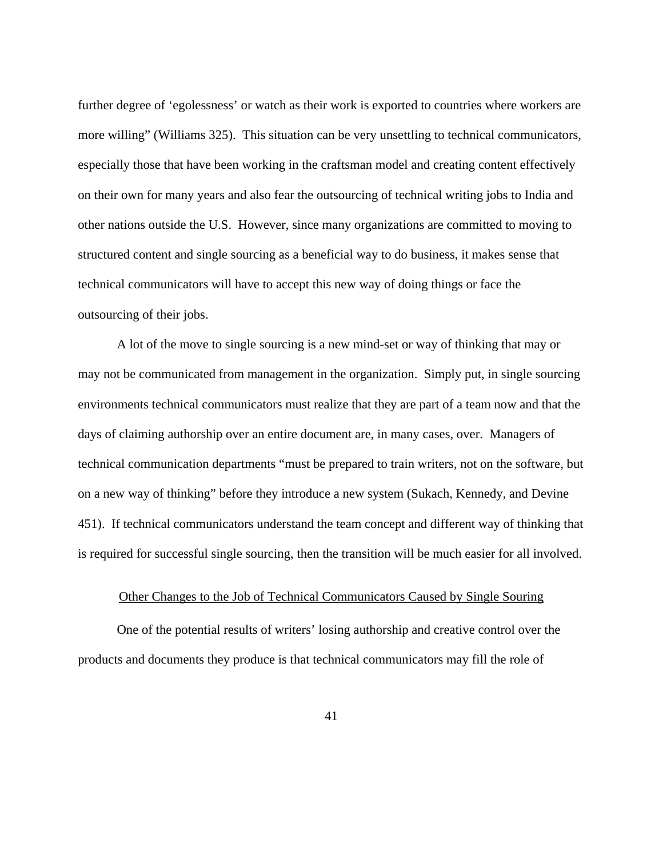further degree of 'egolessness' or watch as their work is exported to countries where workers are more willing" (Williams 325). This situation can be very unsettling to technical communicators, especially those that have been working in the craftsman model and creating content effectively on their own for many years and also fear the outsourcing of technical writing jobs to India and other nations outside the U.S. However, since many organizations are committed to moving to structured content and single sourcing as a beneficial way to do business, it makes sense that technical communicators will have to accept this new way of doing things or face the outsourcing of their jobs.

A lot of the move to single sourcing is a new mind-set or way of thinking that may or may not be communicated from management in the organization. Simply put, in single sourcing environments technical communicators must realize that they are part of a team now and that the days of claiming authorship over an entire document are, in many cases, over. Managers of technical communication departments "must be prepared to train writers, not on the software, but on a new way of thinking" before they introduce a new system (Sukach, Kennedy, and Devine 451). If technical communicators understand the team concept and different way of thinking that is required for successful single sourcing, then the transition will be much easier for all involved.

#### Other Changes to the Job of Technical Communicators Caused by Single Souring

 One of the potential results of writers' losing authorship and creative control over the products and documents they produce is that technical communicators may fill the role of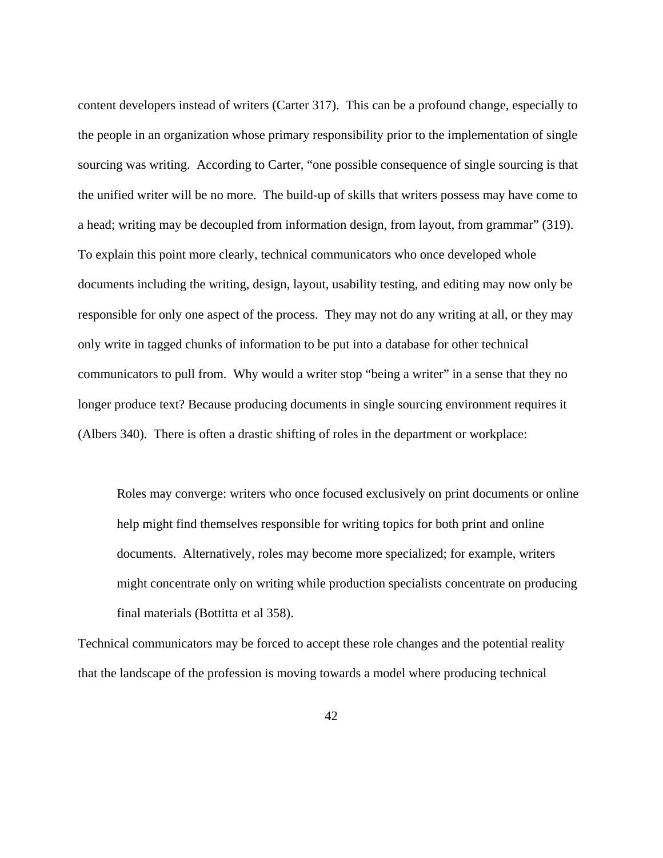content developers instead of writers (Carter 317). This can be a profound change, especially to the people in an organization whose primary responsibility prior to the implementation of single sourcing was writing. According to Carter, "one possible consequence of single sourcing is that the unified writer will be no more. The build-up of skills that writers possess may have come to a head; writing may be decoupled from information design, from layout, from grammar" (319). To explain this point more clearly, technical communicators who once developed whole documents including the writing, design, layout, usability testing, and editing may now only be responsible for only one aspect of the process. They may not do any writing at all, or they may only write in tagged chunks of information to be put into a database for other technical communicators to pull from. Why would a writer stop "being a writer" in a sense that they no longer produce text? Because producing documents in single sourcing environment requires it (Albers 340). There is often a drastic shifting of roles in the department or workplace:

Roles may converge: writers who once focused exclusively on print documents or online help might find themselves responsible for writing topics for both print and online documents. Alternatively, roles may become more specialized; for example, writers might concentrate only on writing while production specialists concentrate on producing final materials (Bottitta et al 358).

Technical communicators may be forced to accept these role changes and the potential reality that the landscape of the profession is moving towards a model where producing technical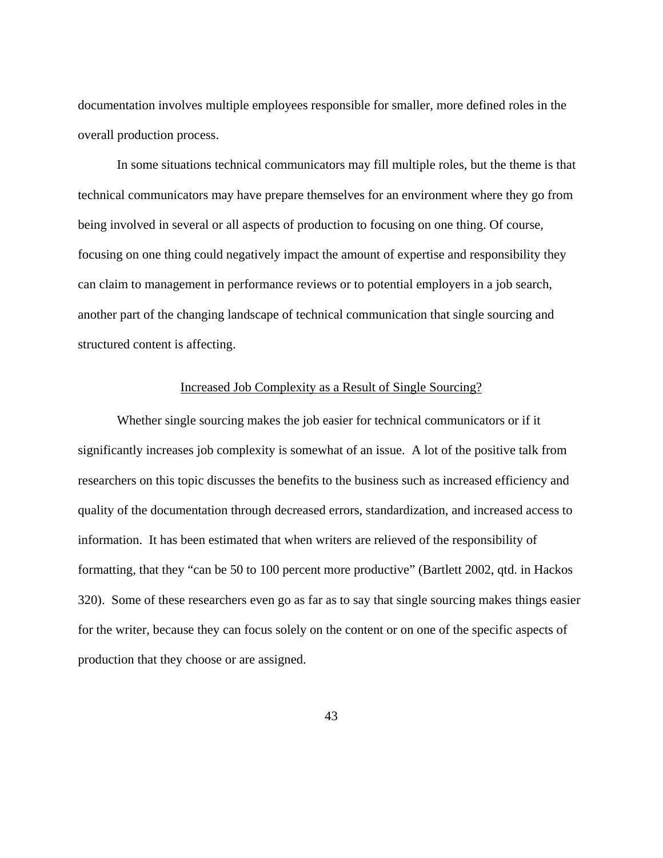documentation involves multiple employees responsible for smaller, more defined roles in the overall production process.

 In some situations technical communicators may fill multiple roles, but the theme is that technical communicators may have prepare themselves for an environment where they go from being involved in several or all aspects of production to focusing on one thing. Of course, focusing on one thing could negatively impact the amount of expertise and responsibility they can claim to management in performance reviews or to potential employers in a job search, another part of the changing landscape of technical communication that single sourcing and structured content is affecting.

### Increased Job Complexity as a Result of Single Sourcing?

Whether single sourcing makes the job easier for technical communicators or if it significantly increases job complexity is somewhat of an issue. A lot of the positive talk from researchers on this topic discusses the benefits to the business such as increased efficiency and quality of the documentation through decreased errors, standardization, and increased access to information. It has been estimated that when writers are relieved of the responsibility of formatting, that they "can be 50 to 100 percent more productive" (Bartlett 2002, qtd. in Hackos 320). Some of these researchers even go as far as to say that single sourcing makes things easier for the writer, because they can focus solely on the content or on one of the specific aspects of production that they choose or are assigned.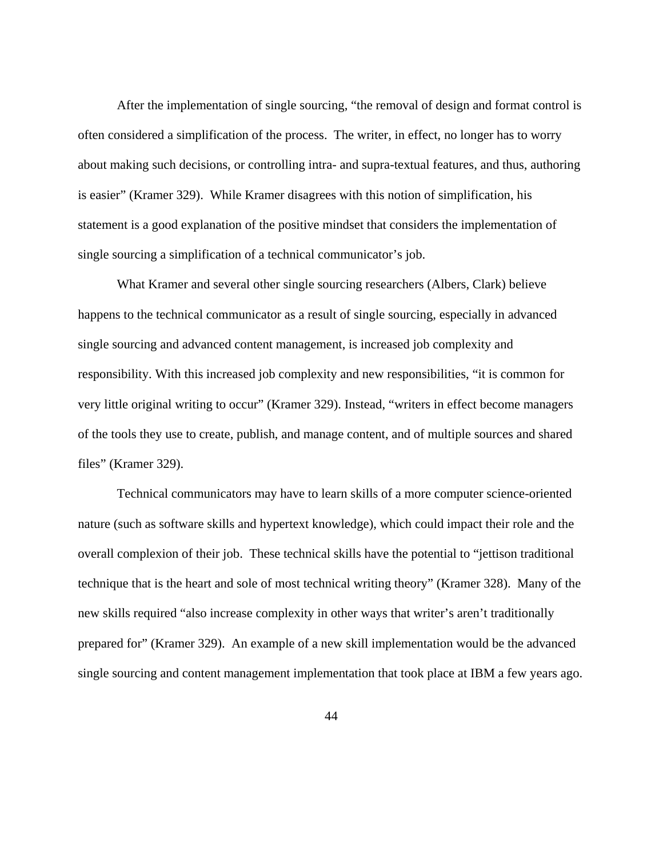After the implementation of single sourcing, "the removal of design and format control is often considered a simplification of the process. The writer, in effect, no longer has to worry about making such decisions, or controlling intra- and supra-textual features, and thus, authoring is easier" (Kramer 329). While Kramer disagrees with this notion of simplification, his statement is a good explanation of the positive mindset that considers the implementation of single sourcing a simplification of a technical communicator's job.

What Kramer and several other single sourcing researchers (Albers, Clark) believe happens to the technical communicator as a result of single sourcing, especially in advanced single sourcing and advanced content management, is increased job complexity and responsibility. With this increased job complexity and new responsibilities, "it is common for very little original writing to occur" (Kramer 329). Instead, "writers in effect become managers of the tools they use to create, publish, and manage content, and of multiple sources and shared files" (Kramer 329).

Technical communicators may have to learn skills of a more computer science-oriented nature (such as software skills and hypertext knowledge), which could impact their role and the overall complexion of their job. These technical skills have the potential to "jettison traditional technique that is the heart and sole of most technical writing theory" (Kramer 328). Many of the new skills required "also increase complexity in other ways that writer's aren't traditionally prepared for" (Kramer 329). An example of a new skill implementation would be the advanced single sourcing and content management implementation that took place at IBM a few years ago.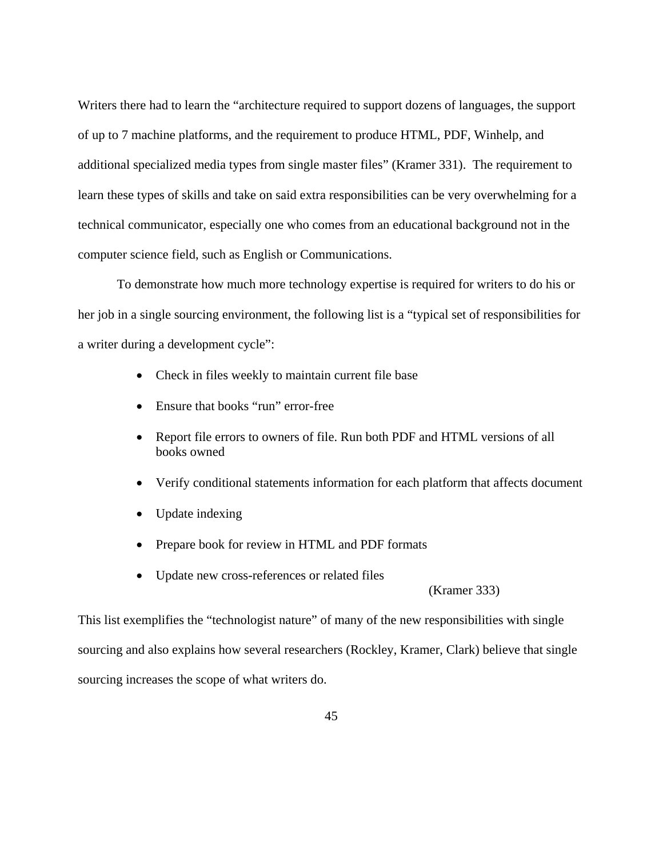Writers there had to learn the "architecture required to support dozens of languages, the support of up to 7 machine platforms, and the requirement to produce HTML, PDF, Winhelp, and additional specialized media types from single master files" (Kramer 331). The requirement to learn these types of skills and take on said extra responsibilities can be very overwhelming for a technical communicator, especially one who comes from an educational background not in the computer science field, such as English or Communications.

To demonstrate how much more technology expertise is required for writers to do his or her job in a single sourcing environment, the following list is a "typical set of responsibilities for a writer during a development cycle":

- Check in files weekly to maintain current file base
- Ensure that books "run" error-free
- Report file errors to owners of file. Run both PDF and HTML versions of all books owned
- Verify conditional statements information for each platform that affects document
- Update indexing
- Prepare book for review in HTML and PDF formats
- Update new cross-references or related files

(Kramer 333)

This list exemplifies the "technologist nature" of many of the new responsibilities with single sourcing and also explains how several researchers (Rockley, Kramer, Clark) believe that single sourcing increases the scope of what writers do.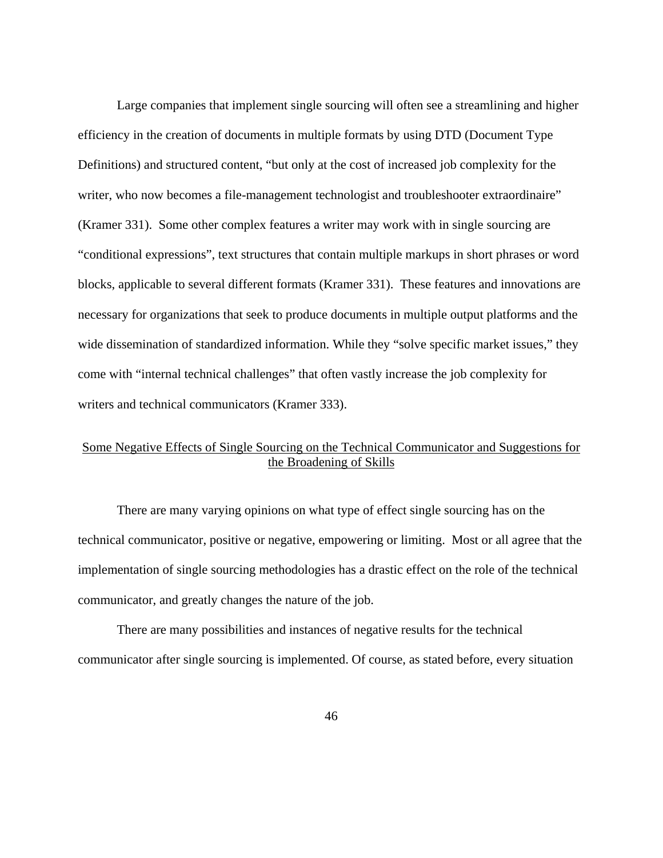Large companies that implement single sourcing will often see a streamlining and higher efficiency in the creation of documents in multiple formats by using DTD (Document Type Definitions) and structured content, "but only at the cost of increased job complexity for the writer, who now becomes a file-management technologist and troubleshooter extraordinaire" (Kramer 331). Some other complex features a writer may work with in single sourcing are "conditional expressions", text structures that contain multiple markups in short phrases or word blocks, applicable to several different formats (Kramer 331). These features and innovations are necessary for organizations that seek to produce documents in multiple output platforms and the wide dissemination of standardized information. While they "solve specific market issues," they come with "internal technical challenges" that often vastly increase the job complexity for writers and technical communicators (Kramer 333).

# Some Negative Effects of Single Sourcing on the Technical Communicator and Suggestions for the Broadening of Skills

 There are many varying opinions on what type of effect single sourcing has on the technical communicator, positive or negative, empowering or limiting. Most or all agree that the implementation of single sourcing methodologies has a drastic effect on the role of the technical communicator, and greatly changes the nature of the job.

There are many possibilities and instances of negative results for the technical communicator after single sourcing is implemented. Of course, as stated before, every situation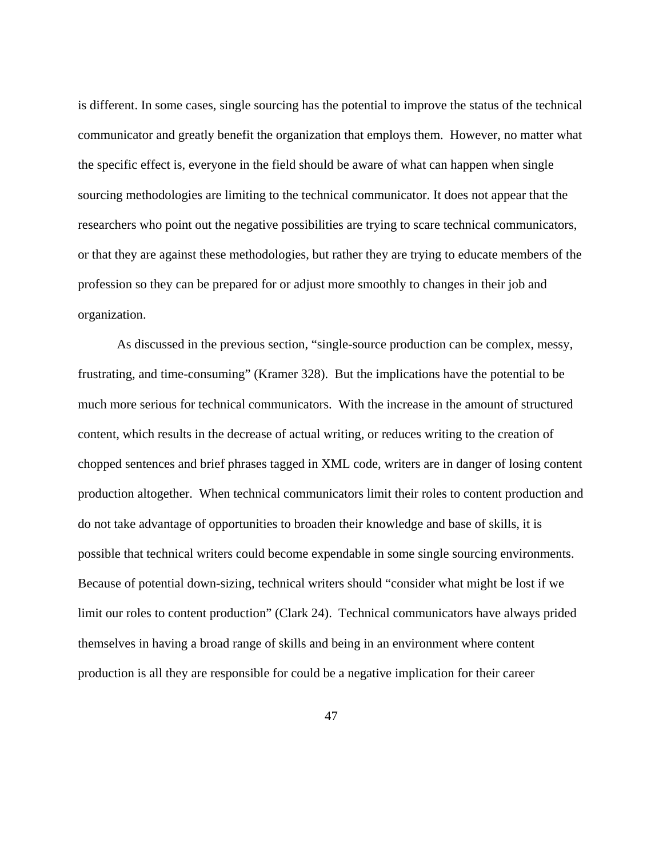is different. In some cases, single sourcing has the potential to improve the status of the technical communicator and greatly benefit the organization that employs them. However, no matter what the specific effect is, everyone in the field should be aware of what can happen when single sourcing methodologies are limiting to the technical communicator. It does not appear that the researchers who point out the negative possibilities are trying to scare technical communicators, or that they are against these methodologies, but rather they are trying to educate members of the profession so they can be prepared for or adjust more smoothly to changes in their job and organization.

As discussed in the previous section, "single-source production can be complex, messy, frustrating, and time-consuming" (Kramer 328). But the implications have the potential to be much more serious for technical communicators. With the increase in the amount of structured content, which results in the decrease of actual writing, or reduces writing to the creation of chopped sentences and brief phrases tagged in XML code, writers are in danger of losing content production altogether. When technical communicators limit their roles to content production and do not take advantage of opportunities to broaden their knowledge and base of skills, it is possible that technical writers could become expendable in some single sourcing environments. Because of potential down-sizing, technical writers should "consider what might be lost if we limit our roles to content production" (Clark 24). Technical communicators have always prided themselves in having a broad range of skills and being in an environment where content production is all they are responsible for could be a negative implication for their career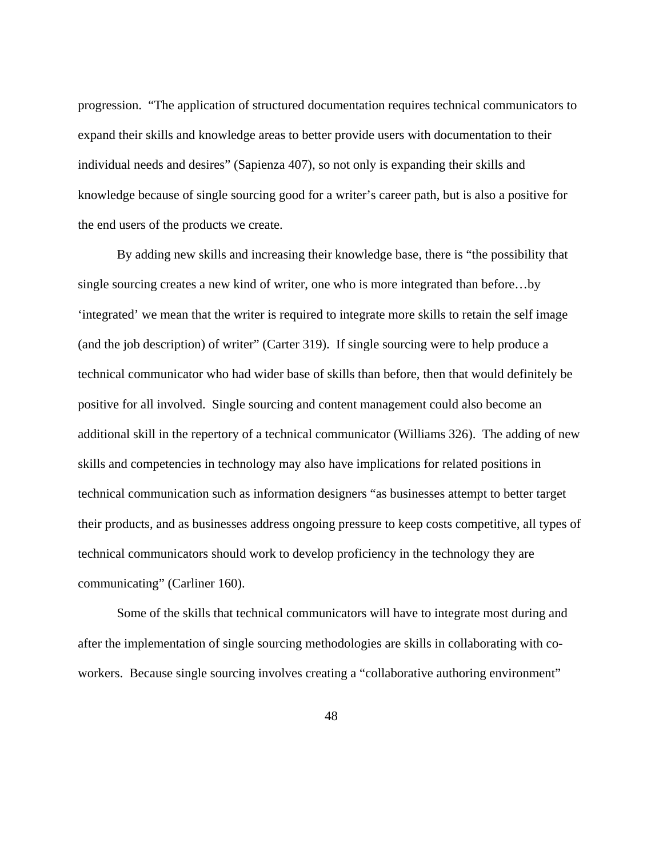progression. "The application of structured documentation requires technical communicators to expand their skills and knowledge areas to better provide users with documentation to their individual needs and desires" (Sapienza 407), so not only is expanding their skills and knowledge because of single sourcing good for a writer's career path, but is also a positive for the end users of the products we create.

By adding new skills and increasing their knowledge base, there is "the possibility that single sourcing creates a new kind of writer, one who is more integrated than before…by 'integrated' we mean that the writer is required to integrate more skills to retain the self image (and the job description) of writer" (Carter 319). If single sourcing were to help produce a technical communicator who had wider base of skills than before, then that would definitely be positive for all involved. Single sourcing and content management could also become an additional skill in the repertory of a technical communicator (Williams 326). The adding of new skills and competencies in technology may also have implications for related positions in technical communication such as information designers "as businesses attempt to better target their products, and as businesses address ongoing pressure to keep costs competitive, all types of technical communicators should work to develop proficiency in the technology they are communicating" (Carliner 160).

Some of the skills that technical communicators will have to integrate most during and after the implementation of single sourcing methodologies are skills in collaborating with coworkers. Because single sourcing involves creating a "collaborative authoring environment"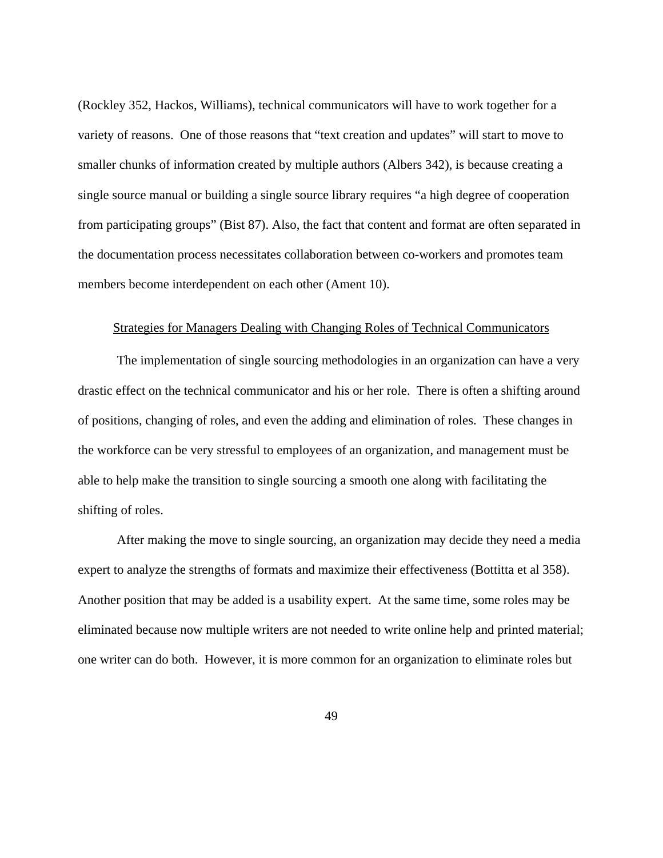(Rockley 352, Hackos, Williams), technical communicators will have to work together for a variety of reasons. One of those reasons that "text creation and updates" will start to move to smaller chunks of information created by multiple authors (Albers 342), is because creating a single source manual or building a single source library requires "a high degree of cooperation from participating groups" (Bist 87). Also, the fact that content and format are often separated in the documentation process necessitates collaboration between co-workers and promotes team members become interdependent on each other (Ament 10).

#### Strategies for Managers Dealing with Changing Roles of Technical Communicators

 The implementation of single sourcing methodologies in an organization can have a very drastic effect on the technical communicator and his or her role. There is often a shifting around of positions, changing of roles, and even the adding and elimination of roles. These changes in the workforce can be very stressful to employees of an organization, and management must be able to help make the transition to single sourcing a smooth one along with facilitating the shifting of roles.

After making the move to single sourcing, an organization may decide they need a media expert to analyze the strengths of formats and maximize their effectiveness (Bottitta et al 358). Another position that may be added is a usability expert. At the same time, some roles may be eliminated because now multiple writers are not needed to write online help and printed material; one writer can do both. However, it is more common for an organization to eliminate roles but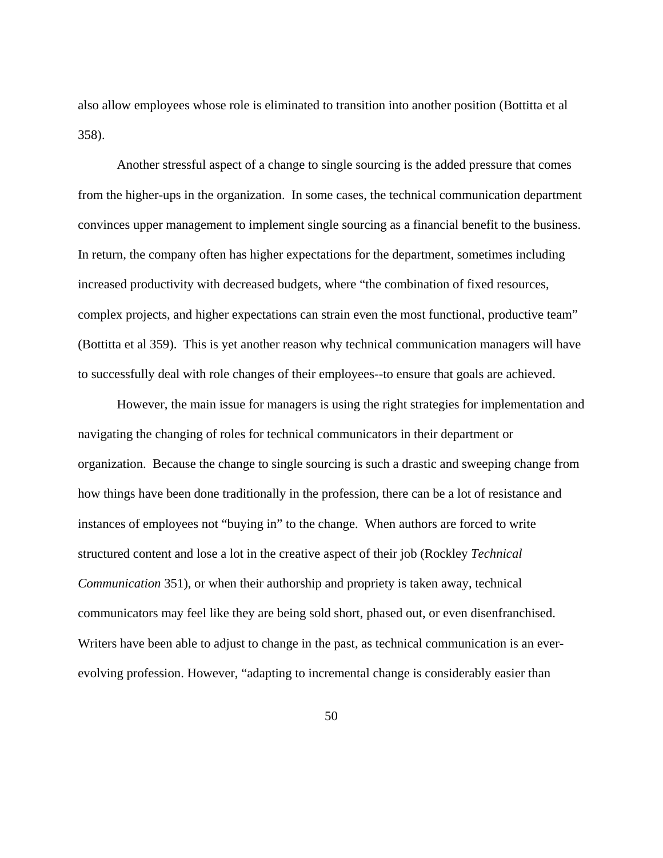also allow employees whose role is eliminated to transition into another position (Bottitta et al 358).

 Another stressful aspect of a change to single sourcing is the added pressure that comes from the higher-ups in the organization. In some cases, the technical communication department convinces upper management to implement single sourcing as a financial benefit to the business. In return, the company often has higher expectations for the department, sometimes including increased productivity with decreased budgets, where "the combination of fixed resources, complex projects, and higher expectations can strain even the most functional, productive team" (Bottitta et al 359). This is yet another reason why technical communication managers will have to successfully deal with role changes of their employees--to ensure that goals are achieved.

 However, the main issue for managers is using the right strategies for implementation and navigating the changing of roles for technical communicators in their department or organization. Because the change to single sourcing is such a drastic and sweeping change from how things have been done traditionally in the profession, there can be a lot of resistance and instances of employees not "buying in" to the change. When authors are forced to write structured content and lose a lot in the creative aspect of their job (Rockley *Technical Communication* 351), or when their authorship and propriety is taken away, technical communicators may feel like they are being sold short, phased out, or even disenfranchised. Writers have been able to adjust to change in the past, as technical communication is an everevolving profession. However, "adapting to incremental change is considerably easier than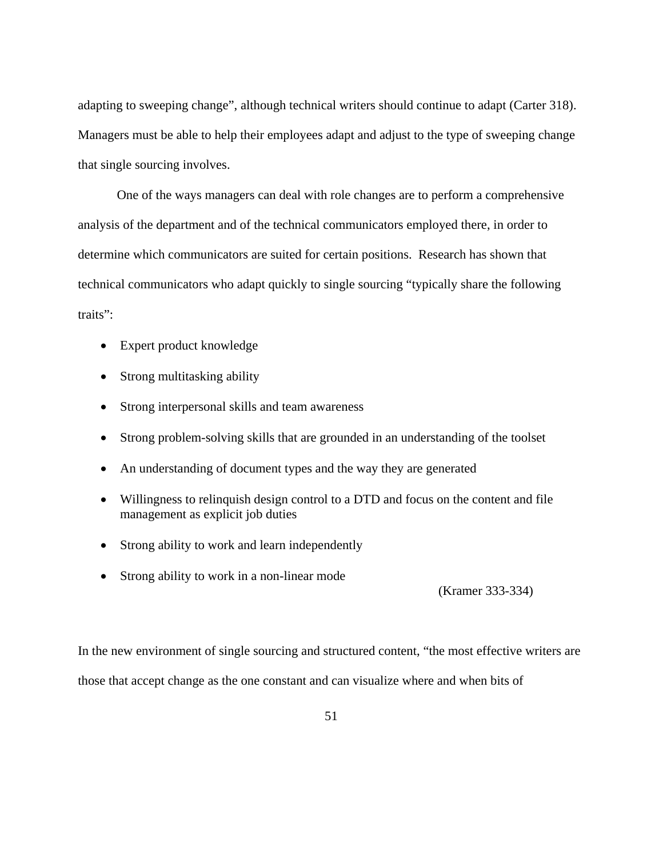adapting to sweeping change", although technical writers should continue to adapt (Carter 318). Managers must be able to help their employees adapt and adjust to the type of sweeping change that single sourcing involves.

 One of the ways managers can deal with role changes are to perform a comprehensive analysis of the department and of the technical communicators employed there, in order to determine which communicators are suited for certain positions. Research has shown that technical communicators who adapt quickly to single sourcing "typically share the following traits":

- Expert product knowledge
- Strong multitasking ability
- Strong interpersonal skills and team awareness
- Strong problem-solving skills that are grounded in an understanding of the toolset
- An understanding of document types and the way they are generated
- Willingness to relinquish design control to a DTD and focus on the content and file management as explicit job duties
- Strong ability to work and learn independently
- Strong ability to work in a non-linear mode

(Kramer 333-334)

In the new environment of single sourcing and structured content, "the most effective writers are those that accept change as the one constant and can visualize where and when bits of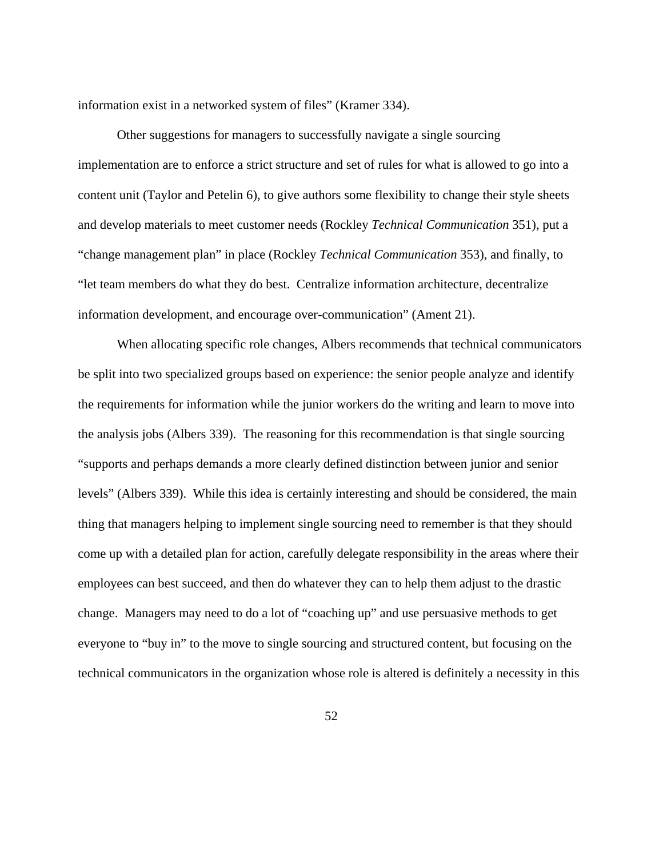information exist in a networked system of files" (Kramer 334).

 Other suggestions for managers to successfully navigate a single sourcing implementation are to enforce a strict structure and set of rules for what is allowed to go into a content unit (Taylor and Petelin 6), to give authors some flexibility to change their style sheets and develop materials to meet customer needs (Rockley *Technical Communication* 351), put a "change management plan" in place (Rockley *Technical Communication* 353), and finally, to "let team members do what they do best. Centralize information architecture, decentralize information development, and encourage over-communication" (Ament 21).

 When allocating specific role changes, Albers recommends that technical communicators be split into two specialized groups based on experience: the senior people analyze and identify the requirements for information while the junior workers do the writing and learn to move into the analysis jobs (Albers 339). The reasoning for this recommendation is that single sourcing "supports and perhaps demands a more clearly defined distinction between junior and senior levels" (Albers 339). While this idea is certainly interesting and should be considered, the main thing that managers helping to implement single sourcing need to remember is that they should come up with a detailed plan for action, carefully delegate responsibility in the areas where their employees can best succeed, and then do whatever they can to help them adjust to the drastic change. Managers may need to do a lot of "coaching up" and use persuasive methods to get everyone to "buy in" to the move to single sourcing and structured content, but focusing on the technical communicators in the organization whose role is altered is definitely a necessity in this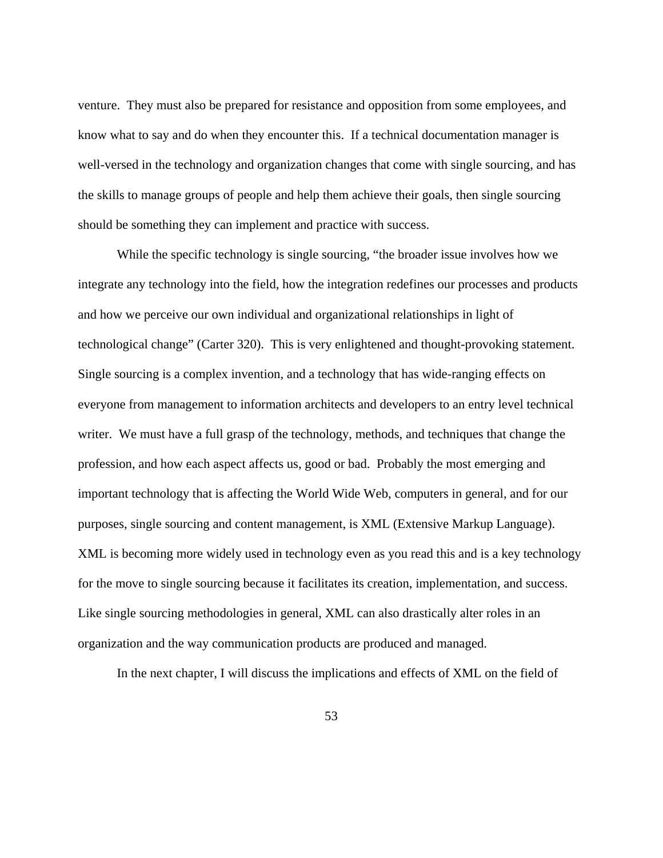venture. They must also be prepared for resistance and opposition from some employees, and know what to say and do when they encounter this. If a technical documentation manager is well-versed in the technology and organization changes that come with single sourcing, and has the skills to manage groups of people and help them achieve their goals, then single sourcing should be something they can implement and practice with success.

 While the specific technology is single sourcing, "the broader issue involves how we integrate any technology into the field, how the integration redefines our processes and products and how we perceive our own individual and organizational relationships in light of technological change" (Carter 320). This is very enlightened and thought-provoking statement. Single sourcing is a complex invention, and a technology that has wide-ranging effects on everyone from management to information architects and developers to an entry level technical writer. We must have a full grasp of the technology, methods, and techniques that change the profession, and how each aspect affects us, good or bad. Probably the most emerging and important technology that is affecting the World Wide Web, computers in general, and for our purposes, single sourcing and content management, is XML (Extensive Markup Language). XML is becoming more widely used in technology even as you read this and is a key technology for the move to single sourcing because it facilitates its creation, implementation, and success. Like single sourcing methodologies in general, XML can also drastically alter roles in an organization and the way communication products are produced and managed.

In the next chapter, I will discuss the implications and effects of XML on the field of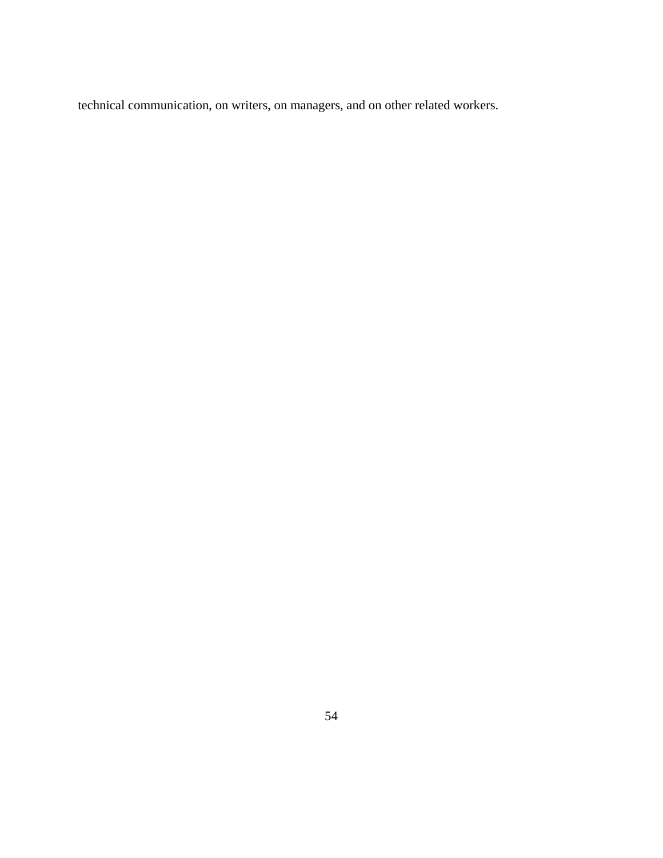technical communication, on writers, on managers, and on other related workers.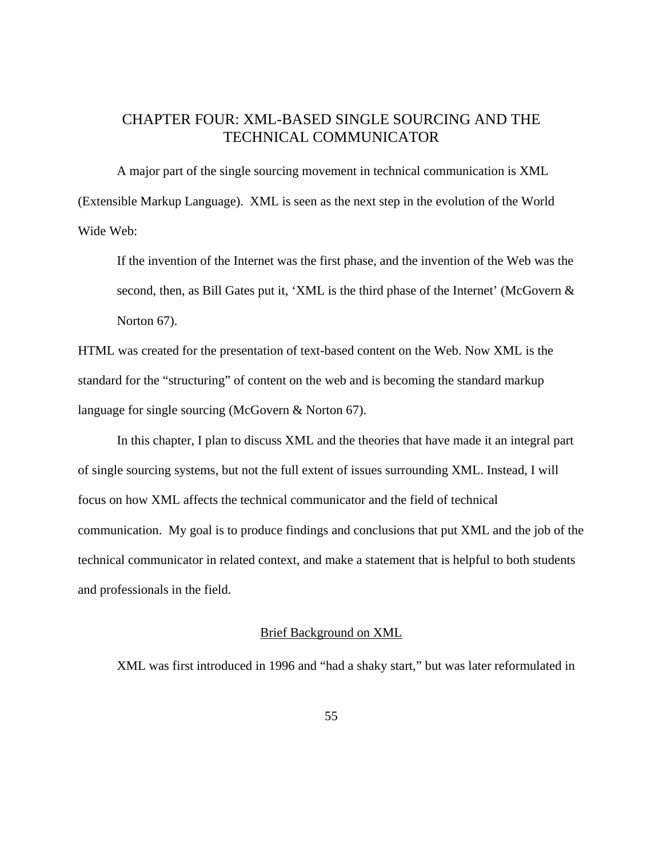# CHAPTER FOUR: XML-BASED SINGLE SOURCING AND THE TECHNICAL COMMUNICATOR

A major part of the single sourcing movement in technical communication is XML (Extensible Markup Language). XML is seen as the next step in the evolution of the World Wide Web:

If the invention of the Internet was the first phase, and the invention of the Web was the second, then, as Bill Gates put it, 'XML is the third phase of the Internet' (McGovern & Norton 67).

HTML was created for the presentation of text-based content on the Web. Now XML is the standard for the "structuring" of content on the web and is becoming the standard markup language for single sourcing (McGovern & Norton 67).

In this chapter, I plan to discuss XML and the theories that have made it an integral part of single sourcing systems, but not the full extent of issues surrounding XML. Instead, I will focus on how XML affects the technical communicator and the field of technical communication. My goal is to produce findings and conclusions that put XML and the job of the technical communicator in related context, and make a statement that is helpful to both students and professionals in the field.

### Brief Background on XML

XML was first introduced in 1996 and "had a shaky start," but was later reformulated in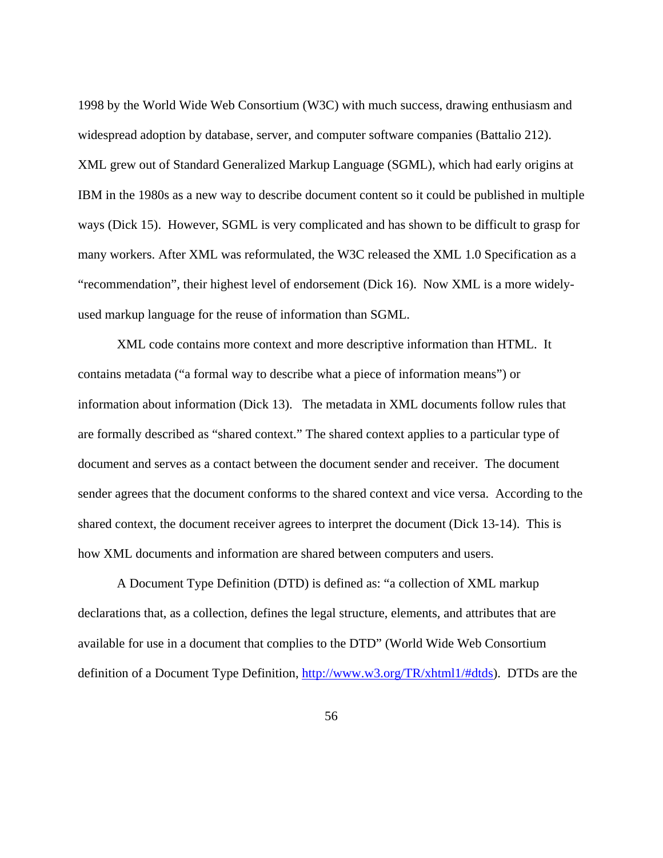1998 by the World Wide Web Consortium (W3C) with much success, drawing enthusiasm and widespread adoption by database, server, and computer software companies (Battalio 212). XML grew out of Standard Generalized Markup Language (SGML), which had early origins at IBM in the 1980s as a new way to describe document content so it could be published in multiple ways (Dick 15). However, SGML is very complicated and has shown to be difficult to grasp for many workers. After XML was reformulated, the W3C released the XML 1.0 Specification as a "recommendation", their highest level of endorsement (Dick 16). Now XML is a more widelyused markup language for the reuse of information than SGML.

XML code contains more context and more descriptive information than HTML. It contains metadata ("a formal way to describe what a piece of information means") or information about information (Dick 13). The metadata in XML documents follow rules that are formally described as "shared context." The shared context applies to a particular type of document and serves as a contact between the document sender and receiver. The document sender agrees that the document conforms to the shared context and vice versa. According to the shared context, the document receiver agrees to interpret the document (Dick 13-14). This is how XML documents and information are shared between computers and users.

A Document Type Definition (DTD) is defined as: "a collection of XML markup declarations that, as a collection, defines the legal structure, elements, and attributes that are available for use in a document that complies to the DTD" (World Wide Web Consortium definition of a Document Type Definition, http://www.w3.org/TR/xhtml1/#dtds). DTDs are the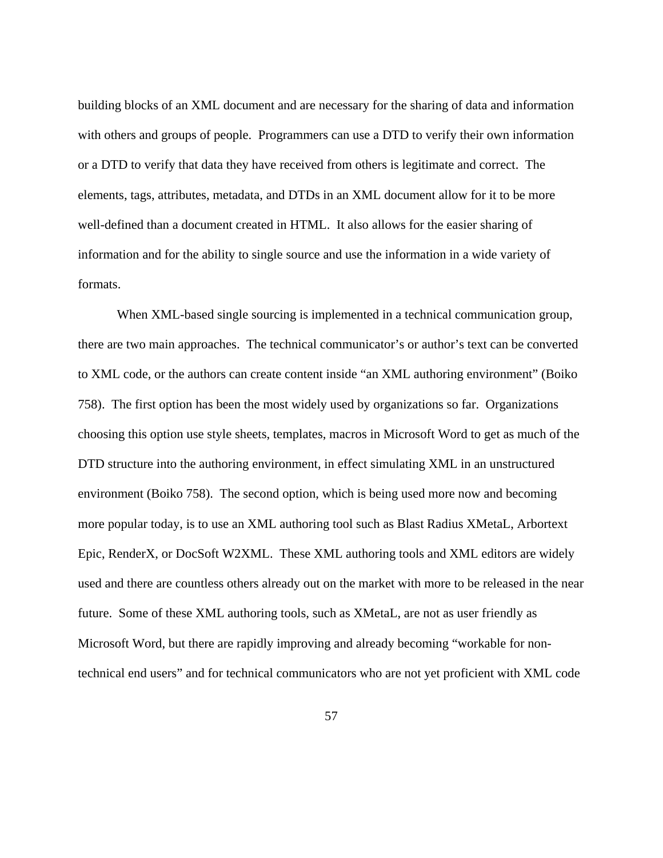building blocks of an XML document and are necessary for the sharing of data and information with others and groups of people. Programmers can use a DTD to verify their own information or a DTD to verify that data they have received from others is legitimate and correct. The elements, tags, attributes, metadata, and DTDs in an XML document allow for it to be more well-defined than a document created in HTML. It also allows for the easier sharing of information and for the ability to single source and use the information in a wide variety of formats.

When XML-based single sourcing is implemented in a technical communication group, there are two main approaches. The technical communicator's or author's text can be converted to XML code, or the authors can create content inside "an XML authoring environment" (Boiko 758). The first option has been the most widely used by organizations so far. Organizations choosing this option use style sheets, templates, macros in Microsoft Word to get as much of the DTD structure into the authoring environment, in effect simulating XML in an unstructured environment (Boiko 758). The second option, which is being used more now and becoming more popular today, is to use an XML authoring tool such as Blast Radius XMetaL, Arbortext Epic, RenderX, or DocSoft W2XML. These XML authoring tools and XML editors are widely used and there are countless others already out on the market with more to be released in the near future. Some of these XML authoring tools, such as XMetaL, are not as user friendly as Microsoft Word, but there are rapidly improving and already becoming "workable for nontechnical end users" and for technical communicators who are not yet proficient with XML code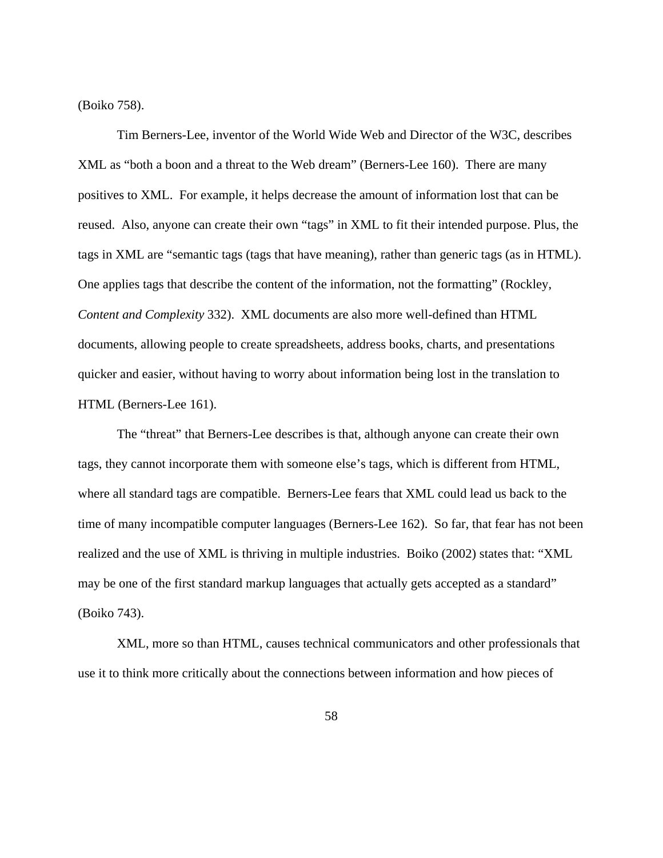(Boiko 758).

Tim Berners-Lee, inventor of the World Wide Web and Director of the W3C, describes XML as "both a boon and a threat to the Web dream" (Berners-Lee 160). There are many positives to XML. For example, it helps decrease the amount of information lost that can be reused. Also, anyone can create their own "tags" in XML to fit their intended purpose. Plus, the tags in XML are "semantic tags (tags that have meaning), rather than generic tags (as in HTML). One applies tags that describe the content of the information, not the formatting" (Rockley, *Content and Complexity* 332). XML documents are also more well-defined than HTML documents, allowing people to create spreadsheets, address books, charts, and presentations quicker and easier, without having to worry about information being lost in the translation to HTML (Berners-Lee 161).

The "threat" that Berners-Lee describes is that, although anyone can create their own tags, they cannot incorporate them with someone else's tags, which is different from HTML, where all standard tags are compatible. Berners-Lee fears that XML could lead us back to the time of many incompatible computer languages (Berners-Lee 162). So far, that fear has not been realized and the use of XML is thriving in multiple industries. Boiko (2002) states that: "XML may be one of the first standard markup languages that actually gets accepted as a standard" (Boiko 743).

XML, more so than HTML, causes technical communicators and other professionals that use it to think more critically about the connections between information and how pieces of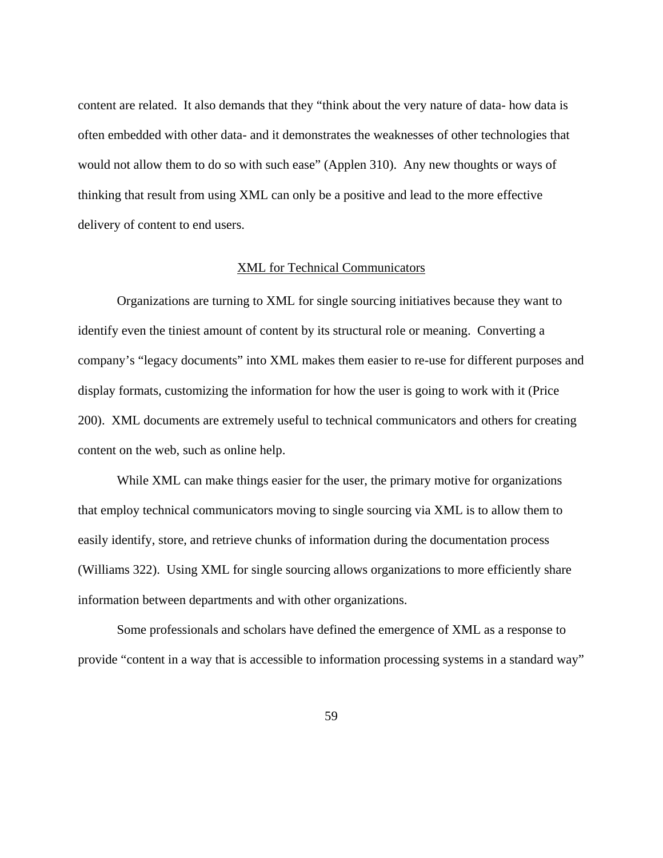content are related. It also demands that they "think about the very nature of data- how data is often embedded with other data- and it demonstrates the weaknesses of other technologies that would not allow them to do so with such ease" (Applen 310). Any new thoughts or ways of thinking that result from using XML can only be a positive and lead to the more effective delivery of content to end users.

# XML for Technical Communicators

Organizations are turning to XML for single sourcing initiatives because they want to identify even the tiniest amount of content by its structural role or meaning. Converting a company's "legacy documents" into XML makes them easier to re-use for different purposes and display formats, customizing the information for how the user is going to work with it (Price 200). XML documents are extremely useful to technical communicators and others for creating content on the web, such as online help.

While XML can make things easier for the user, the primary motive for organizations that employ technical communicators moving to single sourcing via XML is to allow them to easily identify, store, and retrieve chunks of information during the documentation process (Williams 322). Using XML for single sourcing allows organizations to more efficiently share information between departments and with other organizations.

Some professionals and scholars have defined the emergence of XML as a response to provide "content in a way that is accessible to information processing systems in a standard way"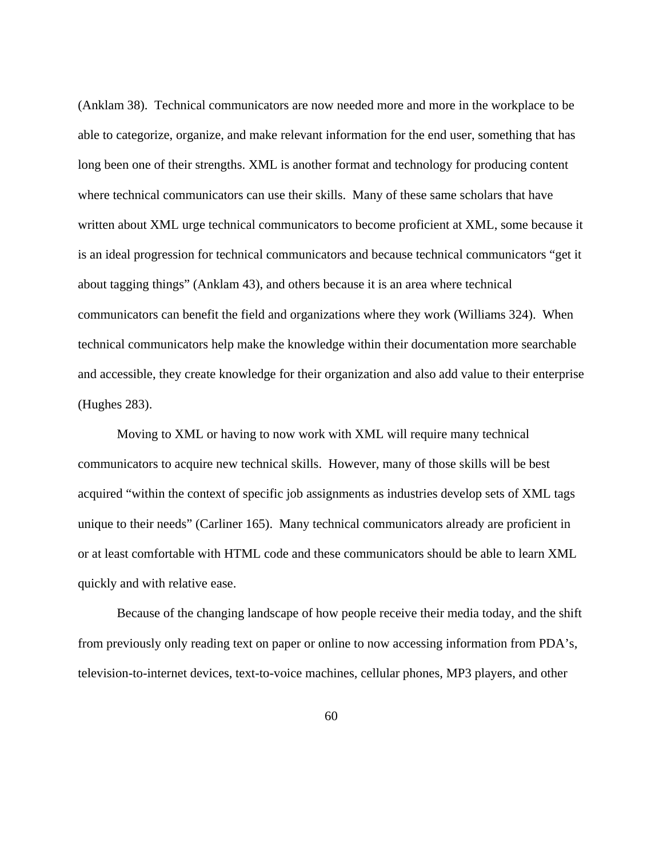(Anklam 38). Technical communicators are now needed more and more in the workplace to be able to categorize, organize, and make relevant information for the end user, something that has long been one of their strengths. XML is another format and technology for producing content where technical communicators can use their skills. Many of these same scholars that have written about XML urge technical communicators to become proficient at XML, some because it is an ideal progression for technical communicators and because technical communicators "get it about tagging things" (Anklam 43), and others because it is an area where technical communicators can benefit the field and organizations where they work (Williams 324). When technical communicators help make the knowledge within their documentation more searchable and accessible, they create knowledge for their organization and also add value to their enterprise (Hughes 283).

Moving to XML or having to now work with XML will require many technical communicators to acquire new technical skills. However, many of those skills will be best acquired "within the context of specific job assignments as industries develop sets of XML tags unique to their needs" (Carliner 165). Many technical communicators already are proficient in or at least comfortable with HTML code and these communicators should be able to learn XML quickly and with relative ease.

Because of the changing landscape of how people receive their media today, and the shift from previously only reading text on paper or online to now accessing information from PDA's, television-to-internet devices, text-to-voice machines, cellular phones, MP3 players, and other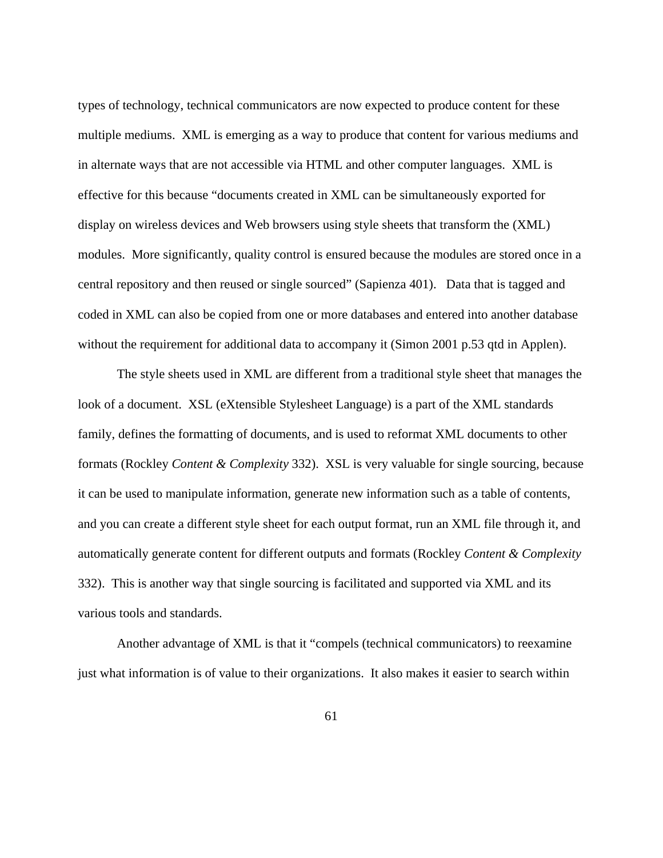types of technology, technical communicators are now expected to produce content for these multiple mediums. XML is emerging as a way to produce that content for various mediums and in alternate ways that are not accessible via HTML and other computer languages. XML is effective for this because "documents created in XML can be simultaneously exported for display on wireless devices and Web browsers using style sheets that transform the (XML) modules. More significantly, quality control is ensured because the modules are stored once in a central repository and then reused or single sourced" (Sapienza 401). Data that is tagged and coded in XML can also be copied from one or more databases and entered into another database without the requirement for additional data to accompany it (Simon 2001 p.53 qtd in Applen).

The style sheets used in XML are different from a traditional style sheet that manages the look of a document. XSL (eXtensible Stylesheet Language) is a part of the XML standards family, defines the formatting of documents, and is used to reformat XML documents to other formats (Rockley *Content & Complexity* 332). XSL is very valuable for single sourcing, because it can be used to manipulate information, generate new information such as a table of contents, and you can create a different style sheet for each output format, run an XML file through it, and automatically generate content for different outputs and formats (Rockley *Content & Complexity*  332). This is another way that single sourcing is facilitated and supported via XML and its various tools and standards.

Another advantage of XML is that it "compels (technical communicators) to reexamine just what information is of value to their organizations. It also makes it easier to search within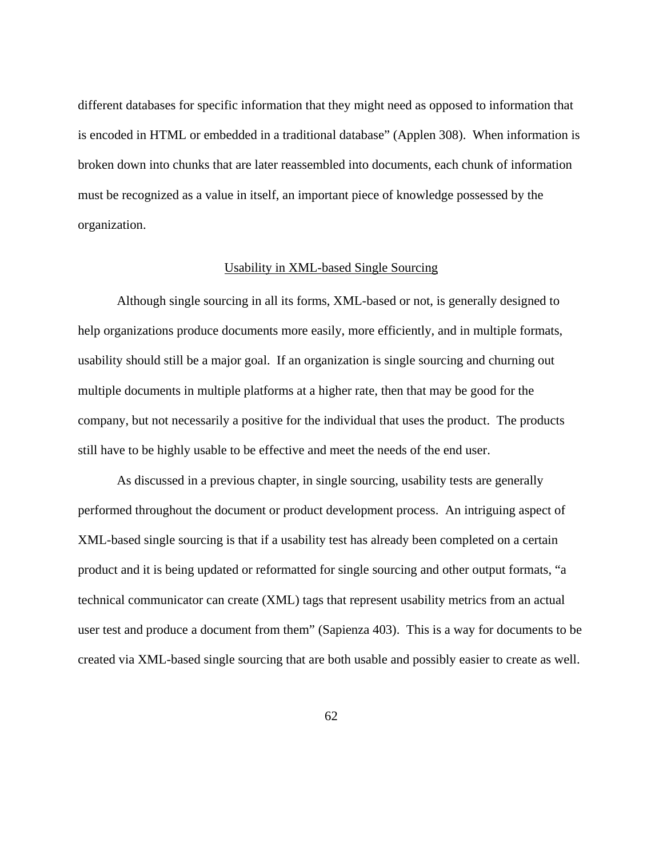different databases for specific information that they might need as opposed to information that is encoded in HTML or embedded in a traditional database" (Applen 308). When information is broken down into chunks that are later reassembled into documents, each chunk of information must be recognized as a value in itself, an important piece of knowledge possessed by the organization.

# Usability in XML-based Single Sourcing

 Although single sourcing in all its forms, XML-based or not, is generally designed to help organizations produce documents more easily, more efficiently, and in multiple formats, usability should still be a major goal. If an organization is single sourcing and churning out multiple documents in multiple platforms at a higher rate, then that may be good for the company, but not necessarily a positive for the individual that uses the product. The products still have to be highly usable to be effective and meet the needs of the end user.

 As discussed in a previous chapter, in single sourcing, usability tests are generally performed throughout the document or product development process. An intriguing aspect of XML-based single sourcing is that if a usability test has already been completed on a certain product and it is being updated or reformatted for single sourcing and other output formats, "a technical communicator can create (XML) tags that represent usability metrics from an actual user test and produce a document from them" (Sapienza 403). This is a way for documents to be created via XML-based single sourcing that are both usable and possibly easier to create as well.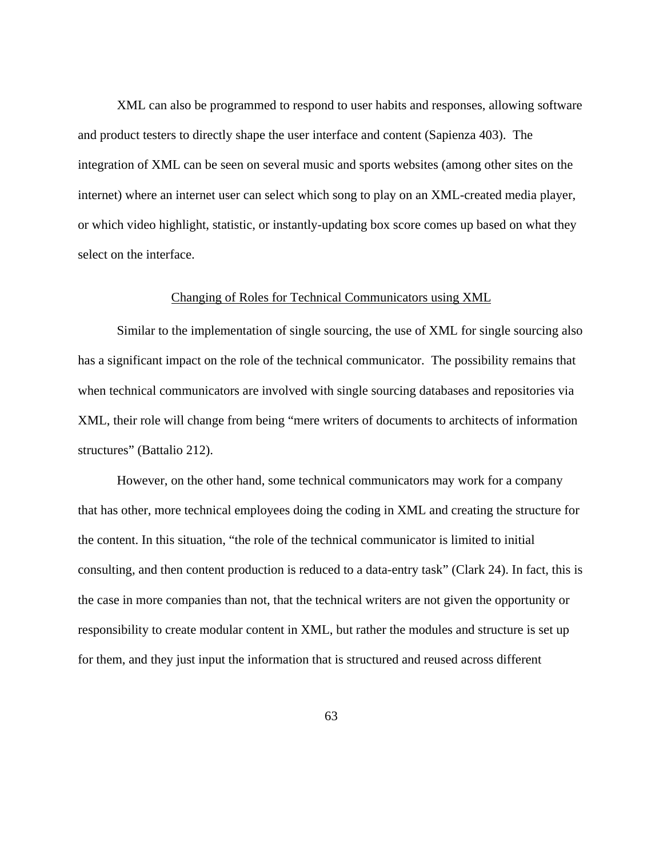XML can also be programmed to respond to user habits and responses, allowing software and product testers to directly shape the user interface and content (Sapienza 403). The integration of XML can be seen on several music and sports websites (among other sites on the internet) where an internet user can select which song to play on an XML-created media player, or which video highlight, statistic, or instantly-updating box score comes up based on what they select on the interface.

#### Changing of Roles for Technical Communicators using XML

 Similar to the implementation of single sourcing, the use of XML for single sourcing also has a significant impact on the role of the technical communicator. The possibility remains that when technical communicators are involved with single sourcing databases and repositories via XML, their role will change from being "mere writers of documents to architects of information structures" (Battalio 212).

However, on the other hand, some technical communicators may work for a company that has other, more technical employees doing the coding in XML and creating the structure for the content. In this situation, "the role of the technical communicator is limited to initial consulting, and then content production is reduced to a data-entry task" (Clark 24). In fact, this is the case in more companies than not, that the technical writers are not given the opportunity or responsibility to create modular content in XML, but rather the modules and structure is set up for them, and they just input the information that is structured and reused across different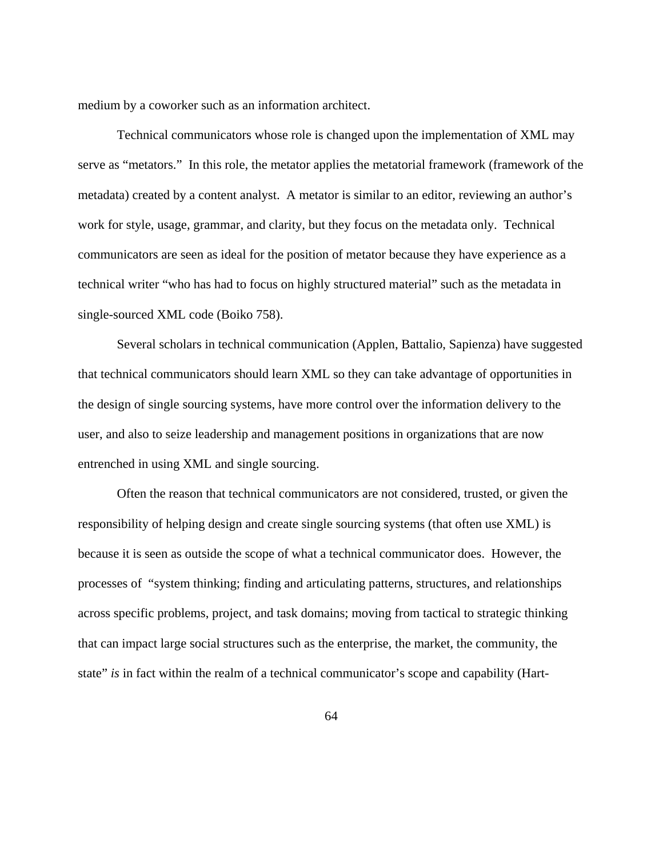medium by a coworker such as an information architect.

Technical communicators whose role is changed upon the implementation of XML may serve as "metators." In this role, the metator applies the metatorial framework (framework of the metadata) created by a content analyst. A metator is similar to an editor, reviewing an author's work for style, usage, grammar, and clarity, but they focus on the metadata only. Technical communicators are seen as ideal for the position of metator because they have experience as a technical writer "who has had to focus on highly structured material" such as the metadata in single-sourced XML code (Boiko 758).

Several scholars in technical communication (Applen, Battalio, Sapienza) have suggested that technical communicators should learn XML so they can take advantage of opportunities in the design of single sourcing systems, have more control over the information delivery to the user, and also to seize leadership and management positions in organizations that are now entrenched in using XML and single sourcing.

 Often the reason that technical communicators are not considered, trusted, or given the responsibility of helping design and create single sourcing systems (that often use XML) is because it is seen as outside the scope of what a technical communicator does. However, the processes of "system thinking; finding and articulating patterns, structures, and relationships across specific problems, project, and task domains; moving from tactical to strategic thinking that can impact large social structures such as the enterprise, the market, the community, the state" *is* in fact within the realm of a technical communicator's scope and capability (Hart-

64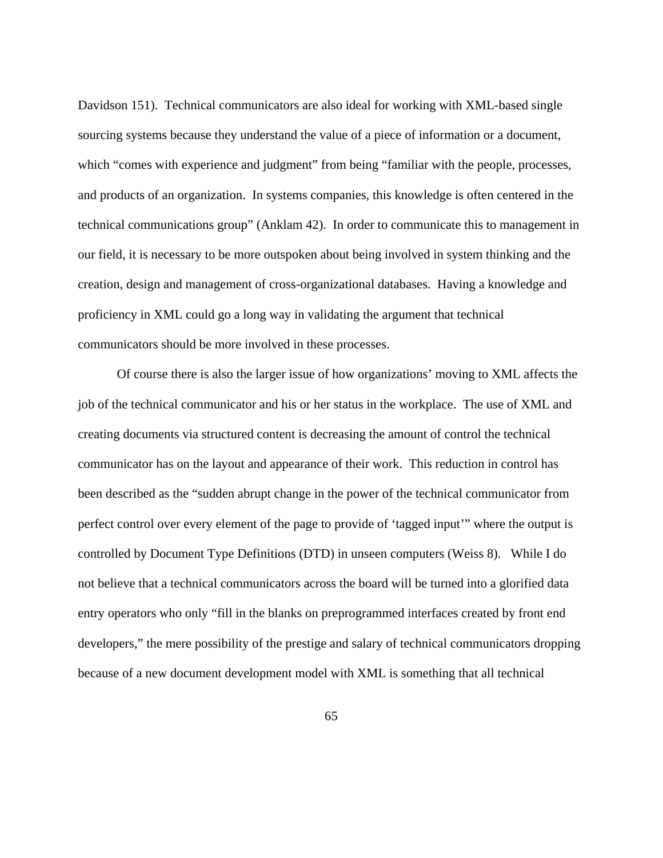Davidson 151). Technical communicators are also ideal for working with XML-based single sourcing systems because they understand the value of a piece of information or a document, which "comes with experience and judgment" from being "familiar with the people, processes, and products of an organization. In systems companies, this knowledge is often centered in the technical communications group" (Anklam 42). In order to communicate this to management in our field, it is necessary to be more outspoken about being involved in system thinking and the creation, design and management of cross-organizational databases. Having a knowledge and proficiency in XML could go a long way in validating the argument that technical communicators should be more involved in these processes.

 Of course there is also the larger issue of how organizations' moving to XML affects the job of the technical communicator and his or her status in the workplace. The use of XML and creating documents via structured content is decreasing the amount of control the technical communicator has on the layout and appearance of their work. This reduction in control has been described as the "sudden abrupt change in the power of the technical communicator from perfect control over every element of the page to provide of 'tagged input'" where the output is controlled by Document Type Definitions (DTD) in unseen computers (Weiss 8). While I do not believe that a technical communicators across the board will be turned into a glorified data entry operators who only "fill in the blanks on preprogrammed interfaces created by front end developers," the mere possibility of the prestige and salary of technical communicators dropping because of a new document development model with XML is something that all technical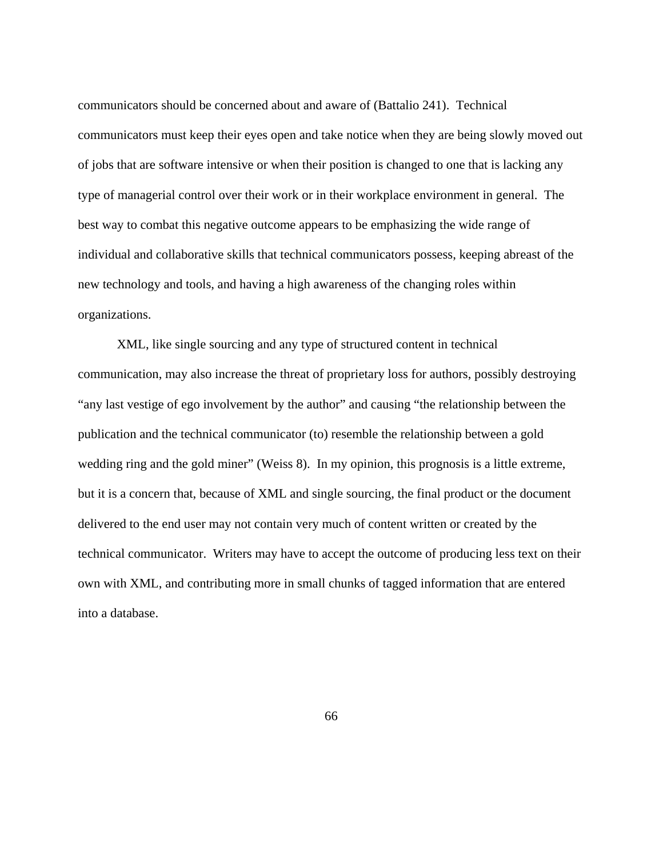communicators should be concerned about and aware of (Battalio 241). Technical communicators must keep their eyes open and take notice when they are being slowly moved out of jobs that are software intensive or when their position is changed to one that is lacking any type of managerial control over their work or in their workplace environment in general. The best way to combat this negative outcome appears to be emphasizing the wide range of individual and collaborative skills that technical communicators possess, keeping abreast of the new technology and tools, and having a high awareness of the changing roles within organizations.

XML, like single sourcing and any type of structured content in technical communication, may also increase the threat of proprietary loss for authors, possibly destroying "any last vestige of ego involvement by the author" and causing "the relationship between the publication and the technical communicator (to) resemble the relationship between a gold wedding ring and the gold miner" (Weiss 8). In my opinion, this prognosis is a little extreme, but it is a concern that, because of XML and single sourcing, the final product or the document delivered to the end user may not contain very much of content written or created by the technical communicator. Writers may have to accept the outcome of producing less text on their own with XML, and contributing more in small chunks of tagged information that are entered into a database.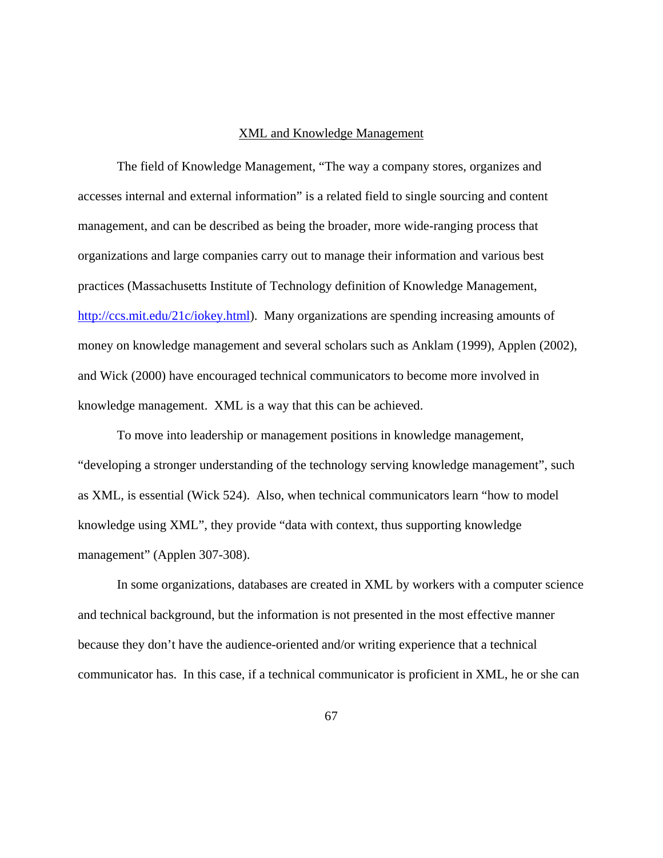## XML and Knowledge Management

The field of Knowledge Management, "The way a company stores, organizes and accesses internal and external information" is a related field to single sourcing and content management, and can be described as being the broader, more wide-ranging process that organizations and large companies carry out to manage their information and various best practices (Massachusetts Institute of Technology definition of Knowledge Management, [http://ccs.mit.edu/21c/iokey.html\)](http://ccs.mit.edu/21c/iokey.html). Many organizations are spending increasing amounts of money on knowledge management and several scholars such as Anklam (1999), Applen (2002), and Wick (2000) have encouraged technical communicators to become more involved in knowledge management. XML is a way that this can be achieved.

To move into leadership or management positions in knowledge management, "developing a stronger understanding of the technology serving knowledge management", such as XML, is essential (Wick 524). Also, when technical communicators learn "how to model knowledge using XML", they provide "data with context, thus supporting knowledge management" (Applen 307-308).

In some organizations, databases are created in XML by workers with a computer science and technical background, but the information is not presented in the most effective manner because they don't have the audience-oriented and/or writing experience that a technical communicator has. In this case, if a technical communicator is proficient in XML, he or she can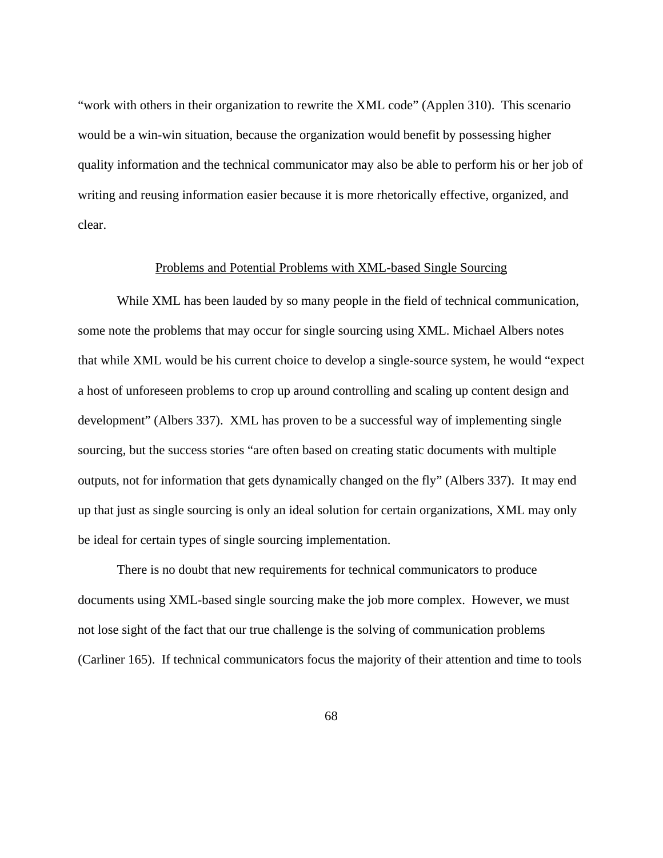"work with others in their organization to rewrite the XML code" (Applen 310). This scenario would be a win-win situation, because the organization would benefit by possessing higher quality information and the technical communicator may also be able to perform his or her job of writing and reusing information easier because it is more rhetorically effective, organized, and clear.

# Problems and Potential Problems with XML-based Single Sourcing

While XML has been lauded by so many people in the field of technical communication, some note the problems that may occur for single sourcing using XML. Michael Albers notes that while XML would be his current choice to develop a single-source system, he would "expect a host of unforeseen problems to crop up around controlling and scaling up content design and development" (Albers 337). XML has proven to be a successful way of implementing single sourcing, but the success stories "are often based on creating static documents with multiple outputs, not for information that gets dynamically changed on the fly" (Albers 337). It may end up that just as single sourcing is only an ideal solution for certain organizations, XML may only be ideal for certain types of single sourcing implementation.

There is no doubt that new requirements for technical communicators to produce documents using XML-based single sourcing make the job more complex. However, we must not lose sight of the fact that our true challenge is the solving of communication problems (Carliner 165). If technical communicators focus the majority of their attention and time to tools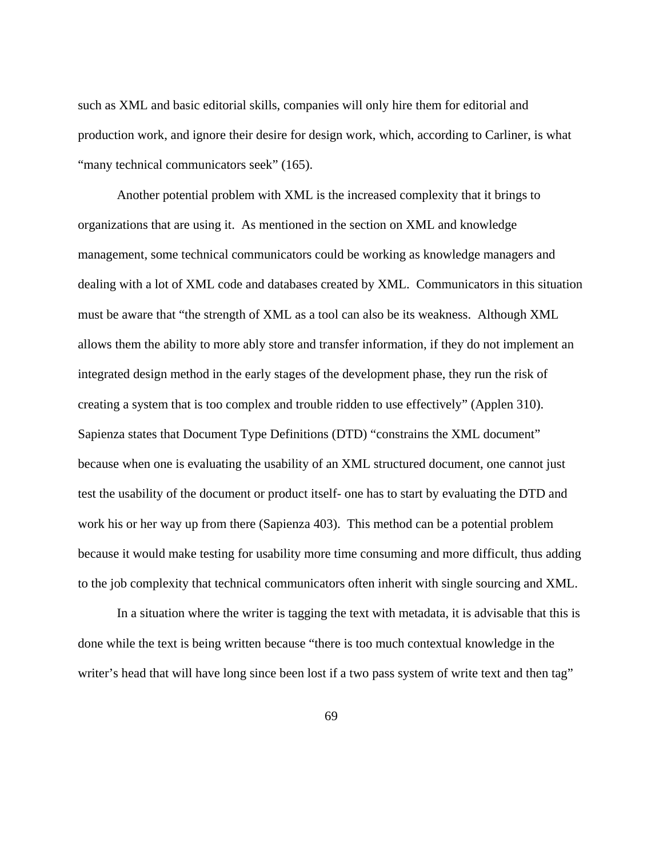such as XML and basic editorial skills, companies will only hire them for editorial and production work, and ignore their desire for design work, which, according to Carliner, is what "many technical communicators seek" (165).

Another potential problem with XML is the increased complexity that it brings to organizations that are using it. As mentioned in the section on XML and knowledge management, some technical communicators could be working as knowledge managers and dealing with a lot of XML code and databases created by XML. Communicators in this situation must be aware that "the strength of XML as a tool can also be its weakness. Although XML allows them the ability to more ably store and transfer information, if they do not implement an integrated design method in the early stages of the development phase, they run the risk of creating a system that is too complex and trouble ridden to use effectively" (Applen 310). Sapienza states that Document Type Definitions (DTD) "constrains the XML document" because when one is evaluating the usability of an XML structured document, one cannot just test the usability of the document or product itself- one has to start by evaluating the DTD and work his or her way up from there (Sapienza 403). This method can be a potential problem because it would make testing for usability more time consuming and more difficult, thus adding to the job complexity that technical communicators often inherit with single sourcing and XML.

In a situation where the writer is tagging the text with metadata, it is advisable that this is done while the text is being written because "there is too much contextual knowledge in the writer's head that will have long since been lost if a two pass system of write text and then tag"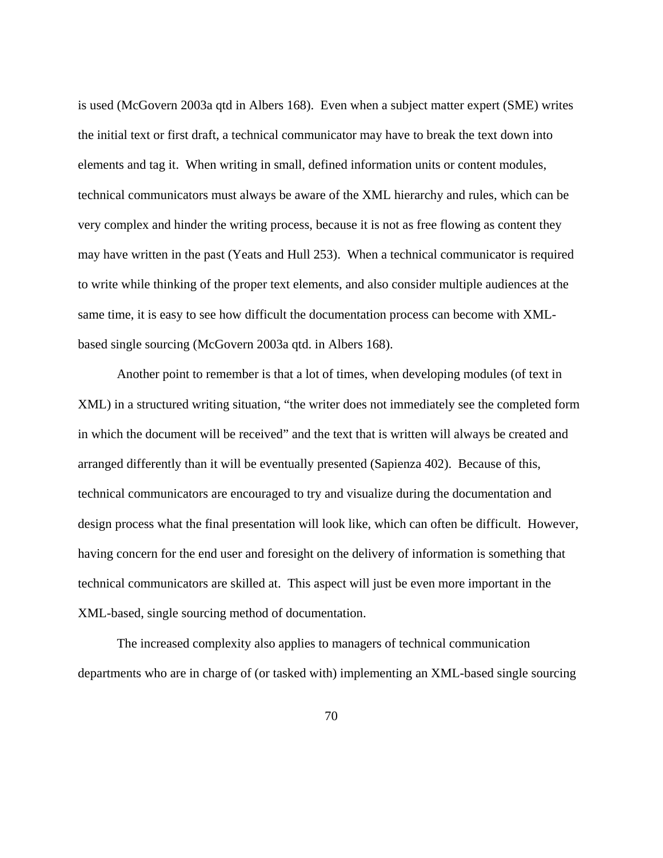is used (McGovern 2003a qtd in Albers 168). Even when a subject matter expert (SME) writes the initial text or first draft, a technical communicator may have to break the text down into elements and tag it. When writing in small, defined information units or content modules, technical communicators must always be aware of the XML hierarchy and rules, which can be very complex and hinder the writing process, because it is not as free flowing as content they may have written in the past (Yeats and Hull 253). When a technical communicator is required to write while thinking of the proper text elements, and also consider multiple audiences at the same time, it is easy to see how difficult the documentation process can become with XMLbased single sourcing (McGovern 2003a qtd. in Albers 168).

Another point to remember is that a lot of times, when developing modules (of text in XML) in a structured writing situation, "the writer does not immediately see the completed form in which the document will be received" and the text that is written will always be created and arranged differently than it will be eventually presented (Sapienza 402). Because of this, technical communicators are encouraged to try and visualize during the documentation and design process what the final presentation will look like, which can often be difficult. However, having concern for the end user and foresight on the delivery of information is something that technical communicators are skilled at. This aspect will just be even more important in the XML-based, single sourcing method of documentation.

The increased complexity also applies to managers of technical communication departments who are in charge of (or tasked with) implementing an XML-based single sourcing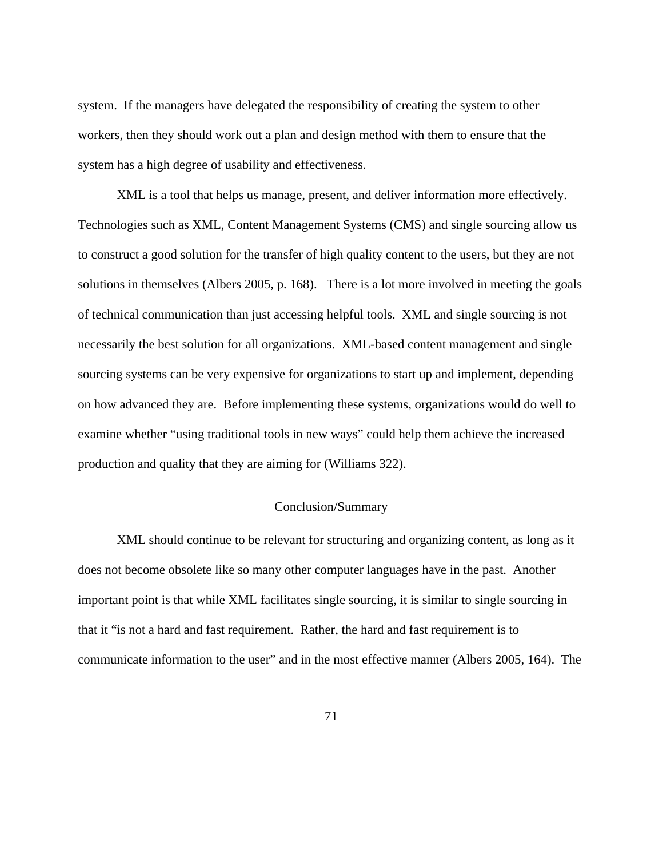system. If the managers have delegated the responsibility of creating the system to other workers, then they should work out a plan and design method with them to ensure that the system has a high degree of usability and effectiveness.

XML is a tool that helps us manage, present, and deliver information more effectively. Technologies such as XML, Content Management Systems (CMS) and single sourcing allow us to construct a good solution for the transfer of high quality content to the users, but they are not solutions in themselves (Albers 2005, p. 168). There is a lot more involved in meeting the goals of technical communication than just accessing helpful tools. XML and single sourcing is not necessarily the best solution for all organizations. XML-based content management and single sourcing systems can be very expensive for organizations to start up and implement, depending on how advanced they are. Before implementing these systems, organizations would do well to examine whether "using traditional tools in new ways" could help them achieve the increased production and quality that they are aiming for (Williams 322).

### Conclusion/Summary

XML should continue to be relevant for structuring and organizing content, as long as it does not become obsolete like so many other computer languages have in the past. Another important point is that while XML facilitates single sourcing, it is similar to single sourcing in that it "is not a hard and fast requirement. Rather, the hard and fast requirement is to communicate information to the user" and in the most effective manner (Albers 2005, 164). The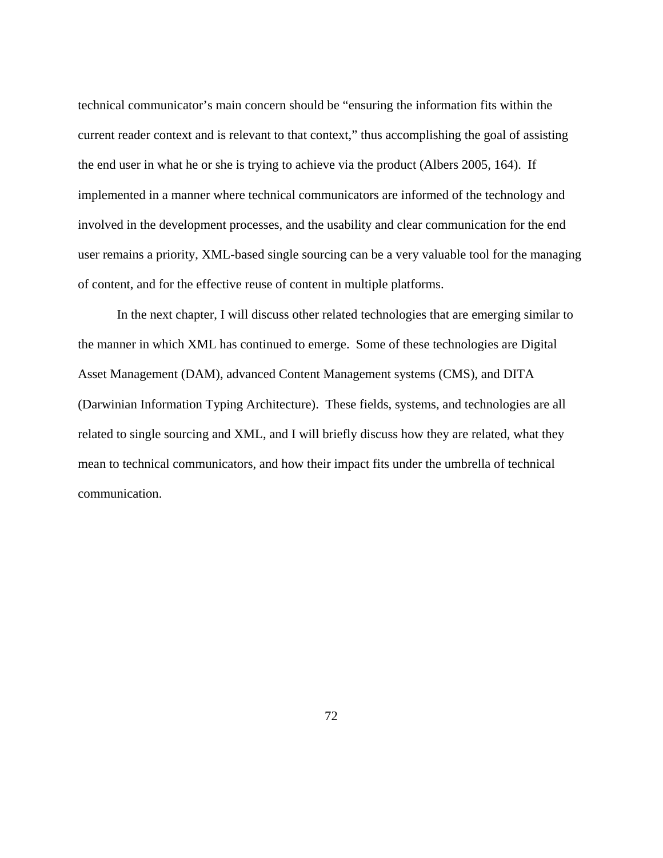technical communicator's main concern should be "ensuring the information fits within the current reader context and is relevant to that context," thus accomplishing the goal of assisting the end user in what he or she is trying to achieve via the product (Albers 2005, 164). If implemented in a manner where technical communicators are informed of the technology and involved in the development processes, and the usability and clear communication for the end user remains a priority, XML-based single sourcing can be a very valuable tool for the managing of content, and for the effective reuse of content in multiple platforms.

In the next chapter, I will discuss other related technologies that are emerging similar to the manner in which XML has continued to emerge. Some of these technologies are Digital Asset Management (DAM), advanced Content Management systems (CMS), and DITA (Darwinian Information Typing Architecture). These fields, systems, and technologies are all related to single sourcing and XML, and I will briefly discuss how they are related, what they mean to technical communicators, and how their impact fits under the umbrella of technical communication.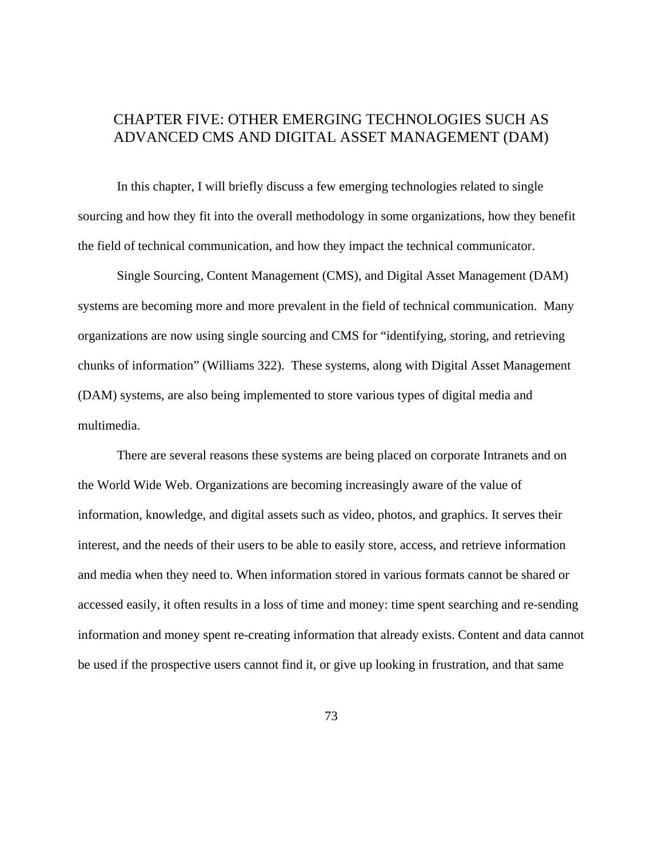# CHAPTER FIVE: OTHER EMERGING TECHNOLOGIES SUCH AS ADVANCED CMS AND DIGITAL ASSET MANAGEMENT (DAM)

In this chapter, I will briefly discuss a few emerging technologies related to single sourcing and how they fit into the overall methodology in some organizations, how they benefit the field of technical communication, and how they impact the technical communicator.

Single Sourcing, Content Management (CMS), and Digital Asset Management (DAM) systems are becoming more and more prevalent in the field of technical communication. Many organizations are now using single sourcing and CMS for "identifying, storing, and retrieving chunks of information" (Williams 322). These systems, along with Digital Asset Management (DAM) systems, are also being implemented to store various types of digital media and multimedia.

 There are several reasons these systems are being placed on corporate Intranets and on the World Wide Web. Organizations are becoming increasingly aware of the value of information, knowledge, and digital assets such as video, photos, and graphics. It serves their interest, and the needs of their users to be able to easily store, access, and retrieve information and media when they need to. When information stored in various formats cannot be shared or accessed easily, it often results in a loss of time and money: time spent searching and re-sending information and money spent re-creating information that already exists. Content and data cannot be used if the prospective users cannot find it, or give up looking in frustration, and that same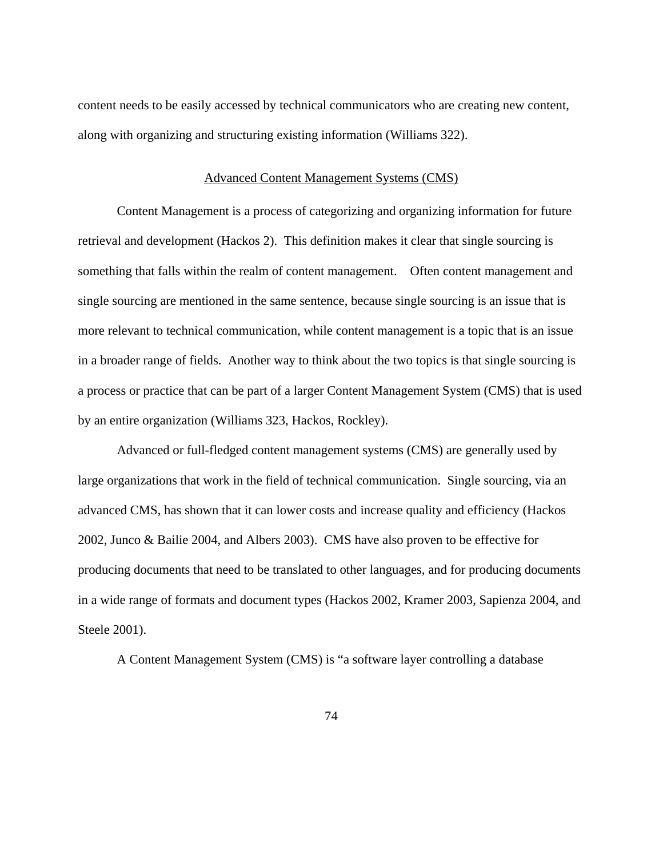content needs to be easily accessed by technical communicators who are creating new content, along with organizing and structuring existing information (Williams 322).

#### Advanced Content Management Systems (CMS)

Content Management is a process of categorizing and organizing information for future retrieval and development (Hackos 2). This definition makes it clear that single sourcing is something that falls within the realm of content management. Often content management and single sourcing are mentioned in the same sentence, because single sourcing is an issue that is more relevant to technical communication, while content management is a topic that is an issue in a broader range of fields. Another way to think about the two topics is that single sourcing is a process or practice that can be part of a larger Content Management System (CMS) that is used by an entire organization (Williams 323, Hackos, Rockley).

Advanced or full-fledged content management systems (CMS) are generally used by large organizations that work in the field of technical communication. Single sourcing, via an advanced CMS, has shown that it can lower costs and increase quality and efficiency (Hackos 2002, Junco & Bailie 2004, and Albers 2003). CMS have also proven to be effective for producing documents that need to be translated to other languages, and for producing documents in a wide range of formats and document types (Hackos 2002, Kramer 2003, Sapienza 2004, and Steele 2001).

A Content Management System (CMS) is "a software layer controlling a database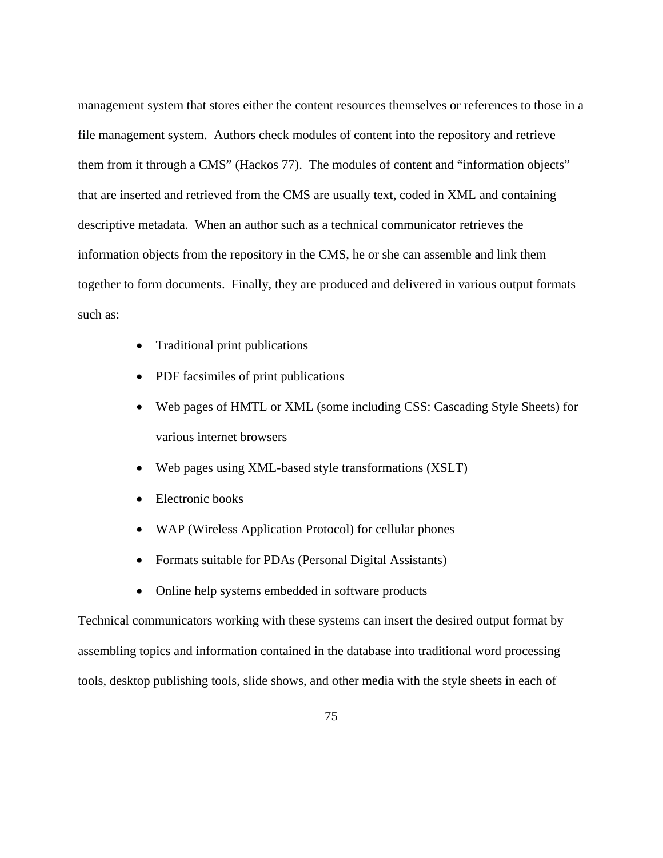management system that stores either the content resources themselves or references to those in a file management system. Authors check modules of content into the repository and retrieve them from it through a CMS" (Hackos 77). The modules of content and "information objects" that are inserted and retrieved from the CMS are usually text, coded in XML and containing descriptive metadata. When an author such as a technical communicator retrieves the information objects from the repository in the CMS, he or she can assemble and link them together to form documents. Finally, they are produced and delivered in various output formats such as:

- Traditional print publications
- PDF facsimiles of print publications
- Web pages of HMTL or XML (some including CSS: Cascading Style Sheets) for various internet browsers
- Web pages using XML-based style transformations (XSLT)
- Electronic books
- WAP (Wireless Application Protocol) for cellular phones
- Formats suitable for PDAs (Personal Digital Assistants)
- Online help systems embedded in software products

Technical communicators working with these systems can insert the desired output format by assembling topics and information contained in the database into traditional word processing tools, desktop publishing tools, slide shows, and other media with the style sheets in each of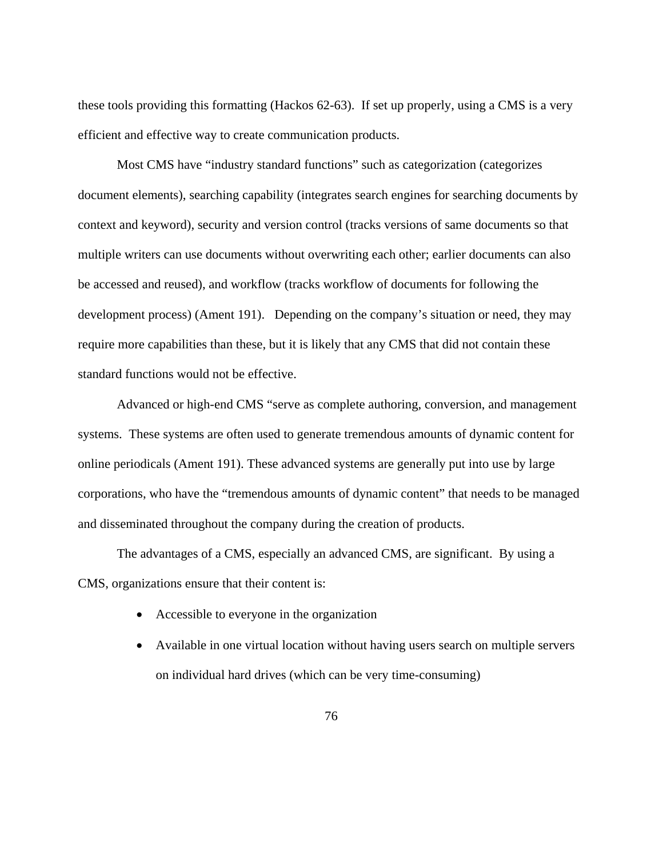these tools providing this formatting (Hackos 62-63). If set up properly, using a CMS is a very efficient and effective way to create communication products.

Most CMS have "industry standard functions" such as categorization (categorizes document elements), searching capability (integrates search engines for searching documents by context and keyword), security and version control (tracks versions of same documents so that multiple writers can use documents without overwriting each other; earlier documents can also be accessed and reused), and workflow (tracks workflow of documents for following the development process) (Ament 191). Depending on the company's situation or need, they may require more capabilities than these, but it is likely that any CMS that did not contain these standard functions would not be effective.

Advanced or high-end CMS "serve as complete authoring, conversion, and management systems. These systems are often used to generate tremendous amounts of dynamic content for online periodicals (Ament 191). These advanced systems are generally put into use by large corporations, who have the "tremendous amounts of dynamic content" that needs to be managed and disseminated throughout the company during the creation of products.

The advantages of a CMS, especially an advanced CMS, are significant. By using a CMS, organizations ensure that their content is:

- Accessible to everyone in the organization
- Available in one virtual location without having users search on multiple servers on individual hard drives (which can be very time-consuming)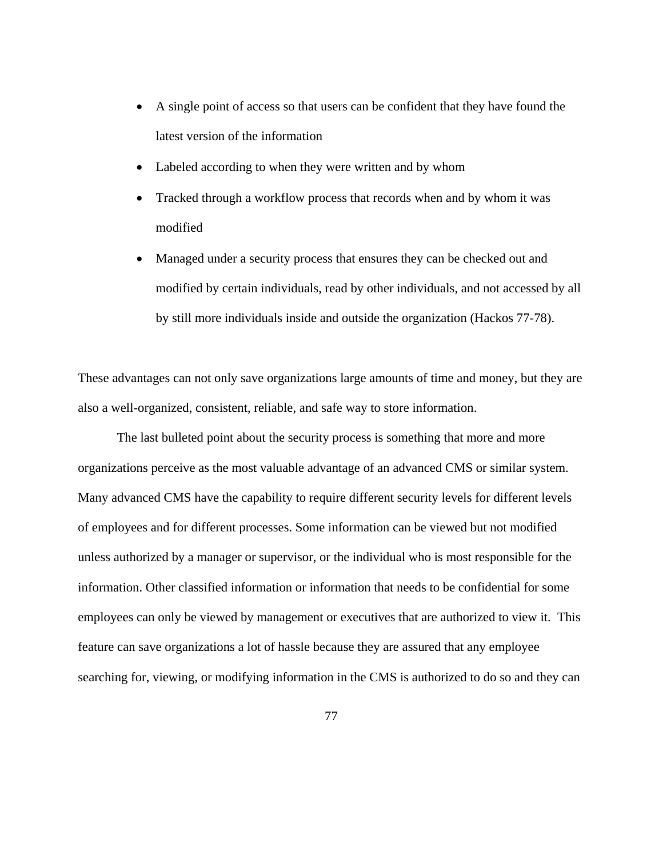- A single point of access so that users can be confident that they have found the latest version of the information
- Labeled according to when they were written and by whom
- Tracked through a workflow process that records when and by whom it was modified
- Managed under a security process that ensures they can be checked out and modified by certain individuals, read by other individuals, and not accessed by all by still more individuals inside and outside the organization (Hackos 77-78).

These advantages can not only save organizations large amounts of time and money, but they are also a well-organized, consistent, reliable, and safe way to store information.

The last bulleted point about the security process is something that more and more organizations perceive as the most valuable advantage of an advanced CMS or similar system. Many advanced CMS have the capability to require different security levels for different levels of employees and for different processes. Some information can be viewed but not modified unless authorized by a manager or supervisor, or the individual who is most responsible for the information. Other classified information or information that needs to be confidential for some employees can only be viewed by management or executives that are authorized to view it. This feature can save organizations a lot of hassle because they are assured that any employee searching for, viewing, or modifying information in the CMS is authorized to do so and they can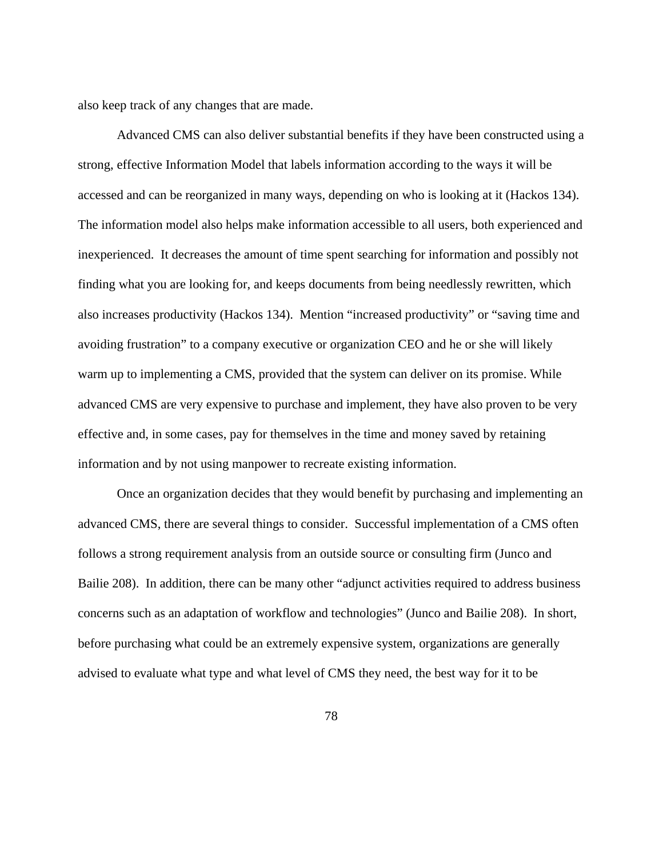also keep track of any changes that are made.

 Advanced CMS can also deliver substantial benefits if they have been constructed using a strong, effective Information Model that labels information according to the ways it will be accessed and can be reorganized in many ways, depending on who is looking at it (Hackos 134). The information model also helps make information accessible to all users, both experienced and inexperienced. It decreases the amount of time spent searching for information and possibly not finding what you are looking for, and keeps documents from being needlessly rewritten, which also increases productivity (Hackos 134). Mention "increased productivity" or "saving time and avoiding frustration" to a company executive or organization CEO and he or she will likely warm up to implementing a CMS, provided that the system can deliver on its promise. While advanced CMS are very expensive to purchase and implement, they have also proven to be very effective and, in some cases, pay for themselves in the time and money saved by retaining information and by not using manpower to recreate existing information.

 Once an organization decides that they would benefit by purchasing and implementing an advanced CMS, there are several things to consider. Successful implementation of a CMS often follows a strong requirement analysis from an outside source or consulting firm (Junco and Bailie 208). In addition, there can be many other "adjunct activities required to address business concerns such as an adaptation of workflow and technologies" (Junco and Bailie 208). In short, before purchasing what could be an extremely expensive system, organizations are generally advised to evaluate what type and what level of CMS they need, the best way for it to be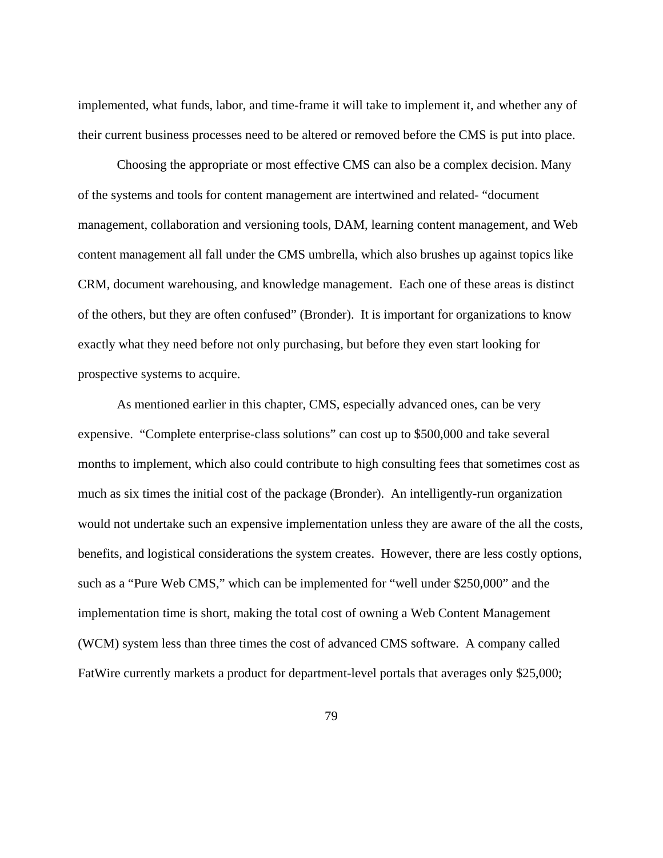implemented, what funds, labor, and time-frame it will take to implement it, and whether any of their current business processes need to be altered or removed before the CMS is put into place.

 Choosing the appropriate or most effective CMS can also be a complex decision. Many of the systems and tools for content management are intertwined and related- "document management, collaboration and versioning tools, DAM, learning content management, and Web content management all fall under the CMS umbrella, which also brushes up against topics like CRM, document warehousing, and knowledge management. Each one of these areas is distinct of the others, but they are often confused" (Bronder). It is important for organizations to know exactly what they need before not only purchasing, but before they even start looking for prospective systems to acquire.

 As mentioned earlier in this chapter, CMS, especially advanced ones, can be very expensive. "Complete enterprise-class solutions" can cost up to \$500,000 and take several months to implement, which also could contribute to high consulting fees that sometimes cost as much as six times the initial cost of the package (Bronder). An intelligently-run organization would not undertake such an expensive implementation unless they are aware of the all the costs, benefits, and logistical considerations the system creates. However, there are less costly options, such as a "Pure Web CMS," which can be implemented for "well under \$250,000" and the implementation time is short, making the total cost of owning a Web Content Management (WCM) system less than three times the cost of advanced CMS software. A company called FatWire currently markets a product for department-level portals that averages only \$25,000;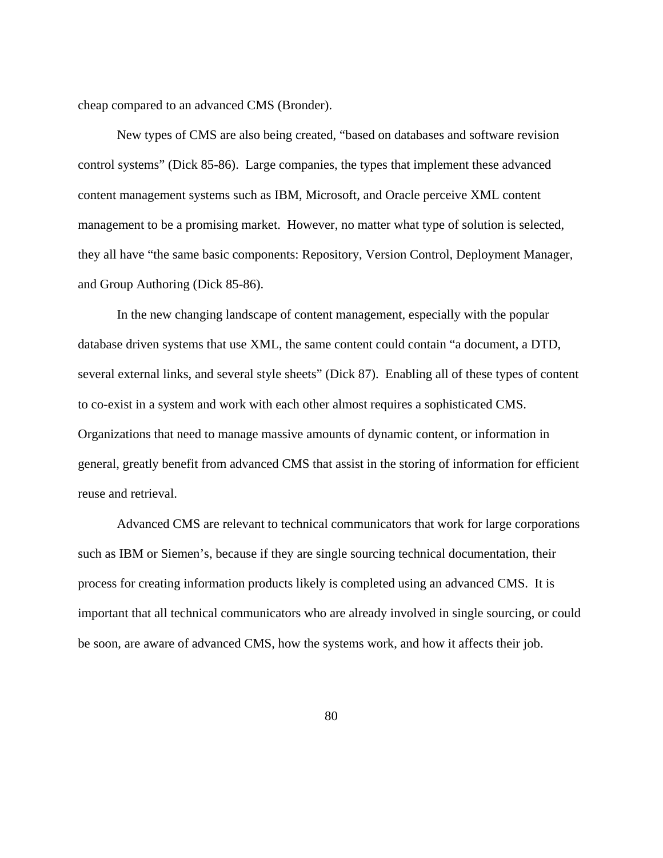cheap compared to an advanced CMS (Bronder).

 New types of CMS are also being created, "based on databases and software revision control systems" (Dick 85-86). Large companies, the types that implement these advanced content management systems such as IBM, Microsoft, and Oracle perceive XML content management to be a promising market. However, no matter what type of solution is selected, they all have "the same basic components: Repository, Version Control, Deployment Manager, and Group Authoring (Dick 85-86).

 In the new changing landscape of content management, especially with the popular database driven systems that use XML, the same content could contain "a document, a DTD, several external links, and several style sheets" (Dick 87). Enabling all of these types of content to co-exist in a system and work with each other almost requires a sophisticated CMS. Organizations that need to manage massive amounts of dynamic content, or information in general, greatly benefit from advanced CMS that assist in the storing of information for efficient reuse and retrieval.

 Advanced CMS are relevant to technical communicators that work for large corporations such as IBM or Siemen's, because if they are single sourcing technical documentation, their process for creating information products likely is completed using an advanced CMS. It is important that all technical communicators who are already involved in single sourcing, or could be soon, are aware of advanced CMS, how the systems work, and how it affects their job.

80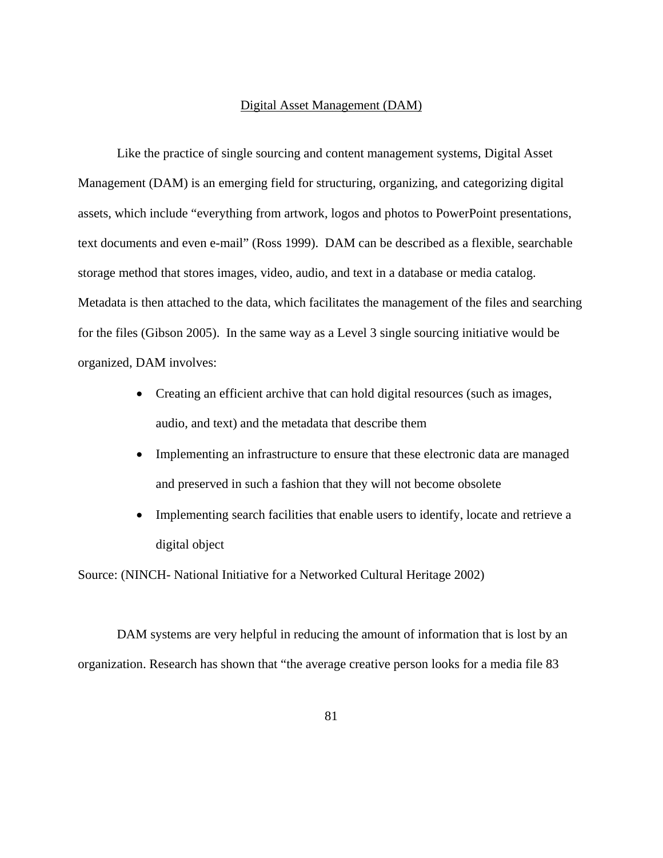#### Digital Asset Management (DAM)

Like the practice of single sourcing and content management systems, Digital Asset Management (DAM) is an emerging field for structuring, organizing, and categorizing digital assets, which include "everything from artwork, logos and photos to PowerPoint presentations, text documents and even e-mail" (Ross 1999). DAM can be described as a flexible, searchable storage method that stores images, video, audio, and text in a database or media catalog. Metadata is then attached to the data, which facilitates the management of the files and searching for the files (Gibson 2005). In the same way as a Level 3 single sourcing initiative would be organized, DAM involves:

- Creating an efficient archive that can hold digital resources (such as images, audio, and text) and the metadata that describe them
- Implementing an infrastructure to ensure that these electronic data are managed and preserved in such a fashion that they will not become obsolete
- Implementing search facilities that enable users to identify, locate and retrieve a digital object

Source: (NINCH- National Initiative for a Networked Cultural Heritage 2002)

DAM systems are very helpful in reducing the amount of information that is lost by an organization. Research has shown that "the average creative person looks for a media file 83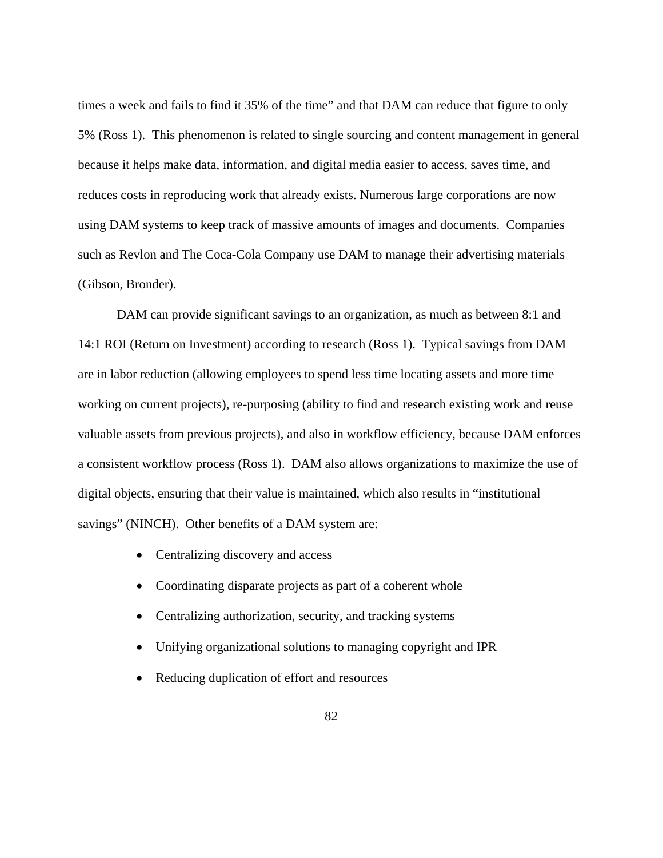times a week and fails to find it 35% of the time" and that DAM can reduce that figure to only 5% (Ross 1). This phenomenon is related to single sourcing and content management in general because it helps make data, information, and digital media easier to access, saves time, and reduces costs in reproducing work that already exists. Numerous large corporations are now using DAM systems to keep track of massive amounts of images and documents. Companies such as Revlon and The Coca-Cola Company use DAM to manage their advertising materials (Gibson, Bronder).

DAM can provide significant savings to an organization, as much as between 8:1 and 14:1 ROI (Return on Investment) according to research (Ross 1). Typical savings from DAM are in labor reduction (allowing employees to spend less time locating assets and more time working on current projects), re-purposing (ability to find and research existing work and reuse valuable assets from previous projects), and also in workflow efficiency, because DAM enforces a consistent workflow process (Ross 1). DAM also allows organizations to maximize the use of digital objects, ensuring that their value is maintained, which also results in "institutional savings" (NINCH). Other benefits of a DAM system are:

- Centralizing discovery and access
- Coordinating disparate projects as part of a coherent whole
- Centralizing authorization, security, and tracking systems
- Unifying organizational solutions to managing copyright and IPR
- Reducing duplication of effort and resources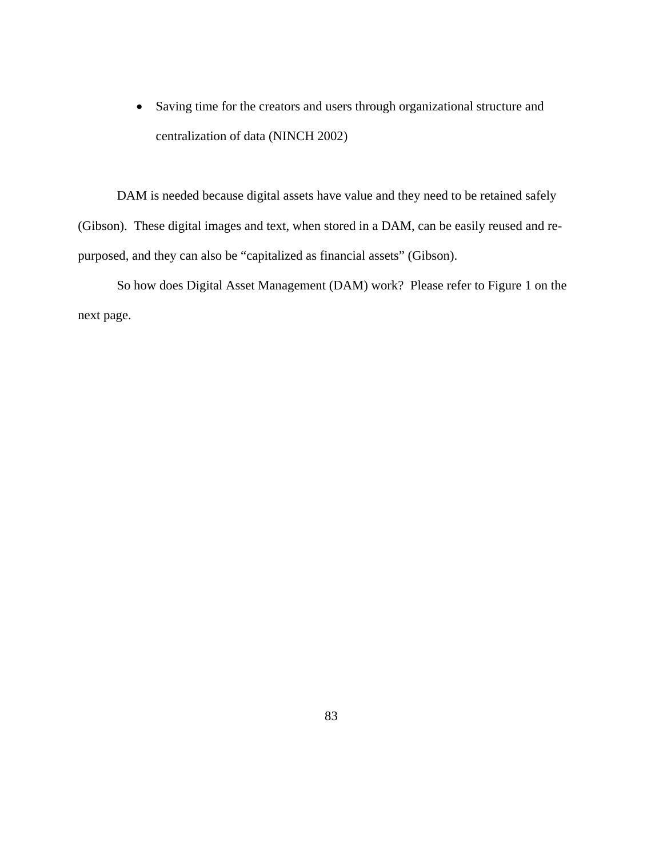• Saving time for the creators and users through organizational structure and centralization of data (NINCH 2002)

DAM is needed because digital assets have value and they need to be retained safely (Gibson). These digital images and text, when stored in a DAM, can be easily reused and repurposed, and they can also be "capitalized as financial assets" (Gibson).

So how does Digital Asset Management (DAM) work? Please refer to Figure 1 on the next page.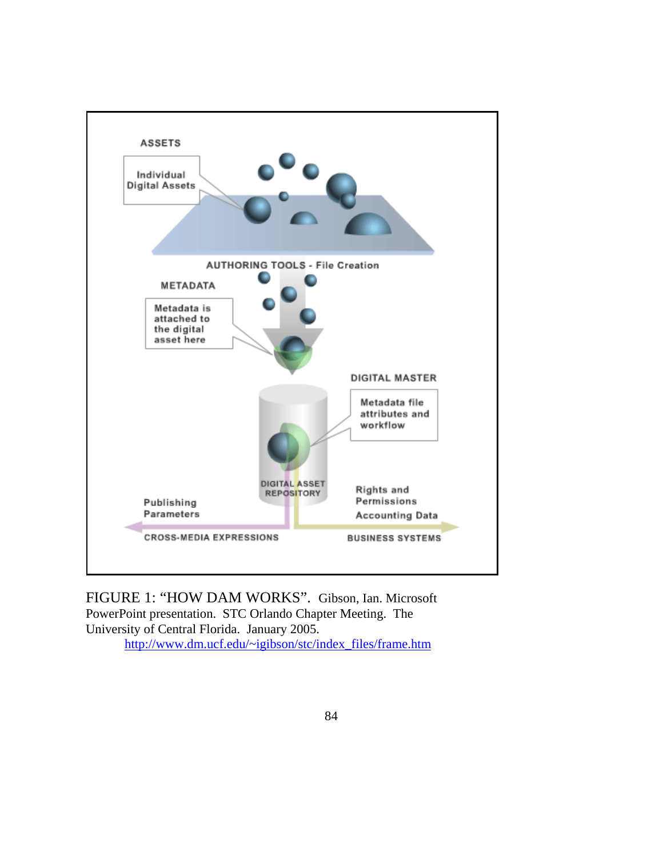

FIGURE 1: "HOW DAM WORKS". Gibson, Ian. Microsoft PowerPoint presentation. STC Orlando Chapter Meeting. The University of Central Florida. January 2005. [http://www.dm.ucf.edu/~igibson/stc/index\\_files/frame.htm](http://www.dm.ucf.edu/~igibson/stc/index_files/frame.htm)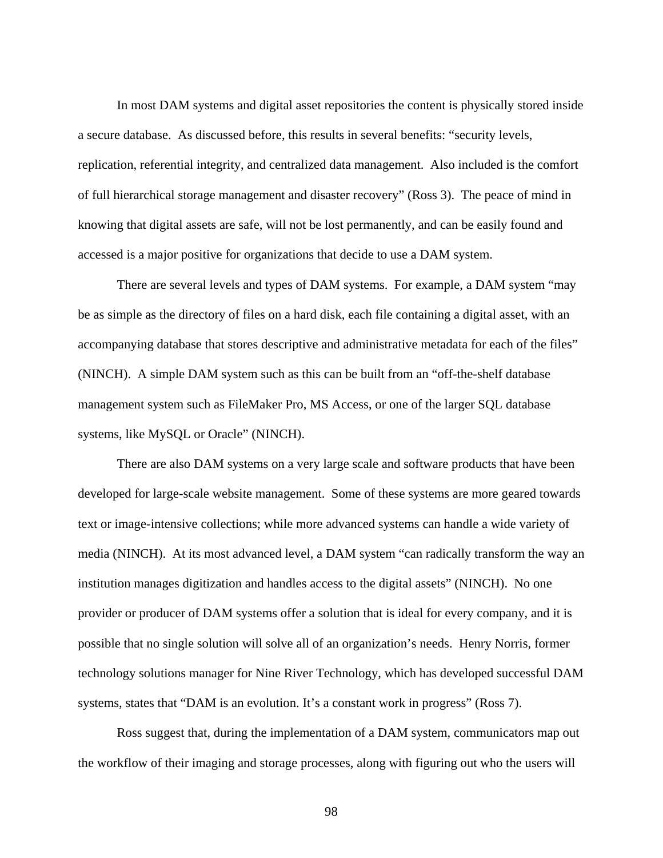In most DAM systems and digital asset repositories the content is physically stored inside a secure database. As discussed before, this results in several benefits: "security levels, replication, referential integrity, and centralized data management. Also included is the comfort of full hierarchical storage management and disaster recovery" (Ross 3). The peace of mind in knowing that digital assets are safe, will not be lost permanently, and can be easily found and accessed is a major positive for organizations that decide to use a DAM system.

There are several levels and types of DAM systems. For example, a DAM system "may be as simple as the directory of files on a hard disk, each file containing a digital asset, with an accompanying database that stores descriptive and administrative metadata for each of the files" (NINCH). A simple DAM system such as this can be built from an "off-the-shelf database management system such as FileMaker Pro, MS Access, or one of the larger SQL database systems, like MySQL or Oracle" (NINCH).

There are also DAM systems on a very large scale and software products that have been developed for large-scale website management. Some of these systems are more geared towards text or image-intensive collections; while more advanced systems can handle a wide variety of media (NINCH). At its most advanced level, a DAM system "can radically transform the way an institution manages digitization and handles access to the digital assets" (NINCH). No one provider or producer of DAM systems offer a solution that is ideal for every company, and it is possible that no single solution will solve all of an organization's needs. Henry Norris, former technology solutions manager for Nine River Technology, which has developed successful DAM systems, states that "DAM is an evolution. It's a constant work in progress" (Ross 7).

Ross suggest that, during the implementation of a DAM system, communicators map out the workflow of their imaging and storage processes, along with figuring out who the users will

98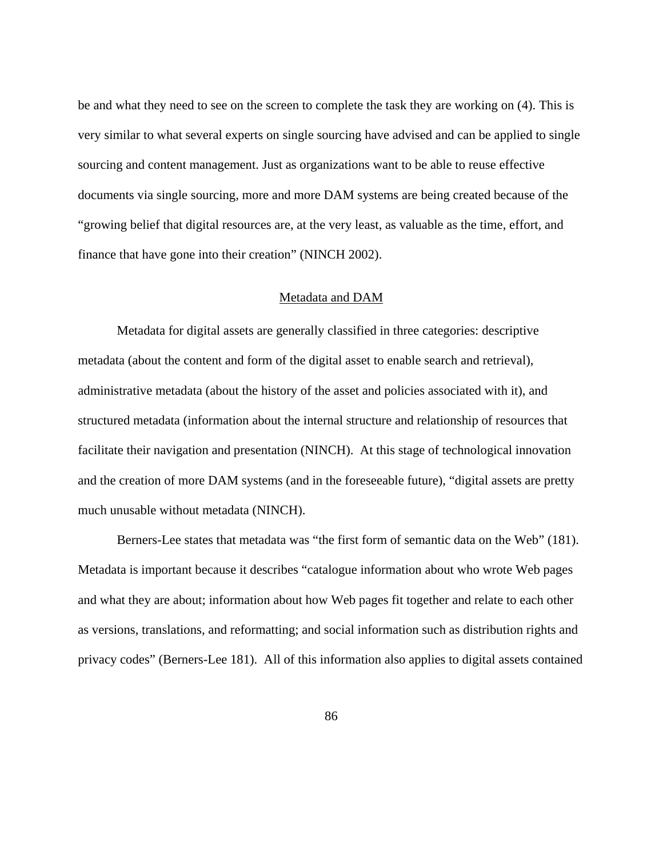be and what they need to see on the screen to complete the task they are working on (4). This is very similar to what several experts on single sourcing have advised and can be applied to single sourcing and content management. Just as organizations want to be able to reuse effective documents via single sourcing, more and more DAM systems are being created because of the "growing belief that digital resources are, at the very least, as valuable as the time, effort, and finance that have gone into their creation" (NINCH 2002).

#### Metadata and DAM

 Metadata for digital assets are generally classified in three categories: descriptive metadata (about the content and form of the digital asset to enable search and retrieval), administrative metadata (about the history of the asset and policies associated with it), and structured metadata (information about the internal structure and relationship of resources that facilitate their navigation and presentation (NINCH). At this stage of technological innovation and the creation of more DAM systems (and in the foreseeable future), "digital assets are pretty much unusable without metadata (NINCH).

Berners-Lee states that metadata was "the first form of semantic data on the Web" (181). Metadata is important because it describes "catalogue information about who wrote Web pages and what they are about; information about how Web pages fit together and relate to each other as versions, translations, and reformatting; and social information such as distribution rights and privacy codes" (Berners-Lee 181). All of this information also applies to digital assets contained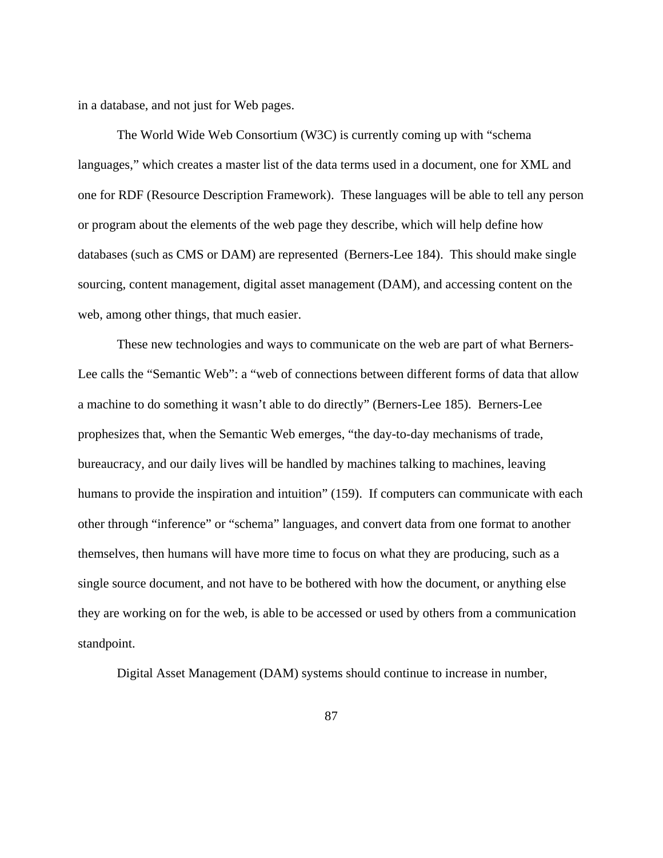in a database, and not just for Web pages.

The World Wide Web Consortium (W3C) is currently coming up with "schema languages," which creates a master list of the data terms used in a document, one for XML and one for RDF (Resource Description Framework). These languages will be able to tell any person or program about the elements of the web page they describe, which will help define how databases (such as CMS or DAM) are represented (Berners-Lee 184). This should make single sourcing, content management, digital asset management (DAM), and accessing content on the web, among other things, that much easier.

These new technologies and ways to communicate on the web are part of what Berners-Lee calls the "Semantic Web": a "web of connections between different forms of data that allow a machine to do something it wasn't able to do directly" (Berners-Lee 185). Berners-Lee prophesizes that, when the Semantic Web emerges, "the day-to-day mechanisms of trade, bureaucracy, and our daily lives will be handled by machines talking to machines, leaving humans to provide the inspiration and intuition" (159). If computers can communicate with each other through "inference" or "schema" languages, and convert data from one format to another themselves, then humans will have more time to focus on what they are producing, such as a single source document, and not have to be bothered with how the document, or anything else they are working on for the web, is able to be accessed or used by others from a communication standpoint.

Digital Asset Management (DAM) systems should continue to increase in number,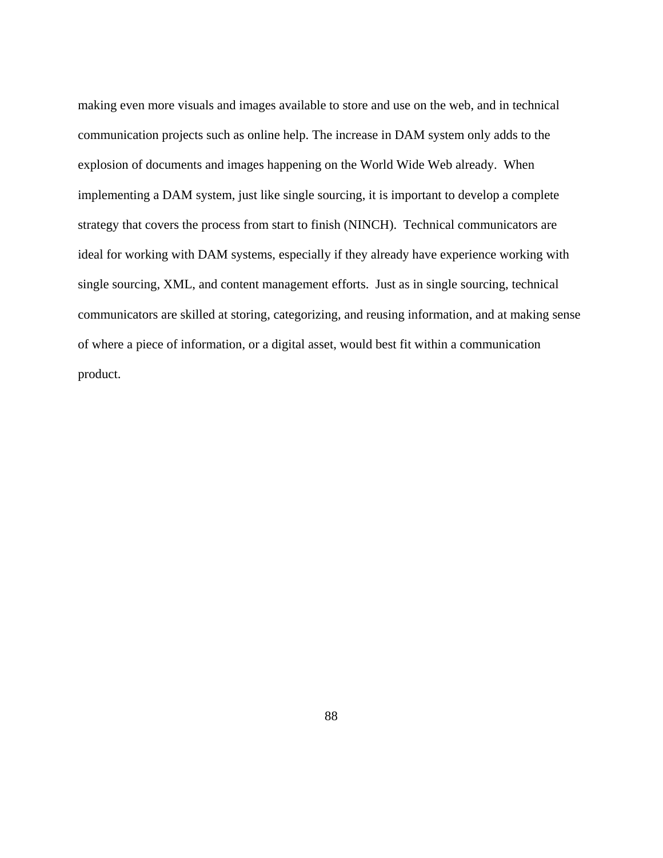making even more visuals and images available to store and use on the web, and in technical communication projects such as online help. The increase in DAM system only adds to the explosion of documents and images happening on the World Wide Web already. When implementing a DAM system, just like single sourcing, it is important to develop a complete strategy that covers the process from start to finish (NINCH). Technical communicators are ideal for working with DAM systems, especially if they already have experience working with single sourcing, XML, and content management efforts. Just as in single sourcing, technical communicators are skilled at storing, categorizing, and reusing information, and at making sense of where a piece of information, or a digital asset, would best fit within a communication product.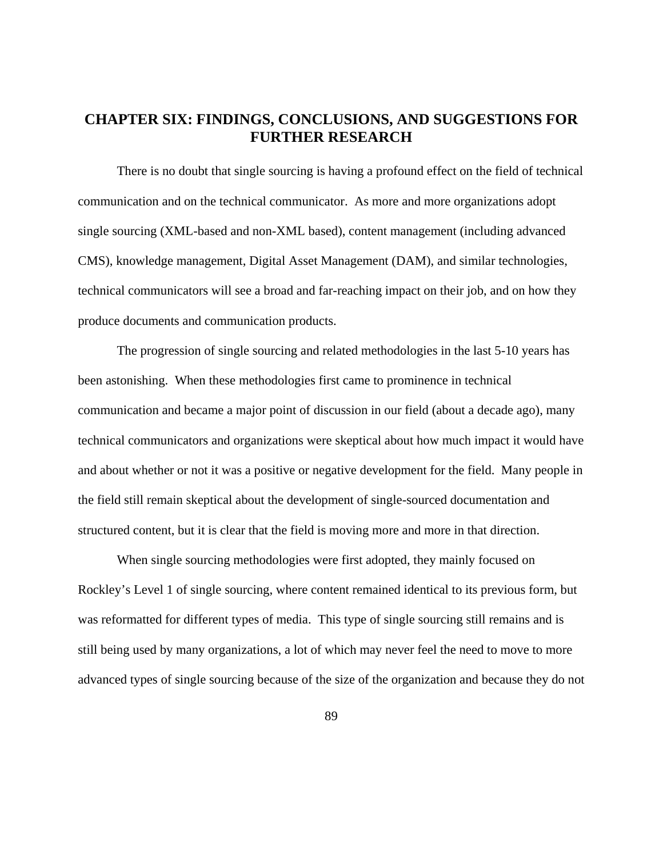# **CHAPTER SIX: FINDINGS, CONCLUSIONS, AND SUGGESTIONS FOR FURTHER RESEARCH**

There is no doubt that single sourcing is having a profound effect on the field of technical communication and on the technical communicator. As more and more organizations adopt single sourcing (XML-based and non-XML based), content management (including advanced CMS), knowledge management, Digital Asset Management (DAM), and similar technologies, technical communicators will see a broad and far-reaching impact on their job, and on how they produce documents and communication products.

The progression of single sourcing and related methodologies in the last 5-10 years has been astonishing. When these methodologies first came to prominence in technical communication and became a major point of discussion in our field (about a decade ago), many technical communicators and organizations were skeptical about how much impact it would have and about whether or not it was a positive or negative development for the field. Many people in the field still remain skeptical about the development of single-sourced documentation and structured content, but it is clear that the field is moving more and more in that direction.

When single sourcing methodologies were first adopted, they mainly focused on Rockley's Level 1 of single sourcing, where content remained identical to its previous form, but was reformatted for different types of media. This type of single sourcing still remains and is still being used by many organizations, a lot of which may never feel the need to move to more advanced types of single sourcing because of the size of the organization and because they do not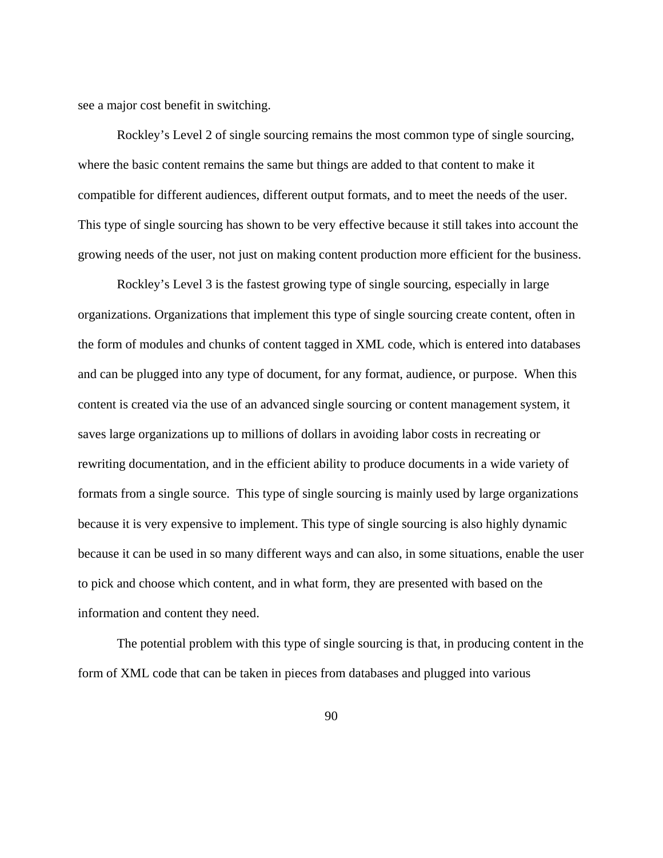see a major cost benefit in switching.

Rockley's Level 2 of single sourcing remains the most common type of single sourcing, where the basic content remains the same but things are added to that content to make it compatible for different audiences, different output formats, and to meet the needs of the user. This type of single sourcing has shown to be very effective because it still takes into account the growing needs of the user, not just on making content production more efficient for the business.

Rockley's Level 3 is the fastest growing type of single sourcing, especially in large organizations. Organizations that implement this type of single sourcing create content, often in the form of modules and chunks of content tagged in XML code, which is entered into databases and can be plugged into any type of document, for any format, audience, or purpose. When this content is created via the use of an advanced single sourcing or content management system, it saves large organizations up to millions of dollars in avoiding labor costs in recreating or rewriting documentation, and in the efficient ability to produce documents in a wide variety of formats from a single source. This type of single sourcing is mainly used by large organizations because it is very expensive to implement. This type of single sourcing is also highly dynamic because it can be used in so many different ways and can also, in some situations, enable the user to pick and choose which content, and in what form, they are presented with based on the information and content they need.

The potential problem with this type of single sourcing is that, in producing content in the form of XML code that can be taken in pieces from databases and plugged into various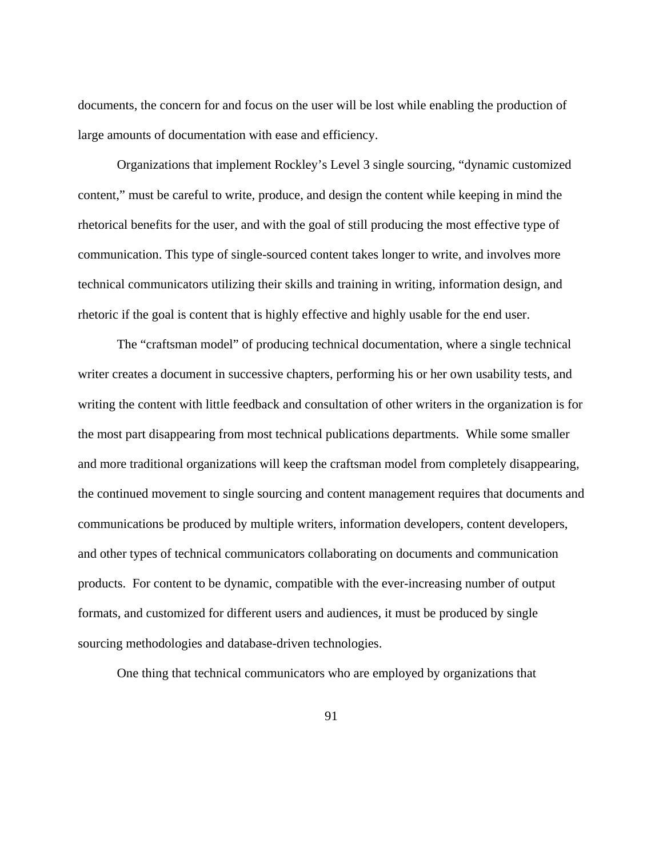documents, the concern for and focus on the user will be lost while enabling the production of large amounts of documentation with ease and efficiency.

Organizations that implement Rockley's Level 3 single sourcing, "dynamic customized content," must be careful to write, produce, and design the content while keeping in mind the rhetorical benefits for the user, and with the goal of still producing the most effective type of communication. This type of single-sourced content takes longer to write, and involves more technical communicators utilizing their skills and training in writing, information design, and rhetoric if the goal is content that is highly effective and highly usable for the end user.

The "craftsman model" of producing technical documentation, where a single technical writer creates a document in successive chapters, performing his or her own usability tests, and writing the content with little feedback and consultation of other writers in the organization is for the most part disappearing from most technical publications departments. While some smaller and more traditional organizations will keep the craftsman model from completely disappearing, the continued movement to single sourcing and content management requires that documents and communications be produced by multiple writers, information developers, content developers, and other types of technical communicators collaborating on documents and communication products. For content to be dynamic, compatible with the ever-increasing number of output formats, and customized for different users and audiences, it must be produced by single sourcing methodologies and database-driven technologies.

One thing that technical communicators who are employed by organizations that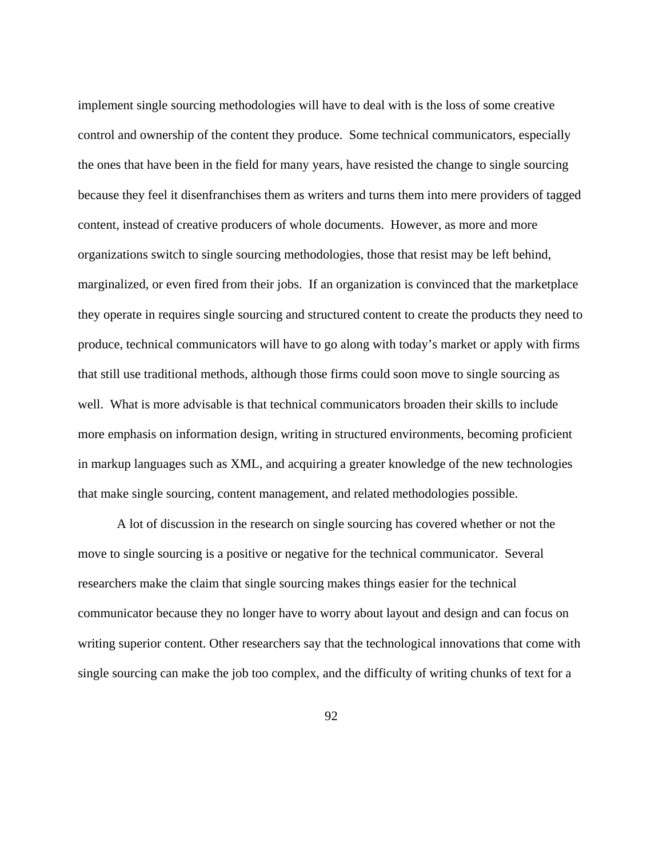implement single sourcing methodologies will have to deal with is the loss of some creative control and ownership of the content they produce. Some technical communicators, especially the ones that have been in the field for many years, have resisted the change to single sourcing because they feel it disenfranchises them as writers and turns them into mere providers of tagged content, instead of creative producers of whole documents. However, as more and more organizations switch to single sourcing methodologies, those that resist may be left behind, marginalized, or even fired from their jobs. If an organization is convinced that the marketplace they operate in requires single sourcing and structured content to create the products they need to produce, technical communicators will have to go along with today's market or apply with firms that still use traditional methods, although those firms could soon move to single sourcing as well. What is more advisable is that technical communicators broaden their skills to include more emphasis on information design, writing in structured environments, becoming proficient in markup languages such as XML, and acquiring a greater knowledge of the new technologies that make single sourcing, content management, and related methodologies possible.

A lot of discussion in the research on single sourcing has covered whether or not the move to single sourcing is a positive or negative for the technical communicator. Several researchers make the claim that single sourcing makes things easier for the technical communicator because they no longer have to worry about layout and design and can focus on writing superior content. Other researchers say that the technological innovations that come with single sourcing can make the job too complex, and the difficulty of writing chunks of text for a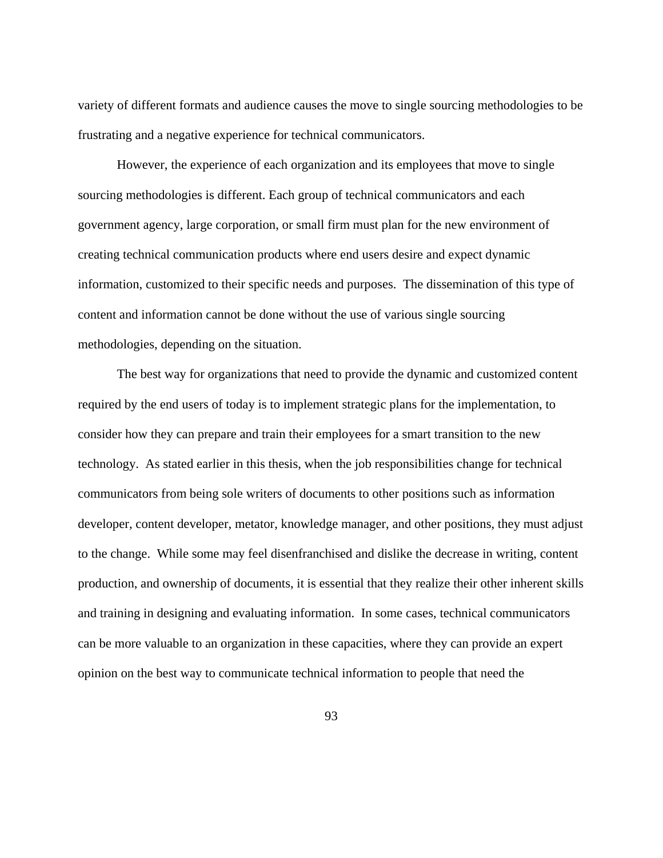variety of different formats and audience causes the move to single sourcing methodologies to be frustrating and a negative experience for technical communicators.

However, the experience of each organization and its employees that move to single sourcing methodologies is different. Each group of technical communicators and each government agency, large corporation, or small firm must plan for the new environment of creating technical communication products where end users desire and expect dynamic information, customized to their specific needs and purposes. The dissemination of this type of content and information cannot be done without the use of various single sourcing methodologies, depending on the situation.

The best way for organizations that need to provide the dynamic and customized content required by the end users of today is to implement strategic plans for the implementation, to consider how they can prepare and train their employees for a smart transition to the new technology. As stated earlier in this thesis, when the job responsibilities change for technical communicators from being sole writers of documents to other positions such as information developer, content developer, metator, knowledge manager, and other positions, they must adjust to the change. While some may feel disenfranchised and dislike the decrease in writing, content production, and ownership of documents, it is essential that they realize their other inherent skills and training in designing and evaluating information. In some cases, technical communicators can be more valuable to an organization in these capacities, where they can provide an expert opinion on the best way to communicate technical information to people that need the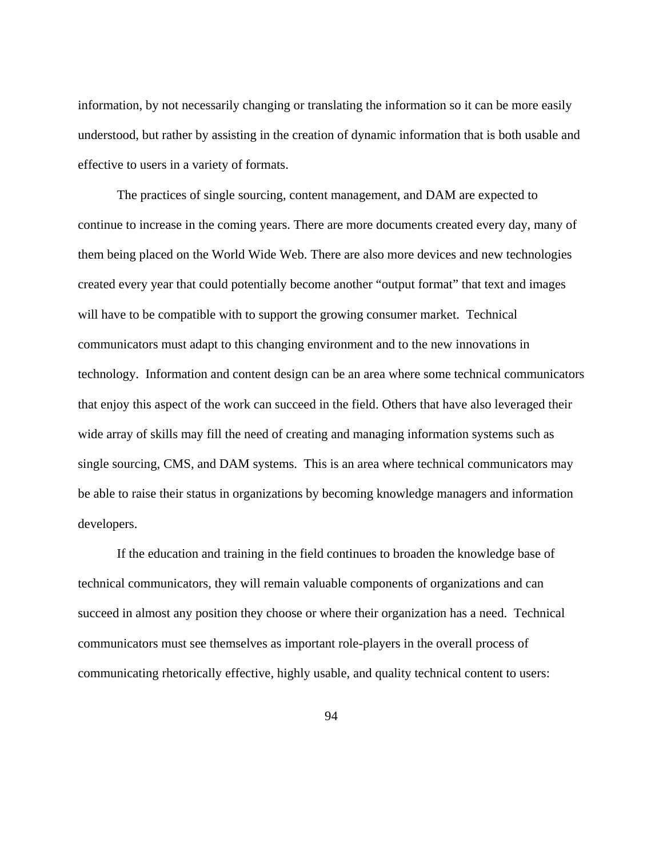information, by not necessarily changing or translating the information so it can be more easily understood, but rather by assisting in the creation of dynamic information that is both usable and effective to users in a variety of formats.

The practices of single sourcing, content management, and DAM are expected to continue to increase in the coming years. There are more documents created every day, many of them being placed on the World Wide Web. There are also more devices and new technologies created every year that could potentially become another "output format" that text and images will have to be compatible with to support the growing consumer market. Technical communicators must adapt to this changing environment and to the new innovations in technology. Information and content design can be an area where some technical communicators that enjoy this aspect of the work can succeed in the field. Others that have also leveraged their wide array of skills may fill the need of creating and managing information systems such as single sourcing, CMS, and DAM systems. This is an area where technical communicators may be able to raise their status in organizations by becoming knowledge managers and information developers.

If the education and training in the field continues to broaden the knowledge base of technical communicators, they will remain valuable components of organizations and can succeed in almost any position they choose or where their organization has a need. Technical communicators must see themselves as important role-players in the overall process of communicating rhetorically effective, highly usable, and quality technical content to users: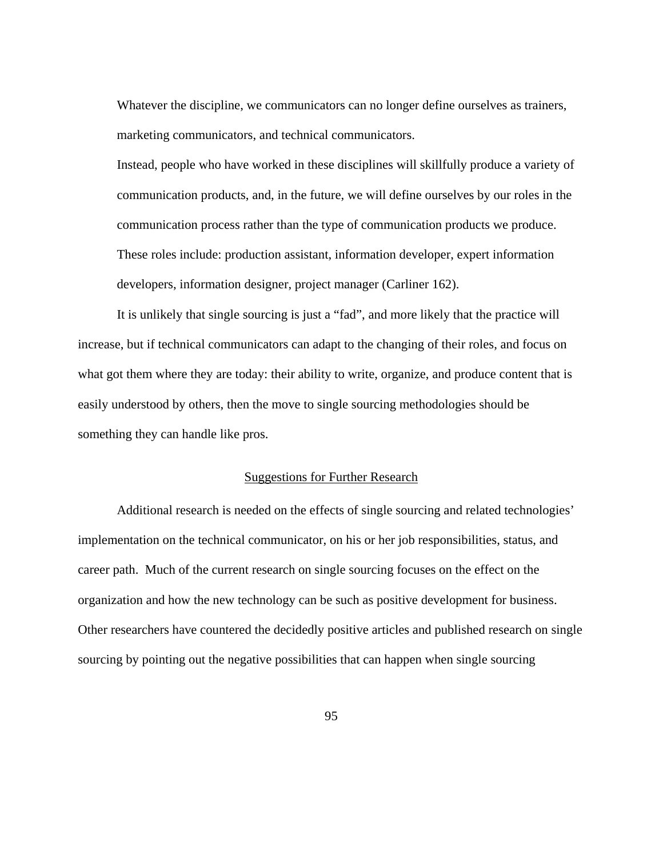Whatever the discipline, we communicators can no longer define ourselves as trainers, marketing communicators, and technical communicators.

Instead, people who have worked in these disciplines will skillfully produce a variety of communication products, and, in the future, we will define ourselves by our roles in the communication process rather than the type of communication products we produce. These roles include: production assistant, information developer, expert information developers, information designer, project manager (Carliner 162).

 It is unlikely that single sourcing is just a "fad", and more likely that the practice will increase, but if technical communicators can adapt to the changing of their roles, and focus on what got them where they are today: their ability to write, organize, and produce content that is easily understood by others, then the move to single sourcing methodologies should be something they can handle like pros.

## Suggestions for Further Research

Additional research is needed on the effects of single sourcing and related technologies' implementation on the technical communicator, on his or her job responsibilities, status, and career path. Much of the current research on single sourcing focuses on the effect on the organization and how the new technology can be such as positive development for business. Other researchers have countered the decidedly positive articles and published research on single sourcing by pointing out the negative possibilities that can happen when single sourcing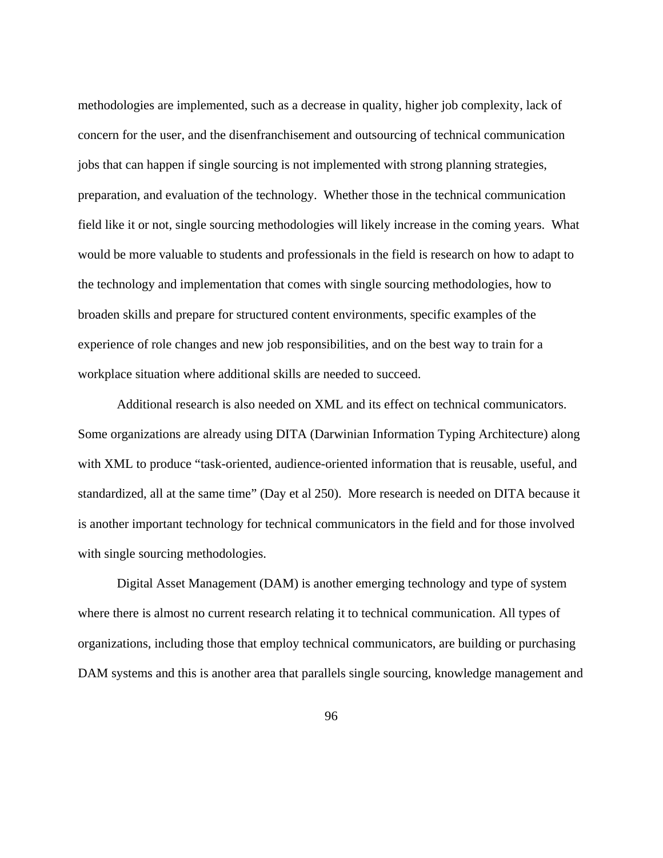methodologies are implemented, such as a decrease in quality, higher job complexity, lack of concern for the user, and the disenfranchisement and outsourcing of technical communication jobs that can happen if single sourcing is not implemented with strong planning strategies, preparation, and evaluation of the technology. Whether those in the technical communication field like it or not, single sourcing methodologies will likely increase in the coming years. What would be more valuable to students and professionals in the field is research on how to adapt to the technology and implementation that comes with single sourcing methodologies, how to broaden skills and prepare for structured content environments, specific examples of the experience of role changes and new job responsibilities, and on the best way to train for a workplace situation where additional skills are needed to succeed.

Additional research is also needed on XML and its effect on technical communicators. Some organizations are already using DITA (Darwinian Information Typing Architecture) along with XML to produce "task-oriented, audience-oriented information that is reusable, useful, and standardized, all at the same time" (Day et al 250). More research is needed on DITA because it is another important technology for technical communicators in the field and for those involved with single sourcing methodologies.

Digital Asset Management (DAM) is another emerging technology and type of system where there is almost no current research relating it to technical communication. All types of organizations, including those that employ technical communicators, are building or purchasing DAM systems and this is another area that parallels single sourcing, knowledge management and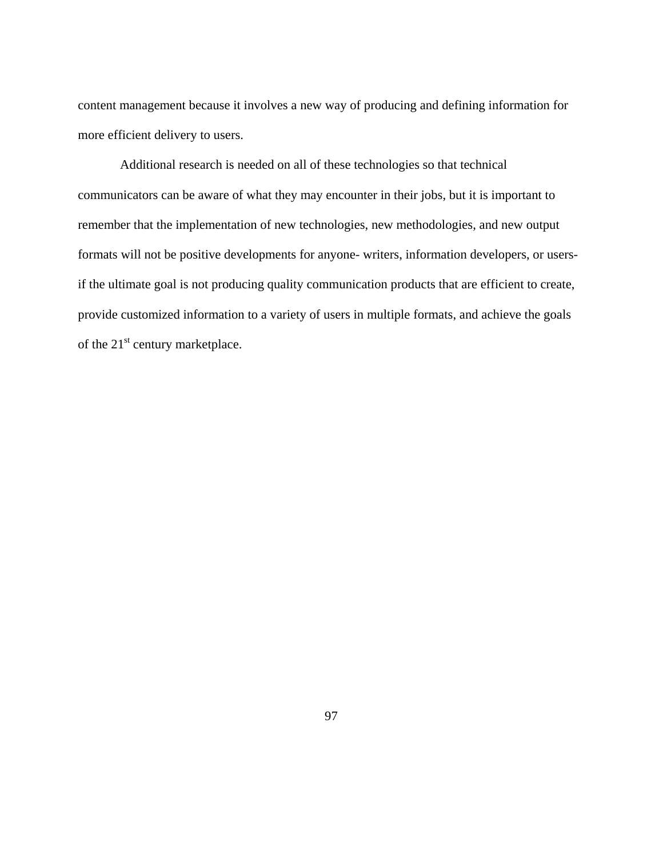content management because it involves a new way of producing and defining information for more efficient delivery to users.

 Additional research is needed on all of these technologies so that technical communicators can be aware of what they may encounter in their jobs, but it is important to remember that the implementation of new technologies, new methodologies, and new output formats will not be positive developments for anyone- writers, information developers, or usersif the ultimate goal is not producing quality communication products that are efficient to create, provide customized information to a variety of users in multiple formats, and achieve the goals of the 21<sup>st</sup> century marketplace.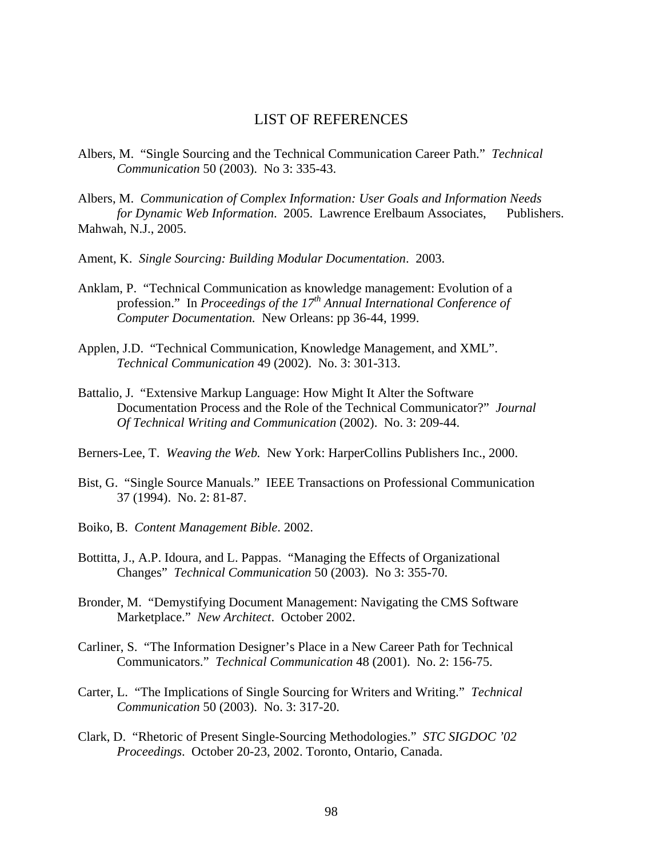# LIST OF REFERENCES

- Albers, M. "Single Sourcing and the Technical Communication Career Path." *Technical Communication* 50 (2003). No 3: 335-43.
- Albers, M. *Communication of Complex Information: User Goals and Information Needs for Dynamic Web Information*. 2005. Lawrence Erelbaum Associates, Publishers. Mahwah, N.J., 2005.
- Ament, K. *Single Sourcing: Building Modular Documentation*. 2003.
- Anklam, P. "Technical Communication as knowledge management: Evolution of a profession." In *Proceedings of the 17<sup>th</sup> Annual International Conference of Computer Documentation.* New Orleans: pp 36-44, 1999.
- Applen, J.D. "Technical Communication, Knowledge Management, and XML".  *Technical Communication* 49 (2002). No. 3: 301-313.
- Battalio, J. "Extensive Markup Language: How Might It Alter the Software Documentation Process and the Role of the Technical Communicator?" *Journal Of Technical Writing and Communication* (2002). No. 3: 209-44.
- Berners-Lee, T. *Weaving the Web.* New York: HarperCollins Publishers Inc., 2000.
- Bist, G. "Single Source Manuals." IEEE Transactions on Professional Communication 37 (1994). No. 2: 81-87.
- Boiko, B. *Content Management Bible*. 2002.
- Bottitta, J., A.P. Idoura, and L. Pappas. "Managing the Effects of Organizational Changes" *Technical Communication* 50 (2003). No 3: 355-70.
- Bronder, M. "Demystifying Document Management: Navigating the CMS Software Marketplace." *New Architect*. October 2002.
- Carliner, S. "The Information Designer's Place in a New Career Path for Technical Communicators." *Technical Communication* 48 (2001). No. 2: 156-75.
- Carter, L. "The Implications of Single Sourcing for Writers and Writing." *Technical Communication* 50 (2003). No. 3: 317-20.
- Clark, D. "Rhetoric of Present Single-Sourcing Methodologies." *STC SIGDOC '02 Proceedings*. October 20-23, 2002. Toronto, Ontario, Canada.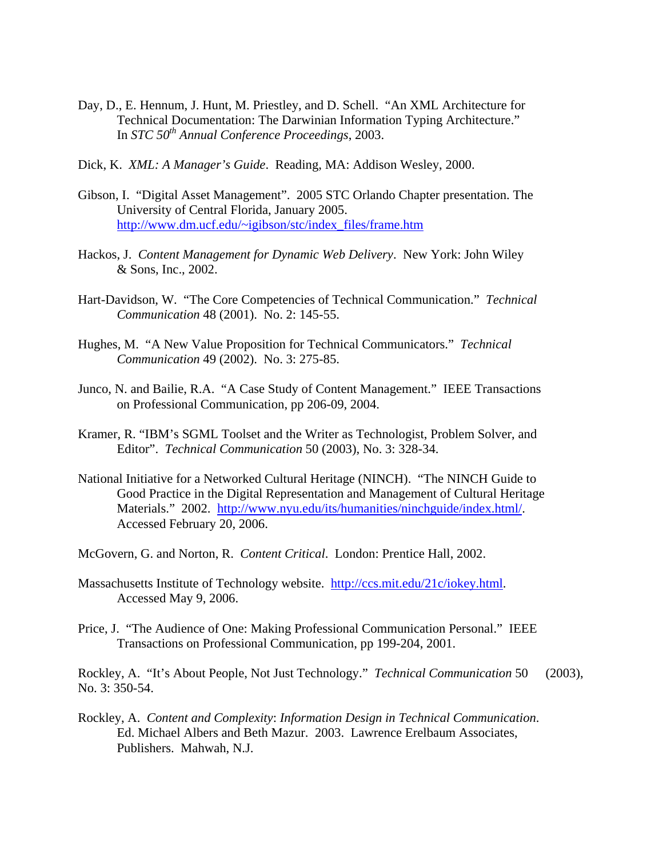- Day, D., E. Hennum, J. Hunt, M. Priestley, and D. Schell. "An XML Architecture for Technical Documentation: The Darwinian Information Typing Architecture." In *STC 50th Annual Conference Proceedings*, 2003.
- Dick, K. *XML: A Manager's Guide*. Reading, MA: Addison Wesley, 2000.
- Gibson, I. "Digital Asset Management". 2005 STC Orlando Chapter presentation. The University of Central Florida, January 2005. [http://www.dm.ucf.edu/~igibson/stc/index\\_files/frame.htm](http://www.dm.ucf.edu/~igibson/stc/index_files/frame.htm)
- Hackos, J. *Content Management for Dynamic Web Delivery*. New York: John Wiley & Sons, Inc., 2002.
- Hart-Davidson, W. "The Core Competencies of Technical Communication." *Technical Communication* 48 (2001). No. 2: 145-55.
- Hughes, M. "A New Value Proposition for Technical Communicators." *Technical Communication* 49 (2002). No. 3: 275-85.
- Junco, N. and Bailie, R.A. "A Case Study of Content Management." IEEE Transactions on Professional Communication, pp 206-09, 2004.
- Kramer, R. "IBM's SGML Toolset and the Writer as Technologist, Problem Solver, and Editor". *Technical Communication* 50 (2003), No. 3: 328-34.
- National Initiative for a Networked Cultural Heritage (NINCH). "The NINCH Guide to Good Practice in the Digital Representation and Management of Cultural Heritage Materials." 2002. <http://www.nyu.edu/its/humanities/ninchguide/index.html/>. Accessed February 20, 2006.
- McGovern, G. and Norton, R. *Content Critical*. London: Prentice Hall, 2002.
- Massachusetts Institute of Technology website. [http://ccs.mit.edu/21c/iokey.html.](http://ccs.mit.edu/21c/iokey.html) Accessed May 9, 2006.
- Price, J. "The Audience of One: Making Professional Communication Personal." IEEE Transactions on Professional Communication, pp 199-204, 2001.

Rockley, A. "It's About People, Not Just Technology." *Technical Communication* 50 (2003), No. 3: 350-54.

Rockley, A. *Content and Complexity*: *Information Design in Technical Communication*. Ed. Michael Albers and Beth Mazur. 2003. Lawrence Erelbaum Associates, Publishers. Mahwah, N.J.